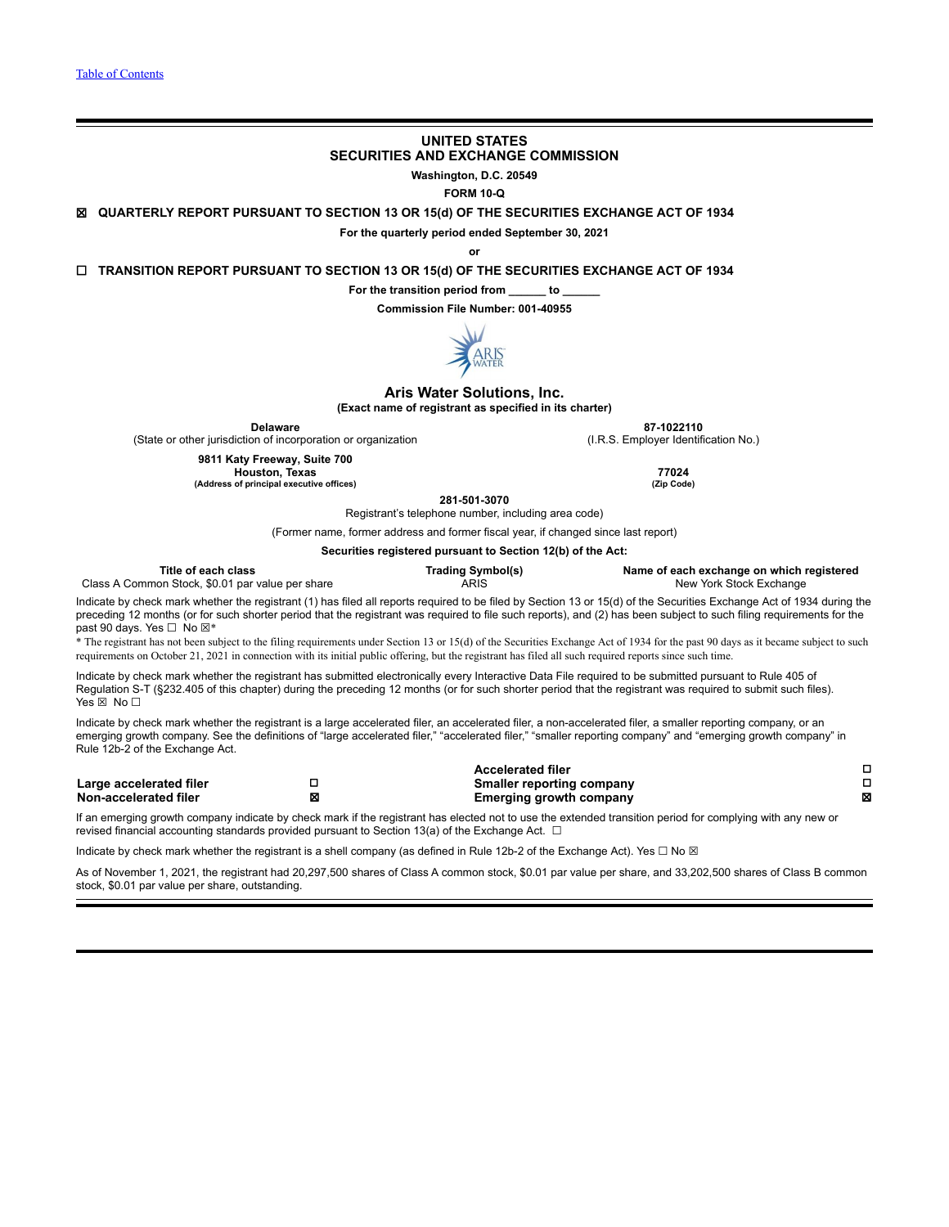# **UNITED STATES SECURITIES AND EXCHANGE COMMISSION**

**Washington, D.C. 20549**

**FORM 10-Q**

☒ **QUARTERLY REPORT PURSUANT TO SECTION 13 OR 15(d) OF THE SECURITIES EXCHANGE ACT OF 1934**

**For the quarterly period ended September 30, 2021**

**or**

☐ **TRANSITION REPORT PURSUANT TO SECTION 13 OR 15(d) OF THE SECURITIES EXCHANGE ACT OF 1934**

**For the transition period from \_\_\_\_\_\_ to \_\_\_\_\_\_**

**Commission File Number: 001-40955**



## **Aris Water Solutions, Inc.**

**(Exact name of registrant as specified in its charter)**

(State or other jurisdiction of incorporation or organization **9811 Katy Freeway, Suite 700**

**Delaware 87-1022110**<br>
on of incorporation or organization **1990 1991** (I.R.S. Employer Identification No.)

**Houston, Texas 77024 (Address of principal executive offices) (Zip Code)**

**281-501-3070**

Registrant's telephone number, including area code)

(Former name, former address and former fiscal year, if changed since last report)

**Securities registered pursuant to Section 12(b) of the Act:**

|                                                                                                                                                                                                                                                                                                                                                                  | Occurrities registered pursuant to Occubii TZ(D) or the Act. |                                                             |                                                                                                                                                                                                                                                                                                                                                                                                                                                                                                                                      |        |
|------------------------------------------------------------------------------------------------------------------------------------------------------------------------------------------------------------------------------------------------------------------------------------------------------------------------------------------------------------------|--------------------------------------------------------------|-------------------------------------------------------------|--------------------------------------------------------------------------------------------------------------------------------------------------------------------------------------------------------------------------------------------------------------------------------------------------------------------------------------------------------------------------------------------------------------------------------------------------------------------------------------------------------------------------------------|--------|
| Title of each class<br>Class A Common Stock, \$0.01 par value per share                                                                                                                                                                                                                                                                                          |                                                              | <b>Trading Symbol(s)</b><br><b>ARIS</b>                     | Name of each exchange on which registered<br>New York Stock Exchange                                                                                                                                                                                                                                                                                                                                                                                                                                                                 |        |
| past 90 days. Yes $\Box$ No $\boxtimes^*$<br>requirements on October 21, 2021 in connection with its initial public offering, but the registrant has filed all such required reports since such time.                                                                                                                                                            |                                                              |                                                             | Indicate by check mark whether the registrant (1) has filed all reports required to be filed by Section 13 or 15(d) of the Securities Exchange Act of 1934 during the<br>preceding 12 months (or for such shorter period that the registrant was required to file such reports), and (2) has been subject to such filing requirements for the<br>* The registrant has not been subject to the filing requirements under Section 13 or 15(d) of the Securities Exchange Act of 1934 for the past 90 days as it became subject to such |        |
| Indicate by check mark whether the registrant has submitted electronically every Interactive Data File required to be submitted pursuant to Rule 405 of<br>Regulation S-T (§232.405 of this chapter) during the preceding 12 months (or for such shorter period that the registrant was reguired to submit such files).<br>Yes $\boxtimes$ No $\square$          |                                                              |                                                             |                                                                                                                                                                                                                                                                                                                                                                                                                                                                                                                                      |        |
| Indicate by check mark whether the registrant is a large accelerated filer, an accelerated filer, a non-accelerated filer, a smaller reporting company, or an<br>emerging growth company. See the definitions of "large accelerated filer," "accelerated filer," "smaller reporting company" and "emerging growth company" in<br>Rule 12b-2 of the Exchange Act. |                                                              |                                                             |                                                                                                                                                                                                                                                                                                                                                                                                                                                                                                                                      |        |
|                                                                                                                                                                                                                                                                                                                                                                  |                                                              | <b>Accelerated filer</b>                                    |                                                                                                                                                                                                                                                                                                                                                                                                                                                                                                                                      |        |
| □<br>Large accelerated filer<br>⊠<br>Non-accelerated filer                                                                                                                                                                                                                                                                                                       |                                                              | Smaller reporting company<br><b>Emerging growth company</b> |                                                                                                                                                                                                                                                                                                                                                                                                                                                                                                                                      | □<br>x |
| If an emerging growth company indicate by check mark if the registrant has elected not to use the extended transition period for complying with any new or<br>revised financial accounting standards provided pursuant to Section 13(a) of the Exchange Act. $\Box$                                                                                              |                                                              |                                                             |                                                                                                                                                                                                                                                                                                                                                                                                                                                                                                                                      |        |

Indicate by check mark whether the registrant is a shell company (as defined in Rule 12b-2 of the Exchange Act). Yes □ No ⊠

As of November 1, 2021, the registrant had 20,297,500 shares of Class A common stock, \$0.01 par value per share, and 33,202,500 shares of Class B common stock, \$0.01 par value per share, outstanding.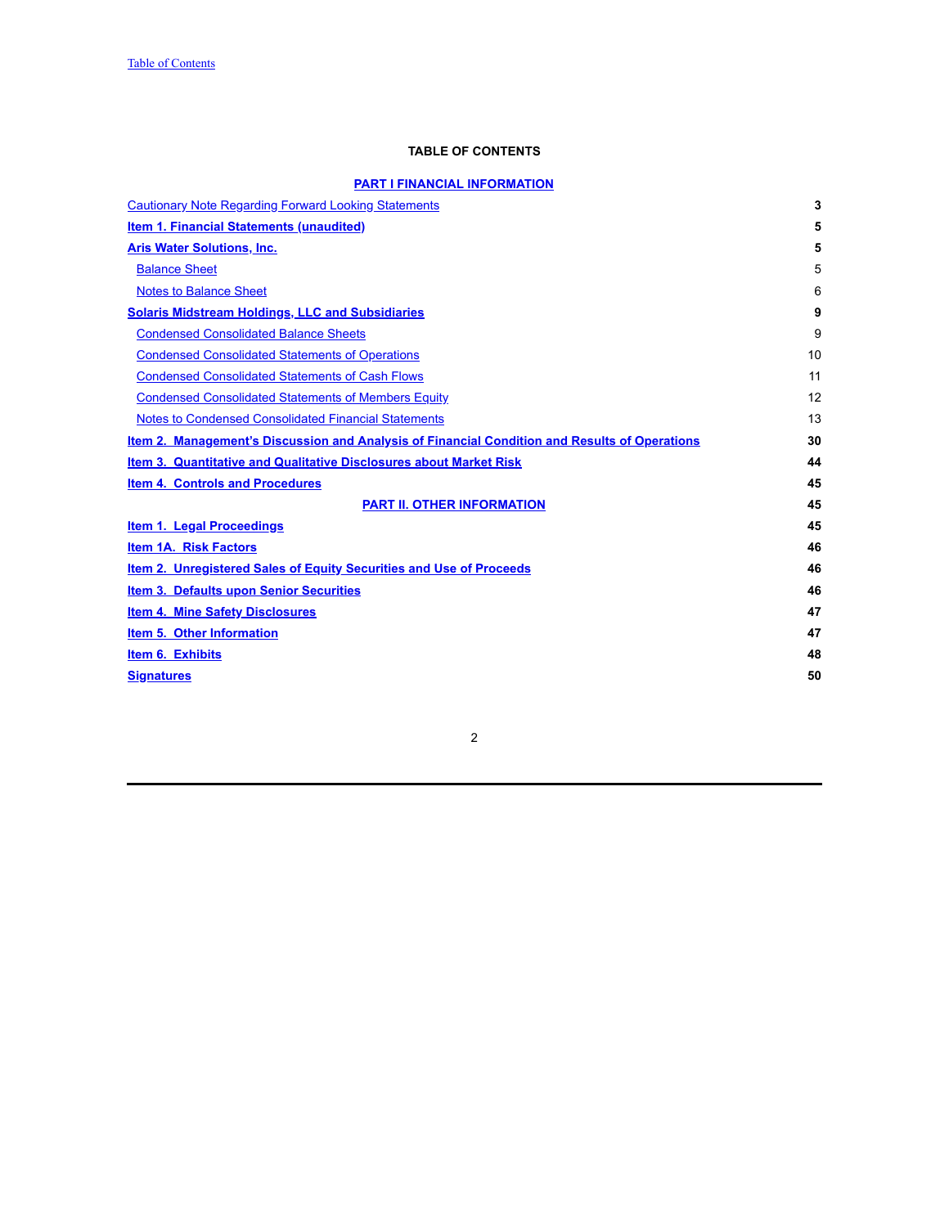## **TABLE OF CONTENTS**

# **PART I FINANCIAL [INFORMATION](#page-4-0)**

<span id="page-1-0"></span>

| <b>Cautionary Note Regarding Forward Looking Statements</b>                                   | 3  |
|-----------------------------------------------------------------------------------------------|----|
| <b>Item 1. Financial Statements (unaudited)</b>                                               | 5  |
| <b>Aris Water Solutions, Inc.</b>                                                             | 5  |
| <b>Balance Sheet</b>                                                                          | 5  |
| <b>Notes to Balance Sheet</b>                                                                 | 6  |
| <b>Solaris Midstream Holdings, LLC and Subsidiaries</b>                                       | 9  |
| <b>Condensed Consolidated Balance Sheets</b>                                                  | 9  |
| <b>Condensed Consolidated Statements of Operations</b>                                        | 10 |
| <b>Condensed Consolidated Statements of Cash Flows</b>                                        | 11 |
| <b>Condensed Consolidated Statements of Members Equity</b>                                    | 12 |
| <b>Notes to Condensed Consolidated Financial Statements</b>                                   | 13 |
| Item 2. Management's Discussion and Analysis of Financial Condition and Results of Operations | 30 |
| Item 3. Quantitative and Qualitative Disclosures about Market Risk                            | 44 |
| <b>Item 4. Controls and Procedures</b>                                                        | 45 |
| <b>PART II. OTHER INFORMATION</b>                                                             | 45 |
| Item 1. Legal Proceedings                                                                     | 45 |
| <b>Item 1A. Risk Factors</b>                                                                  | 46 |
| <b>Item 2. Unregistered Sales of Equity Securities and Use of Proceeds</b>                    | 46 |
| <b>Item 3. Defaults upon Senior Securities</b>                                                | 46 |
| <b>Item 4. Mine Safety Disclosures</b>                                                        | 47 |
| Item 5. Other Information                                                                     | 47 |
| Item 6. Exhibits                                                                              | 48 |
| <b>Signatures</b>                                                                             | 50 |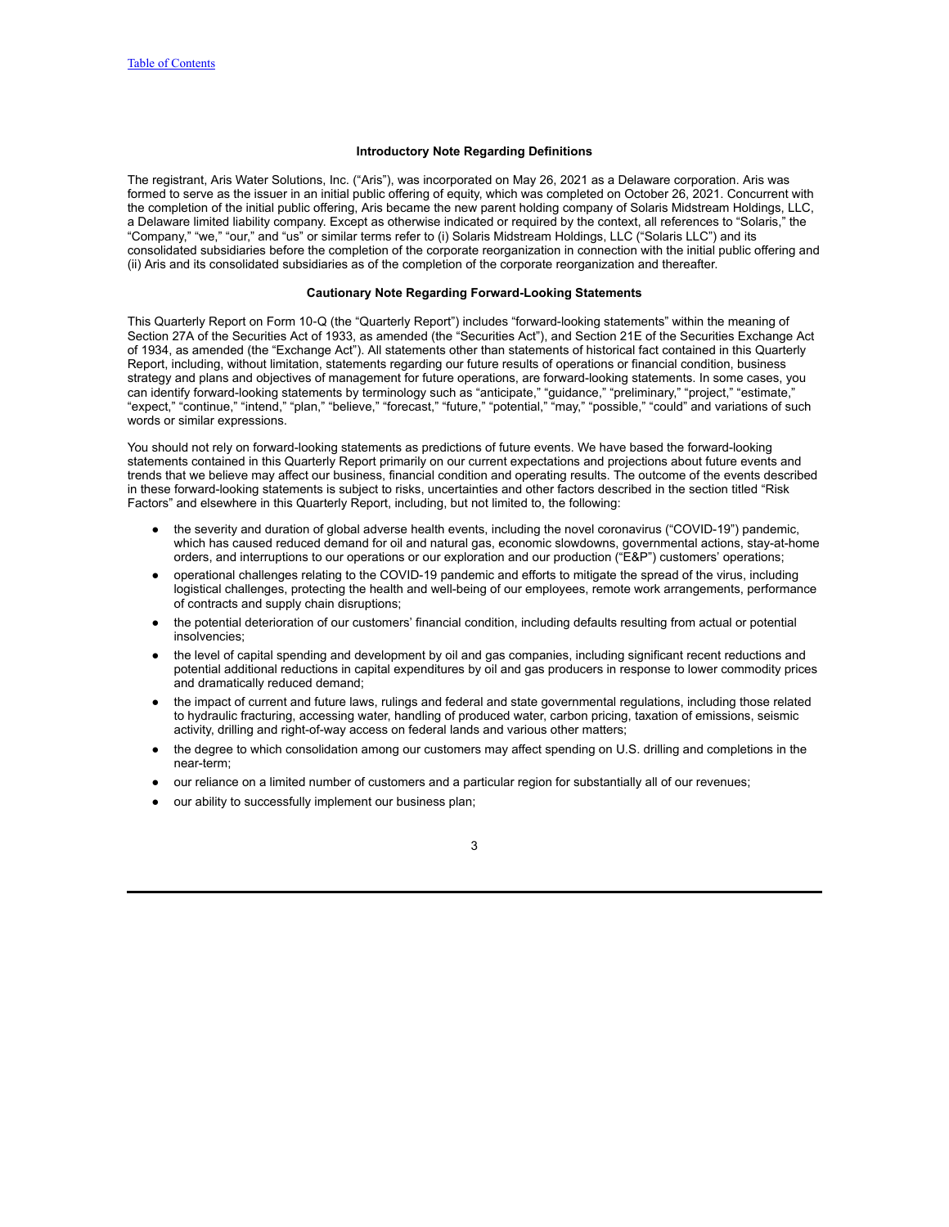## **Introductory Note Regarding Definitions**

The registrant, Aris Water Solutions, Inc. ("Aris"), was incorporated on May 26, 2021 as a Delaware corporation. Aris was formed to serve as the issuer in an initial public offering of equity, which was completed on October 26, 2021. Concurrent with the completion of the initial public offering, Aris became the new parent holding company of Solaris Midstream Holdings, LLC, a Delaware limited liability company. Except as otherwise indicated or required by the context, all references to "Solaris," the "Company," "we," "our," and "us" or similar terms refer to (i) Solaris Midstream Holdings, LLC ("Solaris LLC") and its consolidated subsidiaries before the completion of the corporate reorganization in connection with the initial public offering and (ii) Aris and its consolidated subsidiaries as of the completion of the corporate reorganization and thereafter.

### **Cautionary Note Regarding Forward-Looking Statements**

<span id="page-2-0"></span>This Quarterly Report on Form 10‑Q (the "Quarterly Report") includes "forward-looking statements" within the meaning of Section 27A of the Securities Act of 1933, as amended (the "Securities Act"), and Section 21E of the Securities Exchange Act of 1934, as amended (the "Exchange Act"). All statements other than statements of historical fact contained in this Quarterly Report, including, without limitation, statements regarding our future results of operations or financial condition, business strategy and plans and objectives of management for future operations, are forward-looking statements. In some cases, you can identify forward-looking statements by terminology such as "anticipate," "guidance," "preliminary," "project," "estimate," "expect," "continue," "intend," "plan," "believe," "forecast," "future," "potential," "may," "possible," "could" and variations of such words or similar expressions.

You should not rely on forward-looking statements as predictions of future events. We have based the forward-looking statements contained in this Quarterly Report primarily on our current expectations and projections about future events and trends that we believe may affect our business, financial condition and operating results. The outcome of the events described in these forward-looking statements is subject to risks, uncertainties and other factors described in the section titled "Risk Factors" and elsewhere in this Quarterly Report, including, but not limited to, the following:

- the severity and duration of global adverse health events, including the novel coronavirus ("COVID-19") pandemic, which has caused reduced demand for oil and natural gas, economic slowdowns, governmental actions, stay-at-home orders, and interruptions to our operations or our exploration and our production ("E&P") customers' operations;
- operational challenges relating to the COVID-19 pandemic and efforts to mitigate the spread of the virus, including logistical challenges, protecting the health and well-being of our employees, remote work arrangements, performance of contracts and supply chain disruptions;
- the potential deterioration of our customers' financial condition, including defaults resulting from actual or potential insolvencies;
- the level of capital spending and development by oil and gas companies, including significant recent reductions and potential additional reductions in capital expenditures by oil and gas producers in response to lower commodity prices and dramatically reduced demand;
- the impact of current and future laws, rulings and federal and state governmental regulations, including those related to hydraulic fracturing, accessing water, handling of produced water, carbon pricing, taxation of emissions, seismic activity, drilling and right-of-way access on federal lands and various other matters;
- the degree to which consolidation among our customers may affect spending on U.S. drilling and completions in the near-term;
- our reliance on a limited number of customers and a particular region for substantially all of our revenues;
- our ability to successfully implement our business plan;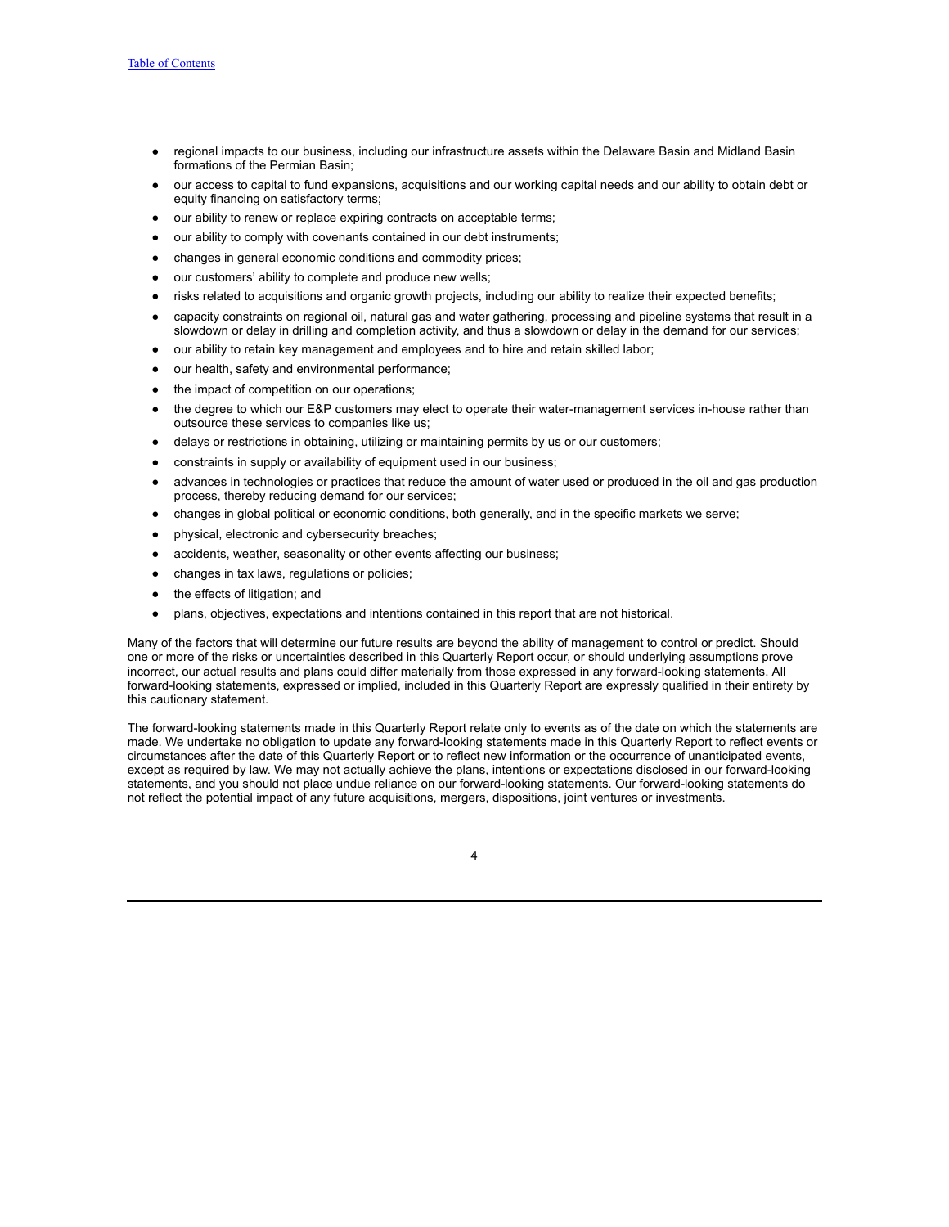- regional impacts to our business, including our infrastructure assets within the Delaware Basin and Midland Basin formations of the Permian Basin;
- our access to capital to fund expansions, acquisitions and our working capital needs and our ability to obtain debt or equity financing on satisfactory terms;
- our ability to renew or replace expiring contracts on acceptable terms;
- our ability to comply with covenants contained in our debt instruments;
- changes in general economic conditions and commodity prices;
- our customers' ability to complete and produce new wells;
- risks related to acquisitions and organic growth projects, including our ability to realize their expected benefits;
- capacity constraints on regional oil, natural gas and water gathering, processing and pipeline systems that result in a slowdown or delay in drilling and completion activity, and thus a slowdown or delay in the demand for our services;
- our ability to retain key management and employees and to hire and retain skilled labor;
- our health, safety and environmental performance;
- the impact of competition on our operations;
- the degree to which our E&P customers may elect to operate their water-management services in-house rather than outsource these services to companies like us;
- delays or restrictions in obtaining, utilizing or maintaining permits by us or our customers;
- constraints in supply or availability of equipment used in our business;
- advances in technologies or practices that reduce the amount of water used or produced in the oil and gas production process, thereby reducing demand for our services;
- changes in global political or economic conditions, both generally, and in the specific markets we serve;
- physical, electronic and cybersecurity breaches;
- accidents, weather, seasonality or other events affecting our business;
- changes in tax laws, regulations or policies;
- the effects of litigation; and
- plans, objectives, expectations and intentions contained in this report that are not historical.

Many of the factors that will determine our future results are beyond the ability of management to control or predict. Should one or more of the risks or uncertainties described in this Quarterly Report occur, or should underlying assumptions prove incorrect, our actual results and plans could differ materially from those expressed in any forward-looking statements. All forward-looking statements, expressed or implied, included in this Quarterly Report are expressly qualified in their entirety by this cautionary statement.

The forward-looking statements made in this Quarterly Report relate only to events as of the date on which the statements are made. We undertake no obligation to update any forward-looking statements made in this Quarterly Report to reflect events or circumstances after the date of this Quarterly Report or to reflect new information or the occurrence of unanticipated events, except as required by law. We may not actually achieve the plans, intentions or expectations disclosed in our forward-looking statements, and you should not place undue reliance on our forward-looking statements. Our forward-looking statements do not reflect the potential impact of any future acquisitions, mergers, dispositions, joint ventures or investments.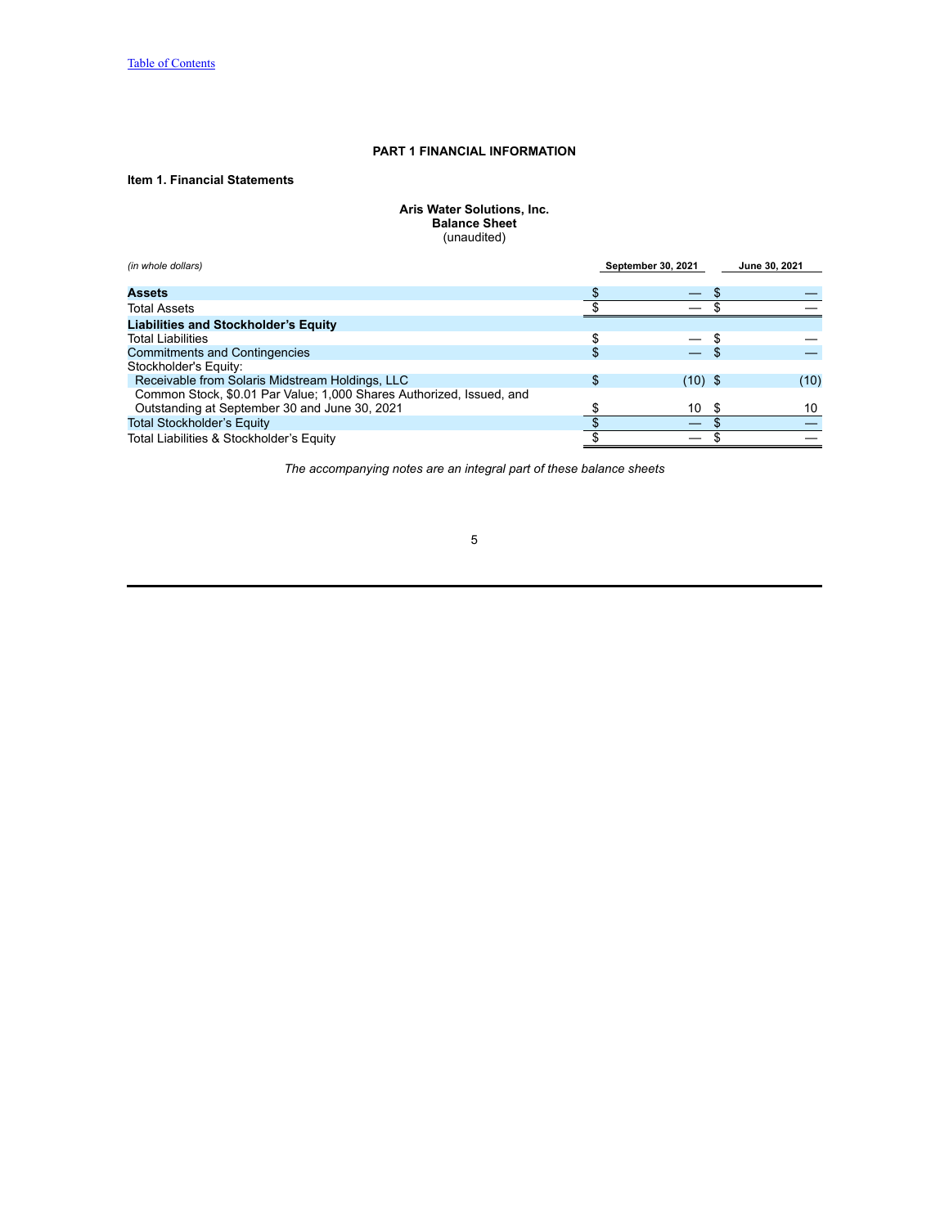## **PART 1 FINANCIAL INFORMATION**

# <span id="page-4-2"></span><span id="page-4-1"></span><span id="page-4-0"></span>**Item 1. Financial Statements**

**Aris Water Solutions, Inc. Balance Sheet** (unaudited)

<span id="page-4-3"></span>

| (in whole dollars)                                                   | September 30, 2021 | June 30, 2021 |
|----------------------------------------------------------------------|--------------------|---------------|
|                                                                      |                    |               |
| <b>Assets</b>                                                        |                    |               |
| <b>Total Assets</b>                                                  |                    |               |
| <b>Liabilities and Stockholder's Equity</b>                          |                    |               |
| <b>Total Liabilities</b>                                             |                    |               |
| <b>Commitments and Contingencies</b>                                 |                    |               |
| Stockholder's Equity:                                                |                    |               |
| Receivable from Solaris Midstream Holdings, LLC                      | \$<br>(10) \$      | (10)          |
| Common Stock, \$0.01 Par Value; 1,000 Shares Authorized, Issued, and |                    |               |
| Outstanding at September 30 and June 30, 2021                        | 10                 | 10            |
| <b>Total Stockholder's Equity</b>                                    |                    |               |
| Total Liabilities & Stockholder's Equity                             |                    |               |

*The accompanying notes are an integral part of these balance sheets*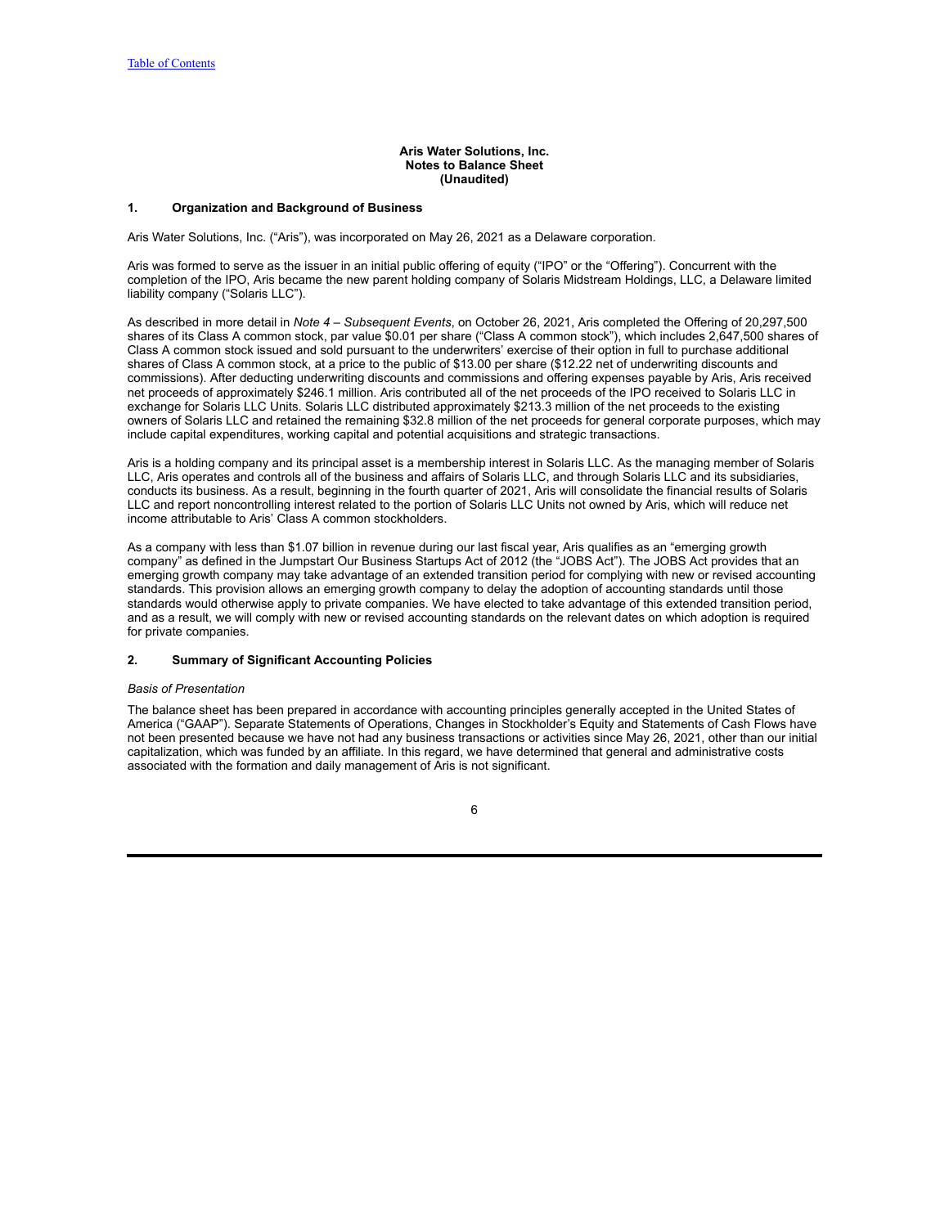### **Aris Water Solutions, Inc. Notes to Balance Sheet (Unaudited)**

### <span id="page-5-0"></span>**1. Organization and Background of Business**

Aris Water Solutions, Inc. ("Aris"), was incorporated on May 26, 2021 as a Delaware corporation.

Aris was formed to serve as the issuer in an initial public offering of equity ("IPO" or the "Offering"). Concurrent with the completion of the IPO, Aris became the new parent holding company of Solaris Midstream Holdings, LLC, a Delaware limited liability company ("Solaris LLC").

As described in more detail in *Note 4 – Subsequent Events*, on October 26, 2021, Aris completed the Offering of 20,297,500 shares of its Class A common stock, par value \$0.01 per share ("Class A common stock"), which includes 2,647,500 shares of Class A common stock issued and sold pursuant to the underwriters' exercise of their option in full to purchase additional shares of Class A common stock, at a price to the public of \$13.00 per share (\$12.22 net of underwriting discounts and commissions). After deducting underwriting discounts and commissions and offering expenses payable by Aris, Aris received net proceeds of approximately \$246.1 million. Aris contributed all of the net proceeds of the IPO received to Solaris LLC in exchange for Solaris LLC Units. Solaris LLC distributed approximately \$213.3 million of the net proceeds to the existing owners of Solaris LLC and retained the remaining \$32.8 million of the net proceeds for general corporate purposes, which may include capital expenditures, working capital and potential acquisitions and strategic transactions.

Aris is a holding company and its principal asset is a membership interest in Solaris LLC. As the managing member of Solaris LLC, Aris operates and controls all of the business and affairs of Solaris LLC, and through Solaris LLC and its subsidiaries, conducts its business. As a result, beginning in the fourth quarter of 2021, Aris will consolidate the financial results of Solaris LLC and report noncontrolling interest related to the portion of Solaris LLC Units not owned by Aris, which will reduce net income attributable to Aris' Class A common stockholders.

As a company with less than \$1.07 billion in revenue during our last fiscal year, Aris qualifies as an "emerging growth company" as defined in the Jumpstart Our Business Startups Act of 2012 (the "JOBS Act"). The JOBS Act provides that an emerging growth company may take advantage of an extended transition period for complying with new or revised accounting standards. This provision allows an emerging growth company to delay the adoption of accounting standards until those standards would otherwise apply to private companies. We have elected to take advantage of this extended transition period, and as a result, we will comply with new or revised accounting standards on the relevant dates on which adoption is required for private companies.

### **2. Summary of Significant Accounting Policies**

#### *Basis of Presentation*

The balance sheet has been prepared in accordance with accounting principles generally accepted in the United States of America ("GAAP"). Separate Statements of Operations, Changes in Stockholder's Equity and Statements of Cash Flows have not been presented because we have not had any business transactions or activities since May 26, 2021, other than our initial capitalization, which was funded by an affiliate. In this regard, we have determined that general and administrative costs associated with the formation and daily management of Aris is not significant.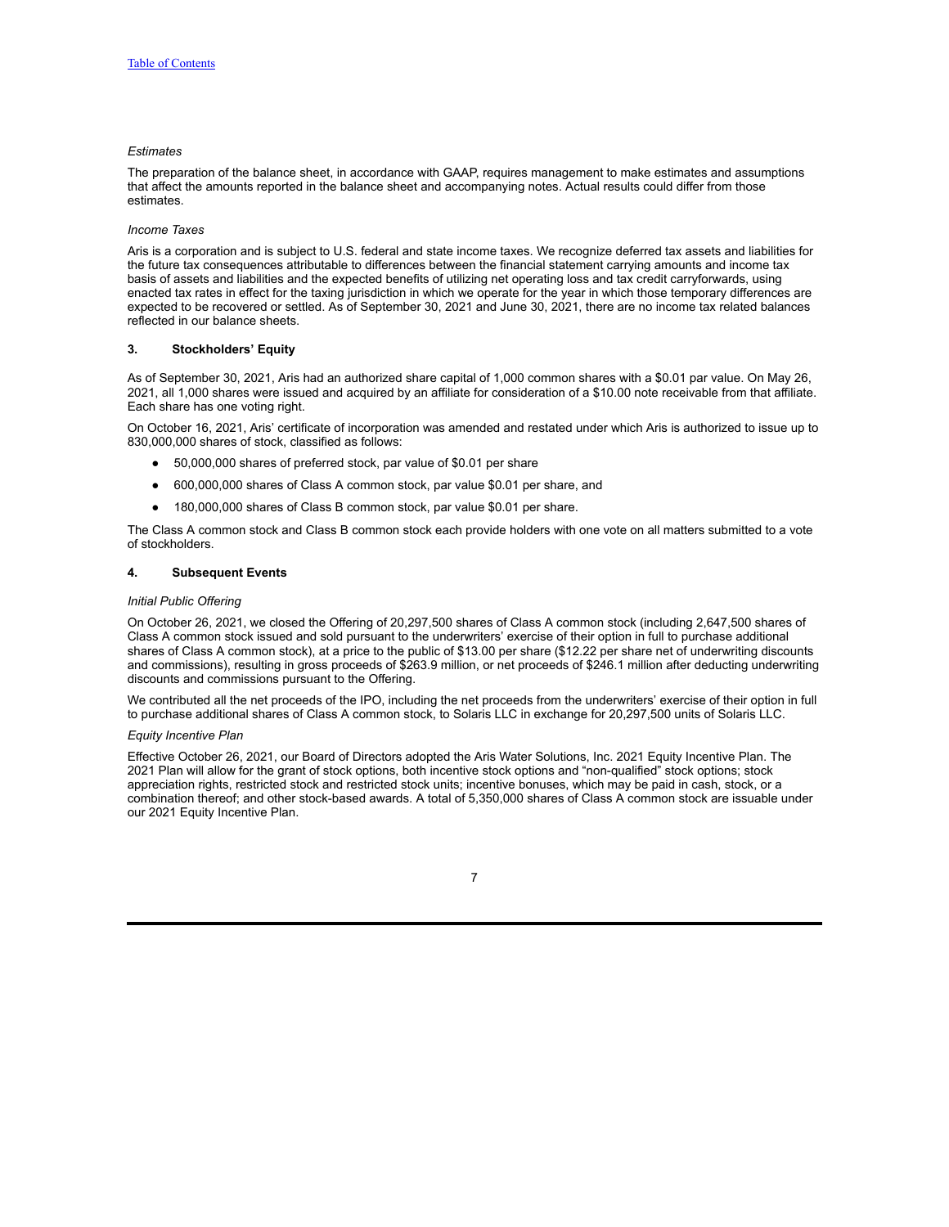### *Estimates*

The preparation of the balance sheet, in accordance with GAAP, requires management to make estimates and assumptions that affect the amounts reported in the balance sheet and accompanying notes. Actual results could differ from those estimates.

### *Income Taxes*

Aris is a corporation and is subject to U.S. federal and state income taxes. We recognize deferred tax assets and liabilities for the future tax consequences attributable to differences between the financial statement carrying amounts and income tax basis of assets and liabilities and the expected benefits of utilizing net operating loss and tax credit carryforwards, using enacted tax rates in effect for the taxing jurisdiction in which we operate for the year in which those temporary differences are expected to be recovered or settled. As of September 30, 2021 and June 30, 2021, there are no income tax related balances reflected in our balance sheets.

### **3. Stockholders' Equity**

As of September 30, 2021, Aris had an authorized share capital of 1,000 common shares with a \$0.01 par value. On May 26, 2021, all 1,000 shares were issued and acquired by an affiliate for consideration of a \$10.00 note receivable from that affiliate. Each share has one voting right.

On October 16, 2021, Aris' certificate of incorporation was amended and restated under which Aris is authorized to issue up to 830,000,000 shares of stock, classified as follows:

- 50,000,000 shares of preferred stock, par value of \$0.01 per share
- 600,000,000 shares of Class A common stock, par value \$0.01 per share, and
- 180,000,000 shares of Class B common stock, par value \$0.01 per share.

The Class A common stock and Class B common stock each provide holders with one vote on all matters submitted to a vote of stockholders.

### **4. Subsequent Events**

### *Initial Public Offering*

On October 26, 2021, we closed the Offering of 20,297,500 shares of Class A common stock (including 2,647,500 shares of Class A common stock issued and sold pursuant to the underwriters' exercise of their option in full to purchase additional shares of Class A common stock), at a price to the public of \$13.00 per share (\$12.22 per share net of underwriting discounts and commissions), resulting in gross proceeds of \$263.9 million, or net proceeds of \$246.1 million after deducting underwriting discounts and commissions pursuant to the Offering.

We contributed all the net proceeds of the IPO, including the net proceeds from the underwriters' exercise of their option in full to purchase additional shares of Class A common stock, to Solaris LLC in exchange for 20,297,500 units of Solaris LLC.

### *Equity Incentive Plan*

Effective October 26, 2021, our Board of Directors adopted the Aris Water Solutions, Inc. 2021 Equity Incentive Plan. The 2021 Plan will allow for the grant of stock options, both incentive stock options and "non-qualified" stock options; stock appreciation rights, restricted stock and restricted stock units; incentive bonuses, which may be paid in cash, stock, or a combination thereof; and other stock-based awards. A total of 5,350,000 shares of Class A common stock are issuable under our 2021 Equity Incentive Plan.

|  | I |  |
|--|---|--|
|  |   |  |
|  |   |  |
|  |   |  |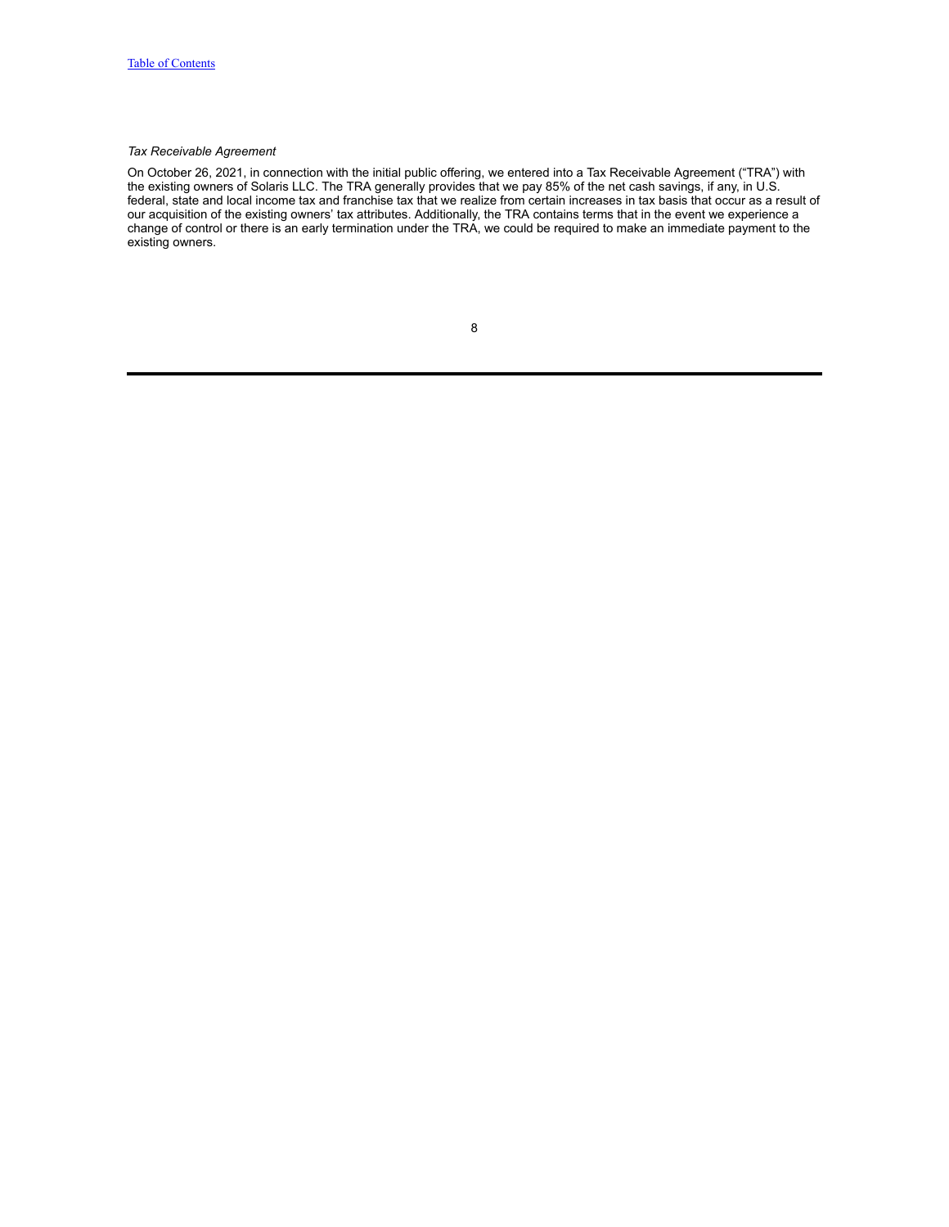## *Tax Receivable Agreement*

On October 26, 2021, in connection with the initial public offering, we entered into a Tax Receivable Agreement ("TRA") with the existing owners of Solaris LLC. The TRA generally provides that we pay 85% of the net cash savings, if any, in U.S. federal, state and local income tax and franchise tax that we realize from certain increases in tax basis that occur as a result of our acquisition of the existing owners' tax attributes. Additionally, the TRA contains terms that in the event we experience a change of control or there is an early termination under the TRA, we could be required to make an immediate payment to the existing owners.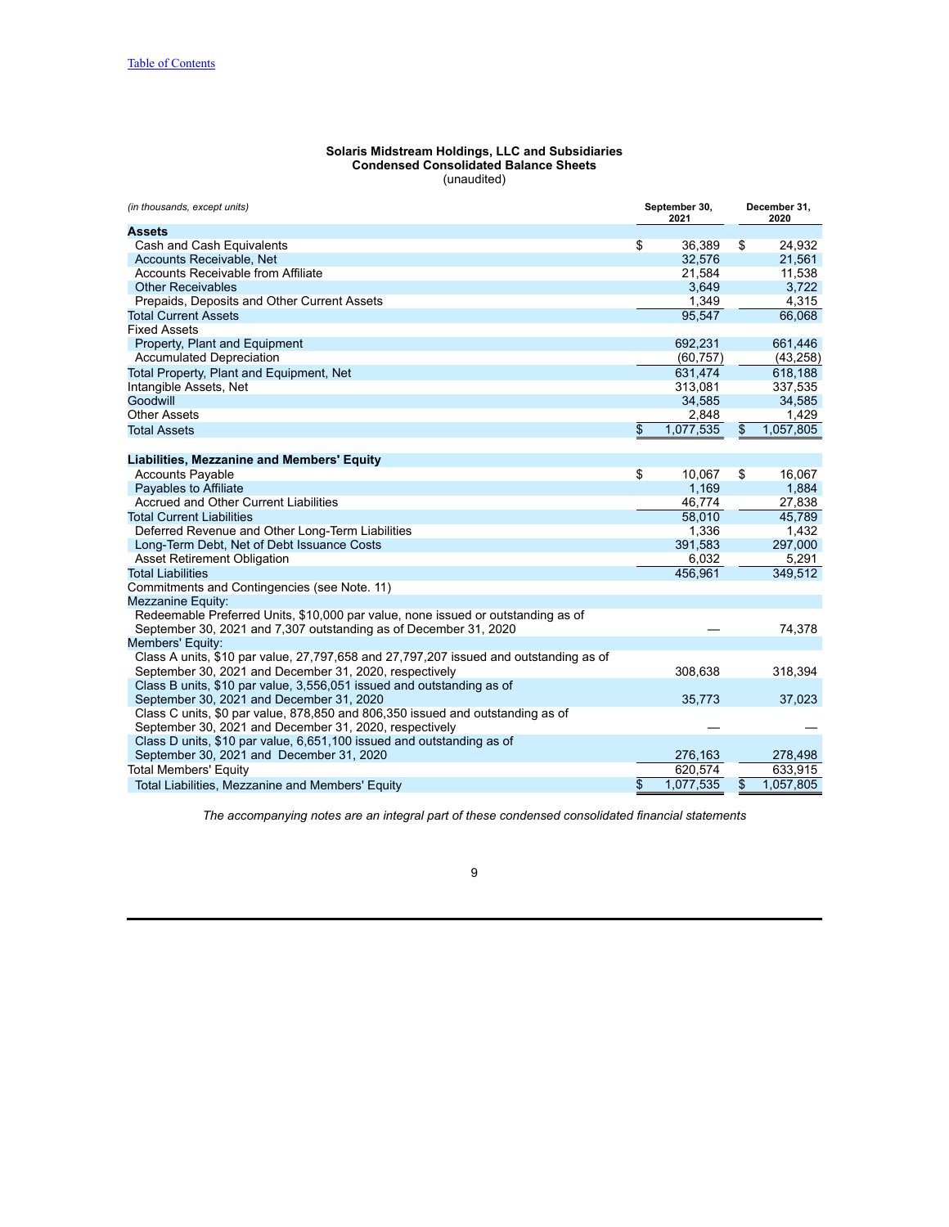| Solaris Midstream Holdings, LLC and Subsidiaries |  |
|--------------------------------------------------|--|
| <b>Condensed Consolidated Balance Sheets</b>     |  |
| (unaudited)                                      |  |

<span id="page-8-1"></span><span id="page-8-0"></span>

| (in thousands, except units)                                                          | September 30,<br>2021 | December 31.<br>2020 |
|---------------------------------------------------------------------------------------|-----------------------|----------------------|
| Assets                                                                                |                       |                      |
| Cash and Cash Equivalents                                                             | \$<br>36,389          | \$<br>24,932         |
| Accounts Receivable, Net                                                              | 32,576                | 21,561               |
| <b>Accounts Receivable from Affiliate</b>                                             | 21,584                | 11,538               |
| <b>Other Receivables</b>                                                              | 3,649                 | 3,722                |
| Prepaids, Deposits and Other Current Assets                                           | 1,349                 | 4,315                |
| <b>Total Current Assets</b>                                                           | 95,547                | 66,068               |
| <b>Fixed Assets</b>                                                                   |                       |                      |
| Property, Plant and Equipment                                                         | 692,231               | 661,446              |
| <b>Accumulated Depreciation</b>                                                       | (60, 757)             | (43, 258)            |
| Total Property, Plant and Equipment, Net                                              | 631,474               | 618,188              |
| Intangible Assets, Net                                                                | 313,081               | 337,535              |
| Goodwill                                                                              | 34,585                | 34,585               |
| <b>Other Assets</b>                                                                   | 2,848                 | 1,429                |
| <b>Total Assets</b>                                                                   | \$<br>1,077,535       | \$<br>1,057,805      |
| Liabilities, Mezzanine and Members' Equity                                            |                       |                      |
| <b>Accounts Payable</b>                                                               | \$<br>10.067          | \$<br>16,067         |
| Payables to Affiliate                                                                 | 1.169                 | 1,884                |
| Accrued and Other Current Liabilities                                                 | 46,774                | 27,838               |
| <b>Total Current Liabilities</b>                                                      | 58,010                | 45,789               |
| Deferred Revenue and Other Long-Term Liabilities                                      | 1,336                 | 1,432                |
| Long-Term Debt, Net of Debt Issuance Costs                                            | 391,583               | 297,000              |
| <b>Asset Retirement Obligation</b>                                                    | 6,032                 | 5,291                |
| <b>Total Liabilities</b>                                                              | 456,961               | 349,512              |
| Commitments and Contingencies (see Note. 11)                                          |                       |                      |
| Mezzanine Equity:                                                                     |                       |                      |
| Redeemable Preferred Units, \$10,000 par value, none issued or outstanding as of      |                       |                      |
| September 30, 2021 and 7,307 outstanding as of December 31, 2020                      |                       | 74,378               |
| Members' Equity:                                                                      |                       |                      |
| Class A units, \$10 par value, 27,797,658 and 27,797,207 issued and outstanding as of |                       |                      |
| September 30, 2021 and December 31, 2020, respectively                                | 308,638               | 318,394              |
| Class B units, \$10 par value, 3,556,051 issued and outstanding as of                 |                       |                      |
| September 30, 2021 and December 31, 2020                                              | 35,773                | 37,023               |
| Class C units, \$0 par value, 878,850 and 806,350 issued and outstanding as of        |                       |                      |
| September 30, 2021 and December 31, 2020, respectively                                |                       |                      |
| Class D units, \$10 par value, 6,651,100 issued and outstanding as of                 |                       |                      |
| September 30, 2021 and December 31, 2020                                              | 276,163               | 278,498              |
| <b>Total Members' Equity</b>                                                          | 620,574               | 633,915              |
| Total Liabilities, Mezzanine and Members' Equity                                      | \$<br>1,077,535       | \$<br>1,057,805      |

*The accompanying notes are an integral part of these condensed consolidated financial statements*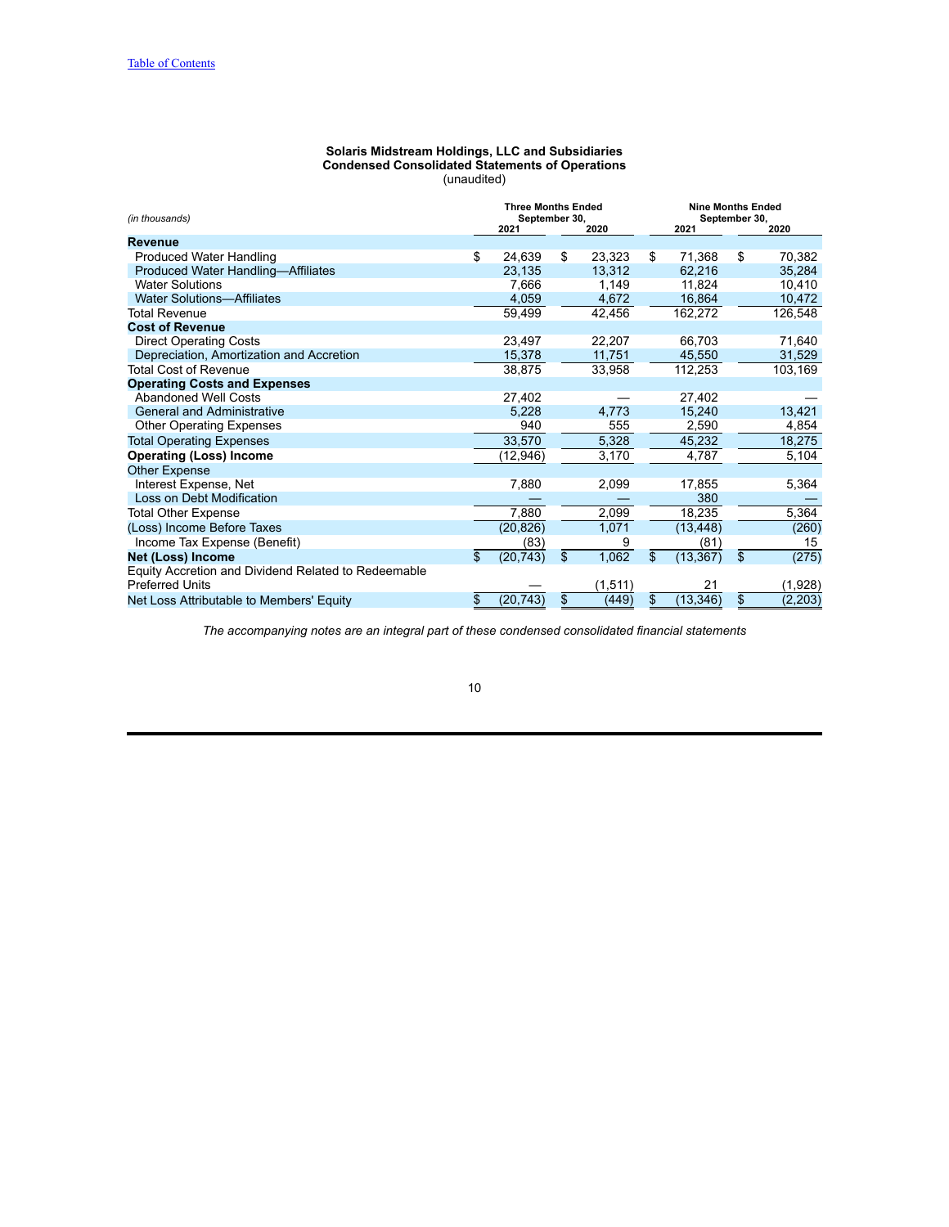### **Solaris Midstream Holdings, LLC and Subsidiaries Condensed Consolidated Statements of Operations** (unaudited)

<span id="page-9-0"></span>

| (in thousands)                                      |                 | <b>Three Months Ended</b><br>September 30, |          |                |           | <b>Nine Months Ended</b><br>September 30, |          |
|-----------------------------------------------------|-----------------|--------------------------------------------|----------|----------------|-----------|-------------------------------------------|----------|
|                                                     | 2021            |                                            | 2020     |                | 2021      |                                           | 2020     |
| <b>Revenue</b>                                      |                 |                                            |          |                |           |                                           |          |
| Produced Water Handling                             | \$<br>24,639    | \$                                         | 23,323   | \$             | 71,368    | \$                                        | 70,382   |
| Produced Water Handling-Affiliates                  | 23,135          |                                            | 13,312   |                | 62.216    |                                           | 35,284   |
| <b>Water Solutions</b>                              | 7.666           |                                            | 1.149    |                | 11.824    |                                           | 10.410   |
| <b>Water Solutions-Affiliates</b>                   | 4,059           |                                            | 4,672    |                | 16,864    |                                           | 10,472   |
| Total Revenue                                       | 59,499          |                                            | 42,456   |                | 162,272   |                                           | 126,548  |
| <b>Cost of Revenue</b>                              |                 |                                            |          |                |           |                                           |          |
| <b>Direct Operating Costs</b>                       | 23,497          |                                            | 22,207   |                | 66,703    |                                           | 71,640   |
| Depreciation, Amortization and Accretion            | 15,378          |                                            | 11,751   |                | 45,550    |                                           | 31,529   |
| <b>Total Cost of Revenue</b>                        | 38,875          |                                            | 33,958   |                | 112,253   |                                           | 103,169  |
| <b>Operating Costs and Expenses</b>                 |                 |                                            |          |                |           |                                           |          |
| <b>Abandoned Well Costs</b>                         | 27,402          |                                            |          |                | 27.402    |                                           |          |
| <b>General and Administrative</b>                   | 5,228           |                                            | 4,773    |                | 15,240    |                                           | 13,421   |
| <b>Other Operating Expenses</b>                     | 940             |                                            | 555      |                | 2,590     |                                           | 4,854    |
| <b>Total Operating Expenses</b>                     | 33,570          |                                            | 5,328    |                | 45,232    |                                           | 18,275   |
| <b>Operating (Loss) Income</b>                      | (12,946)        |                                            | 3,170    |                | 4,787     |                                           | 5,104    |
| <b>Other Expense</b>                                |                 |                                            |          |                |           |                                           |          |
| Interest Expense, Net                               | 7,880           |                                            | 2,099    |                | 17,855    |                                           | 5,364    |
| Loss on Debt Modification                           |                 |                                            |          |                | 380       |                                           |          |
| <b>Total Other Expense</b>                          | 7,880           |                                            | 2,099    |                | 18,235    |                                           | 5,364    |
| (Loss) Income Before Taxes                          | (20, 826)       |                                            | 1,071    |                | (13, 448) |                                           | (260)    |
| Income Tax Expense (Benefit)                        | (83)            |                                            | 9        |                | (81)      |                                           | 15       |
| Net (Loss) Income                                   | \$<br>(20, 743) | \$                                         | 1,062    | $\mathfrak{s}$ | (13, 367) | $\mathfrak{s}$                            | (275)    |
| Equity Accretion and Dividend Related to Redeemable |                 |                                            |          |                |           |                                           |          |
| <b>Preferred Units</b>                              |                 |                                            | (1, 511) |                | 21        |                                           | (1,928)  |
| Net Loss Attributable to Members' Equity            | \$<br>(20, 743) | \$                                         | (449)    | \$             | (13, 346) | \$                                        | (2, 203) |

*The accompanying notes are an integral part of these condensed consolidated financial statements*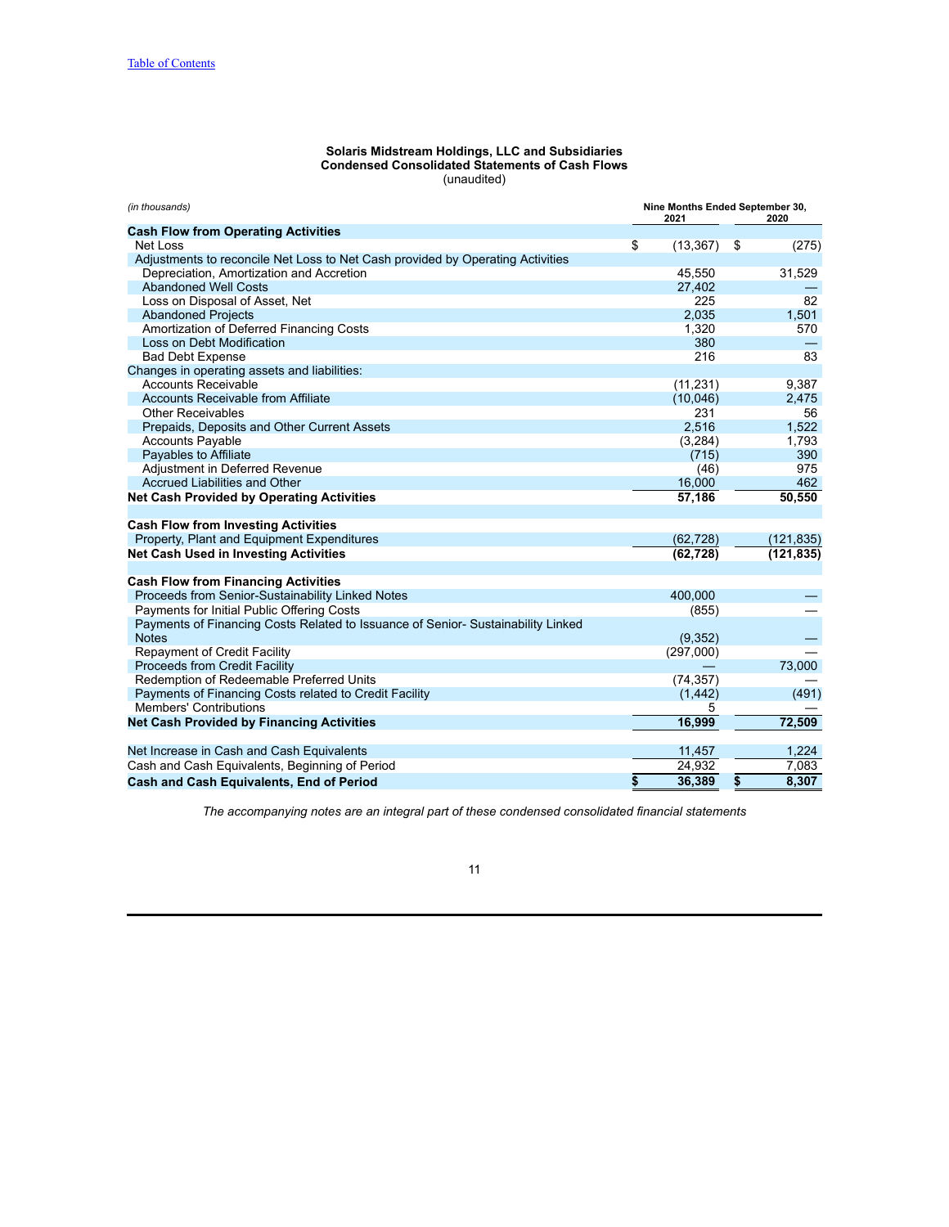### **Solaris Midstream Holdings, LLC and Subsidiaries Condensed Consolidated Statements of Cash Flows** (unaudited)

<span id="page-10-0"></span>

| (in thousands)                                                                   | Nine Months Ended September 30,<br>2021 |           |    | 2020       |  |  |
|----------------------------------------------------------------------------------|-----------------------------------------|-----------|----|------------|--|--|
| <b>Cash Flow from Operating Activities</b>                                       |                                         |           |    |            |  |  |
| Net Loss                                                                         | \$                                      | (13, 367) | \$ | (275)      |  |  |
| Adjustments to reconcile Net Loss to Net Cash provided by Operating Activities   |                                         |           |    |            |  |  |
| Depreciation, Amortization and Accretion                                         |                                         | 45,550    |    | 31,529     |  |  |
| <b>Abandoned Well Costs</b>                                                      |                                         | 27,402    |    |            |  |  |
| Loss on Disposal of Asset, Net                                                   |                                         | 225       |    | 82         |  |  |
| <b>Abandoned Projects</b>                                                        |                                         | 2,035     |    | 1,501      |  |  |
| Amortization of Deferred Financing Costs                                         |                                         | 1,320     |    | 570        |  |  |
| Loss on Debt Modification                                                        |                                         | 380       |    |            |  |  |
| <b>Bad Debt Expense</b>                                                          |                                         | 216       |    | 83         |  |  |
| Changes in operating assets and liabilities:                                     |                                         |           |    |            |  |  |
| <b>Accounts Receivable</b>                                                       |                                         | (11, 231) |    | 9,387      |  |  |
| <b>Accounts Receivable from Affiliate</b>                                        |                                         | (10,046)  |    | 2,475      |  |  |
| <b>Other Receivables</b>                                                         |                                         | 231       |    | 56         |  |  |
| Prepaids, Deposits and Other Current Assets                                      |                                         | 2,516     |    | 1.522      |  |  |
| <b>Accounts Payable</b>                                                          |                                         | (3,284)   |    | 1,793      |  |  |
| Payables to Affiliate                                                            |                                         | (715)     |    | 390        |  |  |
| Adjustment in Deferred Revenue                                                   |                                         | (46)      |    | 975        |  |  |
| Accrued Liabilities and Other                                                    |                                         | 16,000    |    | 462        |  |  |
| <b>Net Cash Provided by Operating Activities</b>                                 |                                         | 57,186    |    | 50,550     |  |  |
| <b>Cash Flow from Investing Activities</b>                                       |                                         |           |    |            |  |  |
| Property, Plant and Equipment Expenditures                                       |                                         | (62, 728) |    | (121, 835) |  |  |
| Net Cash Used in Investing Activities                                            |                                         | (62, 728) |    | (121, 835) |  |  |
|                                                                                  |                                         |           |    |            |  |  |
| <b>Cash Flow from Financing Activities</b>                                       |                                         |           |    |            |  |  |
| Proceeds from Senior-Sustainability Linked Notes                                 |                                         | 400.000   |    |            |  |  |
| Payments for Initial Public Offering Costs                                       |                                         | (855)     |    |            |  |  |
| Payments of Financing Costs Related to Issuance of Senior- Sustainability Linked |                                         |           |    |            |  |  |
| <b>Notes</b>                                                                     |                                         | (9,352)   |    |            |  |  |
| <b>Repayment of Credit Facility</b>                                              |                                         | (297,000) |    |            |  |  |
| Proceeds from Credit Facility                                                    |                                         |           |    | 73,000     |  |  |
| Redemption of Redeemable Preferred Units                                         |                                         | (74, 357) |    |            |  |  |
| Payments of Financing Costs related to Credit Facility                           |                                         | (1, 442)  |    | (491)      |  |  |
| <b>Members' Contributions</b>                                                    |                                         | 5         |    |            |  |  |
| <b>Net Cash Provided by Financing Activities</b>                                 |                                         | 16,999    |    | 72,509     |  |  |
| Net Increase in Cash and Cash Equivalents                                        |                                         | 11,457    |    | 1,224      |  |  |
| Cash and Cash Equivalents, Beginning of Period                                   |                                         | 24,932    |    | 7,083      |  |  |
| <b>Cash and Cash Equivalents, End of Period</b>                                  | \$                                      | 36.389    | \$ | 8,307      |  |  |

*The accompanying notes are an integral part of these condensed consolidated financial statements*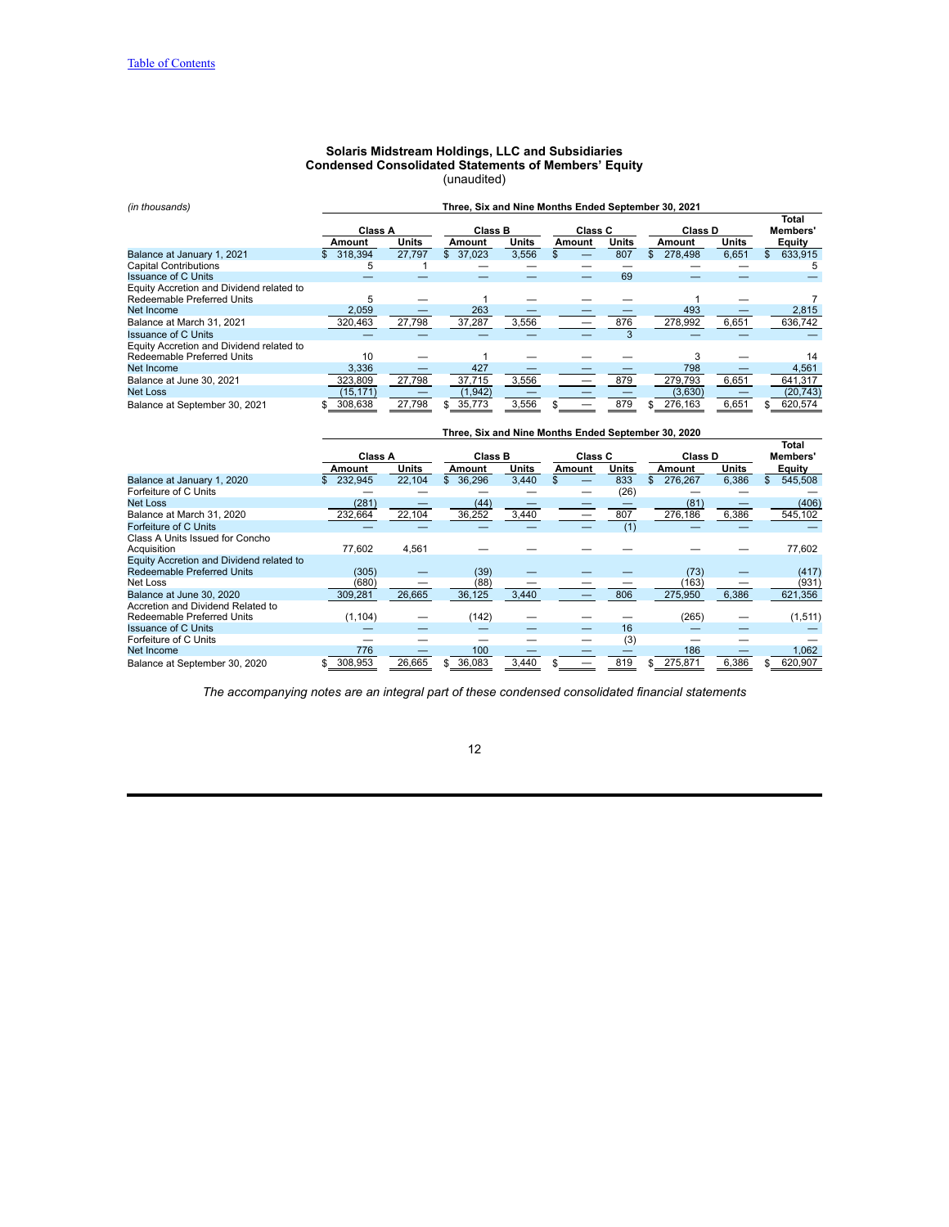### **Solaris Midstream Holdings, LLC and Subsidiaries Condensed Consolidated Statements of Members' Equity** (unaudited)

<span id="page-11-0"></span>

| (in thousands)                           | Three, Six and Nine Months Ended September 30, 2021 |              |                |              |                |              |                         |       |                   |
|------------------------------------------|-----------------------------------------------------|--------------|----------------|--------------|----------------|--------------|-------------------------|-------|-------------------|
|                                          | Class A                                             |              | <b>Class B</b> |              | <b>Class C</b> |              | Class D                 |       | Total<br>Members' |
|                                          | Amount                                              | <b>Units</b> | Amount         | <b>Units</b> | Amount         | <b>Units</b> | Amount                  | Units | Equity            |
| Balance at January 1, 2021               | 318,394                                             | 27.797       | \$37.023       | 3,556        |                | 807          | 278,498<br>$\mathbb{S}$ | 6,651 | 633.915           |
| <b>Capital Contributions</b>             | 5                                                   |              |                |              |                |              |                         |       |                   |
| <b>Issuance of C Units</b>               |                                                     |              |                |              |                | 69           |                         |       |                   |
| Equity Accretion and Dividend related to |                                                     |              |                |              |                |              |                         |       |                   |
| Redeemable Preferred Units               |                                                     |              |                |              |                |              |                         |       |                   |
| Net Income                               | 2.059                                               |              | 263            |              |                |              | 493                     |       | 2,815             |
| Balance at March 31, 2021                | 320,463                                             | 27,798       | 37,287         | 3,556        |                | 876          | 278,992                 | 6,651 | 636,742           |
| <b>Issuance of C Units</b>               |                                                     |              |                |              |                | 3            |                         |       |                   |
| Equity Accretion and Dividend related to |                                                     |              |                |              |                |              |                         |       |                   |
| Redeemable Preferred Units               | 10                                                  |              |                |              |                |              |                         |       | 14                |
| Net Income                               | 3,336                                               |              | 427            |              |                |              | 798                     |       | 4,561             |
| Balance at June 30, 2021                 | 323,809                                             | 27,798       | 37,715         | 3,556        |                | 879          | 279,793                 | 6,651 | 641,317           |
| <b>Net Loss</b>                          | (15, 171)                                           |              | (1,942)        |              |                |              | (3,630)                 |       | (20, 743)         |
| Balance at September 30, 2021            | 308,638                                             | 27,798       | 35,773<br>\$.  | 3,556        |                | 879          | 276,163<br>\$.          | 6,651 | 620,574           |

|                                          |                |              |                        |       |         |       |                |          | Total         |
|------------------------------------------|----------------|--------------|------------------------|-------|---------|-------|----------------|----------|---------------|
|                                          | <b>Class A</b> |              | <b>Class B</b>         |       | Class C |       | Class D        | Members' |               |
|                                          | Amount         | <b>Units</b> | Amount                 | Units | Amount  | Units | Amount         | Units    | <b>Equity</b> |
| Balance at January 1, 2020               | 232.945        | 22,104       | 36,296<br>$\mathbb{S}$ | 3,440 |         | 833   | \$<br>276.267  | 6,386    | 545,508       |
| Forfeiture of C Units                    |                |              |                        |       |         | (26)  |                |          |               |
| Net Loss                                 | (281)          |              | (44)                   |       |         |       | (81)           |          | (406)         |
| Balance at March 31, 2020                | 232,664        | 22,104       | 36,252                 | 3,440 |         | 807   | 276.186        | 6,386    | 545,102       |
| Forfeiture of C Units                    |                |              |                        |       |         | (1)   |                |          |               |
| Class A Units Issued for Concho          |                |              |                        |       |         |       |                |          |               |
| Acquisition                              | 77,602         | 4,561        |                        |       |         |       |                |          | 77,602        |
| Equity Accretion and Dividend related to |                |              |                        |       |         |       |                |          |               |
| <b>Redeemable Preferred Units</b>        | (305)          |              | (39)                   |       |         |       | (73)           |          | (417)         |
| Net Loss                                 | (680)          |              | (88)                   |       |         |       | (163)          |          | (931)         |
| Balance at June 30, 2020                 | 309,281        | 26,665       | 36,125                 | 3,440 |         | 806   | 275,950        | 6,386    | 621,356       |
| Accretion and Dividend Related to        |                |              |                        |       |         |       |                |          |               |
| <b>Redeemable Preferred Units</b>        | (1, 104)       |              | (142)                  |       |         |       | (265)          |          | (1, 511)      |
| <b>Issuance of C Units</b>               |                |              |                        |       |         | 16    |                |          |               |
| Forfeiture of C Units                    |                |              |                        |       |         | (3)   |                |          |               |
| Net Income                               | 776            |              | 100                    |       |         |       | 186            |          | 1,062         |
| Balance at September 30, 2020            | 308,953        | 26,665       | 36,083<br>\$           | 3,440 |         | 819   | 275,871<br>\$. | 6,386    | 620,907       |

**Three, Six and Nine Months Ended September 30, 2020**

*The accompanying notes are an integral part of these condensed consolidated financial statements*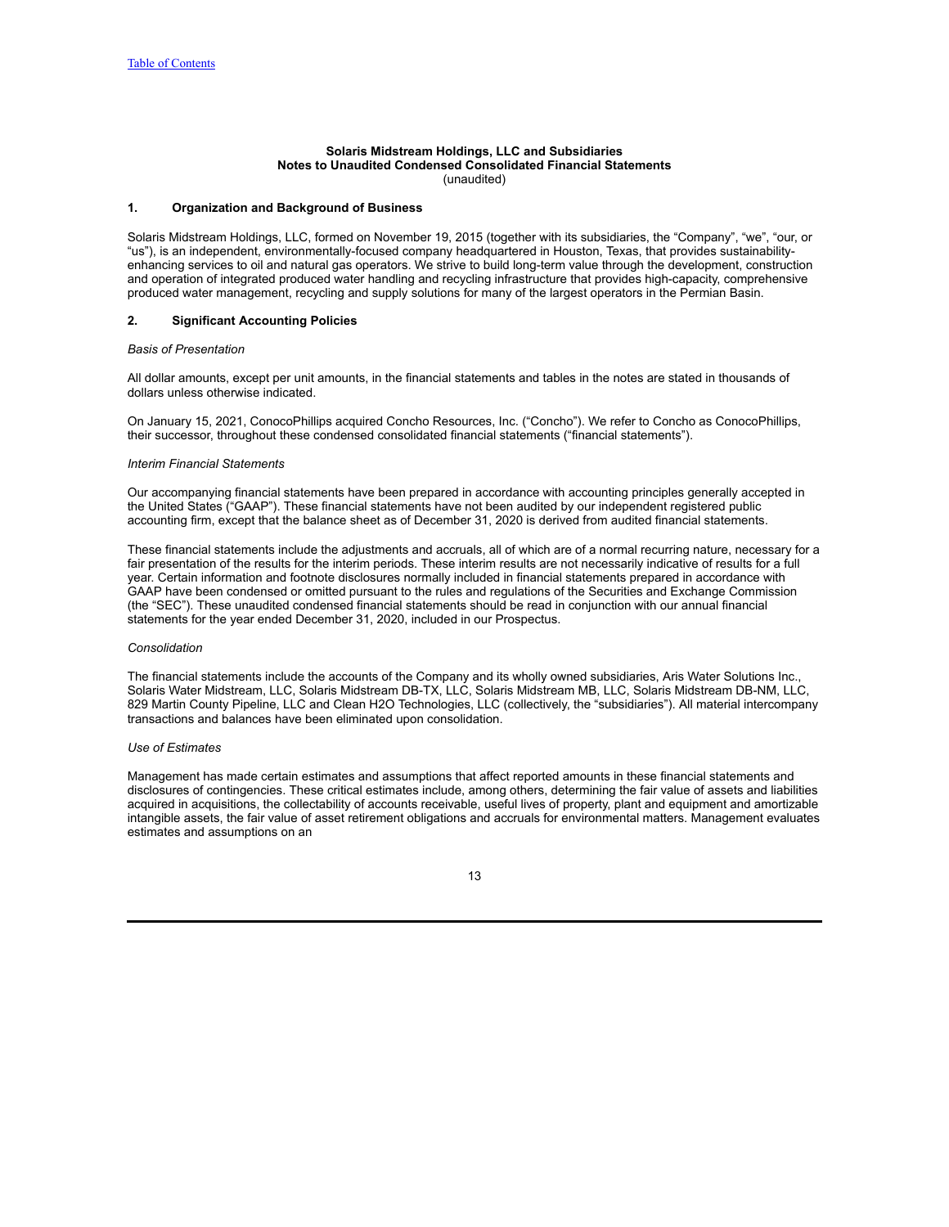### **Solaris Midstream Holdings, LLC and Subsidiaries Notes to Unaudited Condensed Consolidated Financial Statements** (unaudited)

#### <span id="page-12-0"></span>**1. Organization and Background of Business**

Solaris Midstream Holdings, LLC, formed on November 19, 2015 (together with its subsidiaries, the "Company", "we", "our, or "us"), is an independent, environmentally-focused company headquartered in Houston, Texas, that provides sustainabilityenhancing services to oil and natural gas operators. We strive to build long-term value through the development, construction and operation of integrated produced water handling and recycling infrastructure that provides high-capacity, comprehensive produced water management, recycling and supply solutions for many of the largest operators in the Permian Basin.

### **2. Significant Accounting Policies**

### *Basis of Presentation*

All dollar amounts, except per unit amounts, in the financial statements and tables in the notes are stated in thousands of dollars unless otherwise indicated.

On January 15, 2021, ConocoPhillips acquired Concho Resources, Inc. ("Concho"). We refer to Concho as ConocoPhillips, their successor, throughout these condensed consolidated financial statements ("financial statements").

### *Interim Financial Statements*

Our accompanying financial statements have been prepared in accordance with accounting principles generally accepted in the United States ("GAAP"). These financial statements have not been audited by our independent registered public accounting firm, except that the balance sheet as of December 31, 2020 is derived from audited financial statements.

These financial statements include the adjustments and accruals, all of which are of a normal recurring nature, necessary for a fair presentation of the results for the interim periods. These interim results are not necessarily indicative of results for a full year. Certain information and footnote disclosures normally included in financial statements prepared in accordance with GAAP have been condensed or omitted pursuant to the rules and regulations of the Securities and Exchange Commission (the "SEC"). These unaudited condensed financial statements should be read in conjunction with our annual financial statements for the year ended December 31, 2020, included in our Prospectus.

### *Consolidation*

The financial statements include the accounts of the Company and its wholly owned subsidiaries, Aris Water Solutions Inc., Solaris Water Midstream, LLC, Solaris Midstream DB-TX, LLC, Solaris Midstream MB, LLC, Solaris Midstream DB-NM, LLC, 829 Martin County Pipeline, LLC and Clean H2O Technologies, LLC (collectively, the "subsidiaries"). All material intercompany transactions and balances have been eliminated upon consolidation.

#### *Use of Estimates*

Management has made certain estimates and assumptions that affect reported amounts in these financial statements and disclosures of contingencies. These critical estimates include, among others, determining the fair value of assets and liabilities acquired in acquisitions, the collectability of accounts receivable, useful lives of property, plant and equipment and amortizable intangible assets, the fair value of asset retirement obligations and accruals for environmental matters. Management evaluates estimates and assumptions on an

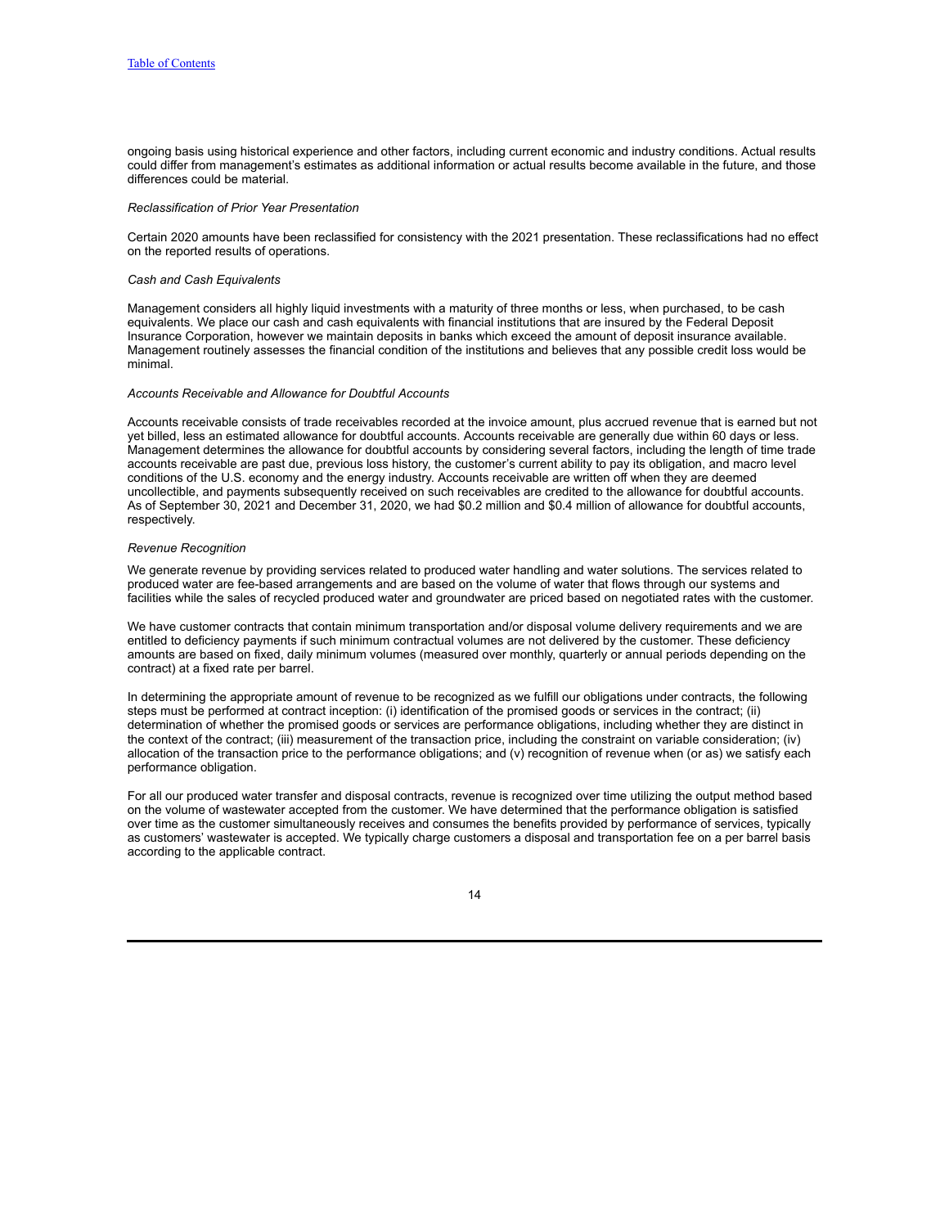ongoing basis using historical experience and other factors, including current economic and industry conditions. Actual results could differ from management's estimates as additional information or actual results become available in the future, and those differences could be material.

#### *Reclassification of Prior Year Presentation*

Certain 2020 amounts have been reclassified for consistency with the 2021 presentation. These reclassifications had no effect on the reported results of operations.

#### *Cash and Cash Equivalents*

Management considers all highly liquid investments with a maturity of three months or less, when purchased, to be cash equivalents. We place our cash and cash equivalents with financial institutions that are insured by the Federal Deposit Insurance Corporation, however we maintain deposits in banks which exceed the amount of deposit insurance available. Management routinely assesses the financial condition of the institutions and believes that any possible credit loss would be minimal.

### *Accounts Receivable and Allowance for Doubtful Accounts*

Accounts receivable consists of trade receivables recorded at the invoice amount, plus accrued revenue that is earned but not yet billed, less an estimated allowance for doubtful accounts. Accounts receivable are generally due within 60 days or less. Management determines the allowance for doubtful accounts by considering several factors, including the length of time trade accounts receivable are past due, previous loss history, the customer's current ability to pay its obligation, and macro level conditions of the U.S. economy and the energy industry. Accounts receivable are written off when they are deemed uncollectible, and payments subsequently received on such receivables are credited to the allowance for doubtful accounts. As of September 30, 2021 and December 31, 2020, we had \$0.2 million and \$0.4 million of allowance for doubtful accounts, respectively.

### *Revenue Recognition*

We generate revenue by providing services related to produced water handling and water solutions. The services related to produced water are fee-based arrangements and are based on the volume of water that flows through our systems and facilities while the sales of recycled produced water and groundwater are priced based on negotiated rates with the customer.

We have customer contracts that contain minimum transportation and/or disposal volume delivery requirements and we are entitled to deficiency payments if such minimum contractual volumes are not delivered by the customer. These deficiency amounts are based on fixed, daily minimum volumes (measured over monthly, quarterly or annual periods depending on the contract) at a fixed rate per barrel.

In determining the appropriate amount of revenue to be recognized as we fulfill our obligations under contracts, the following steps must be performed at contract inception: (i) identification of the promised goods or services in the contract; (ii) determination of whether the promised goods or services are performance obligations, including whether they are distinct in the context of the contract; (iii) measurement of the transaction price, including the constraint on variable consideration; (iv) allocation of the transaction price to the performance obligations; and (v) recognition of revenue when (or as) we satisfy each performance obligation.

For all our produced water transfer and disposal contracts, revenue is recognized over time utilizing the output method based on the volume of wastewater accepted from the customer. We have determined that the performance obligation is satisfied over time as the customer simultaneously receives and consumes the benefits provided by performance of services, typically as customers' wastewater is accepted. We typically charge customers a disposal and transportation fee on a per barrel basis according to the applicable contract.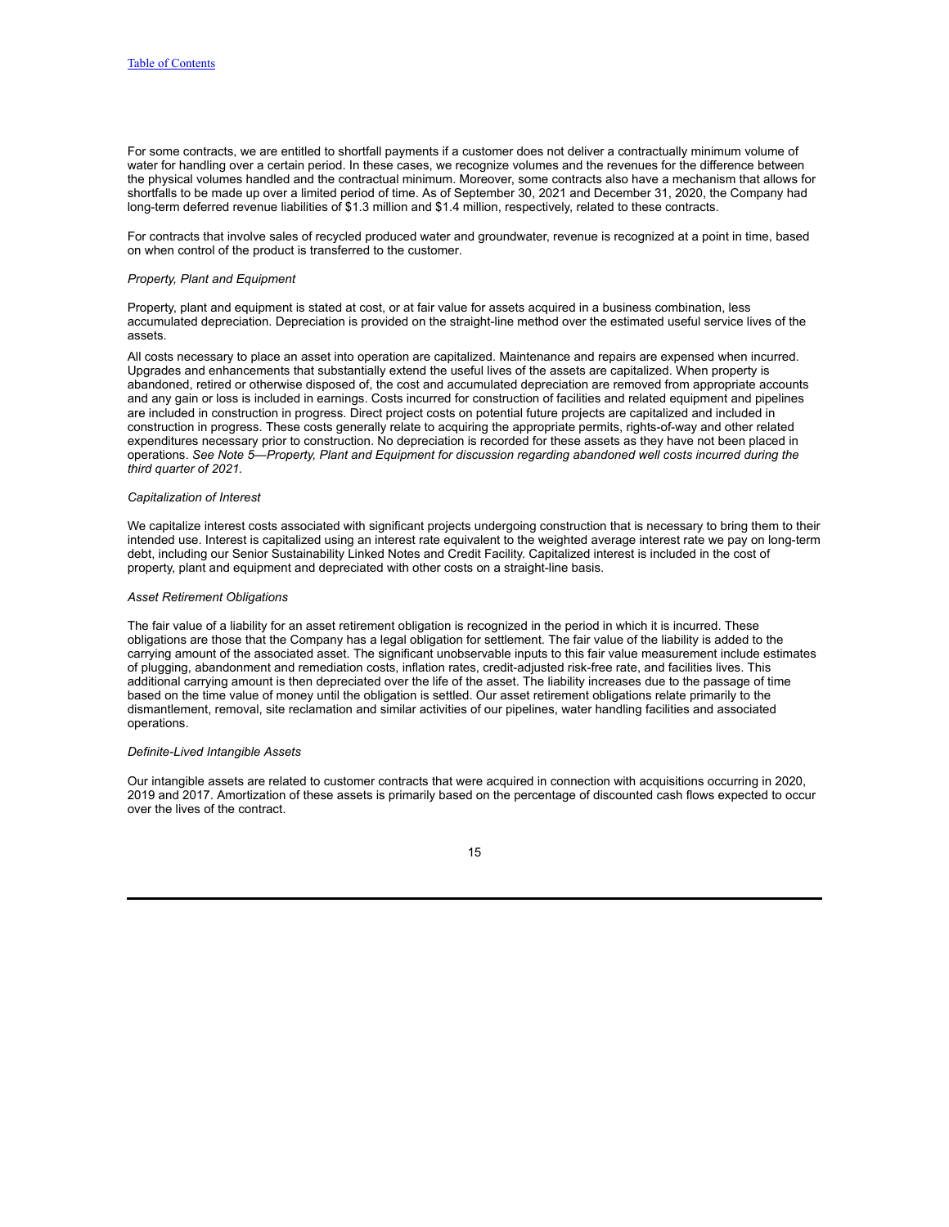For some contracts, we are entitled to shortfall payments if a customer does not deliver a contractually minimum volume of water for handling over a certain period. In these cases, we recognize volumes and the revenues for the difference between the physical volumes handled and the contractual minimum. Moreover, some contracts also have a mechanism that allows for shortfalls to be made up over a limited period of time. As of September 30, 2021 and December 31, 2020, the Company had long-term deferred revenue liabilities of \$1.3 million and \$1.4 million, respectively, related to these contracts.

For contracts that involve sales of recycled produced water and groundwater, revenue is recognized at a point in time, based on when control of the product is transferred to the customer.

### *Property, Plant and Equipment*

Property, plant and equipment is stated at cost, or at fair value for assets acquired in a business combination, less accumulated depreciation. Depreciation is provided on the straight-line method over the estimated useful service lives of the assets.

All costs necessary to place an asset into operation are capitalized. Maintenance and repairs are expensed when incurred. Upgrades and enhancements that substantially extend the useful lives of the assets are capitalized. When property is abandoned, retired or otherwise disposed of, the cost and accumulated depreciation are removed from appropriate accounts and any gain or loss is included in earnings. Costs incurred for construction of facilities and related equipment and pipelines are included in construction in progress. Direct project costs on potential future projects are capitalized and included in construction in progress. These costs generally relate to acquiring the appropriate permits, rights-of-way and other related expenditures necessary prior to construction. No depreciation is recorded for these assets as they have not been placed in operations. *See Note 5—Property, Plant and Equipment for discussion regarding abandoned well costs incurred during the third quarter of 2021.*

### *Capitalization of Interest*

We capitalize interest costs associated with significant projects undergoing construction that is necessary to bring them to their intended use. Interest is capitalized using an interest rate equivalent to the weighted average interest rate we pay on long-term debt, including our Senior Sustainability Linked Notes and Credit Facility. Capitalized interest is included in the cost of property, plant and equipment and depreciated with other costs on a straight-line basis.

### *Asset Retirement Obligations*

The fair value of a liability for an asset retirement obligation is recognized in the period in which it is incurred. These obligations are those that the Company has a legal obligation for settlement. The fair value of the liability is added to the carrying amount of the associated asset. The significant unobservable inputs to this fair value measurement include estimates of plugging, abandonment and remediation costs, inflation rates, credit-adjusted risk-free rate, and facilities lives. This additional carrying amount is then depreciated over the life of the asset. The liability increases due to the passage of time based on the time value of money until the obligation is settled. Our asset retirement obligations relate primarily to the dismantlement, removal, site reclamation and similar activities of our pipelines, water handling facilities and associated operations.

### *Definite-Lived Intangible Assets*

Our intangible assets are related to customer contracts that were acquired in connection with acquisitions occurring in 2020, 2019 and 2017. Amortization of these assets is primarily based on the percentage of discounted cash flows expected to occur over the lives of the contract.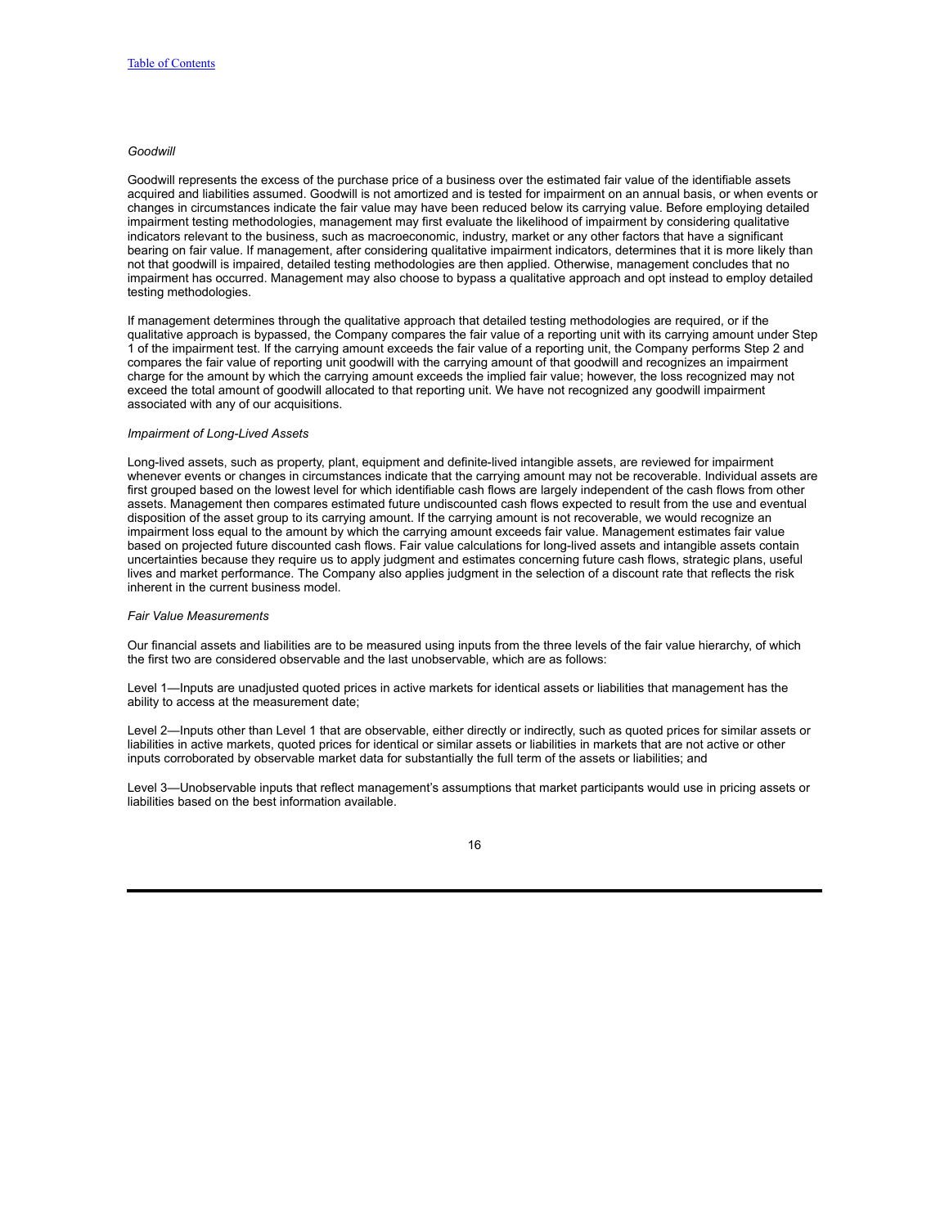### *Goodwill*

Goodwill represents the excess of the purchase price of a business over the estimated fair value of the identifiable assets acquired and liabilities assumed. Goodwill is not amortized and is tested for impairment on an annual basis, or when events or changes in circumstances indicate the fair value may have been reduced below its carrying value. Before employing detailed impairment testing methodologies, management may first evaluate the likelihood of impairment by considering qualitative indicators relevant to the business, such as macroeconomic, industry, market or any other factors that have a significant bearing on fair value. If management, after considering qualitative impairment indicators, determines that it is more likely than not that goodwill is impaired, detailed testing methodologies are then applied. Otherwise, management concludes that no impairment has occurred. Management may also choose to bypass a qualitative approach and opt instead to employ detailed testing methodologies.

If management determines through the qualitative approach that detailed testing methodologies are required, or if the qualitative approach is bypassed, the Company compares the fair value of a reporting unit with its carrying amount under Step 1 of the impairment test. If the carrying amount exceeds the fair value of a reporting unit, the Company performs Step 2 and compares the fair value of reporting unit goodwill with the carrying amount of that goodwill and recognizes an impairment charge for the amount by which the carrying amount exceeds the implied fair value; however, the loss recognized may not exceed the total amount of goodwill allocated to that reporting unit. We have not recognized any goodwill impairment associated with any of our acquisitions.

## *Impairment of Long-Lived Assets*

Long-lived assets, such as property, plant, equipment and definite-lived intangible assets, are reviewed for impairment whenever events or changes in circumstances indicate that the carrying amount may not be recoverable. Individual assets are first grouped based on the lowest level for which identifiable cash flows are largely independent of the cash flows from other assets. Management then compares estimated future undiscounted cash flows expected to result from the use and eventual disposition of the asset group to its carrying amount. If the carrying amount is not recoverable, we would recognize an impairment loss equal to the amount by which the carrying amount exceeds fair value. Management estimates fair value based on projected future discounted cash flows. Fair value calculations for long-lived assets and intangible assets contain uncertainties because they require us to apply judgment and estimates concerning future cash flows, strategic plans, useful lives and market performance. The Company also applies judgment in the selection of a discount rate that reflects the risk inherent in the current business model.

### *Fair Value Measurements*

Our financial assets and liabilities are to be measured using inputs from the three levels of the fair value hierarchy, of which the first two are considered observable and the last unobservable, which are as follows:

Level 1—Inputs are unadjusted quoted prices in active markets for identical assets or liabilities that management has the ability to access at the measurement date;

Level 2—Inputs other than Level 1 that are observable, either directly or indirectly, such as quoted prices for similar assets or liabilities in active markets, quoted prices for identical or similar assets or liabilities in markets that are not active or other inputs corroborated by observable market data for substantially the full term of the assets or liabilities; and

Level 3—Unobservable inputs that reflect management's assumptions that market participants would use in pricing assets or liabilities based on the best information available.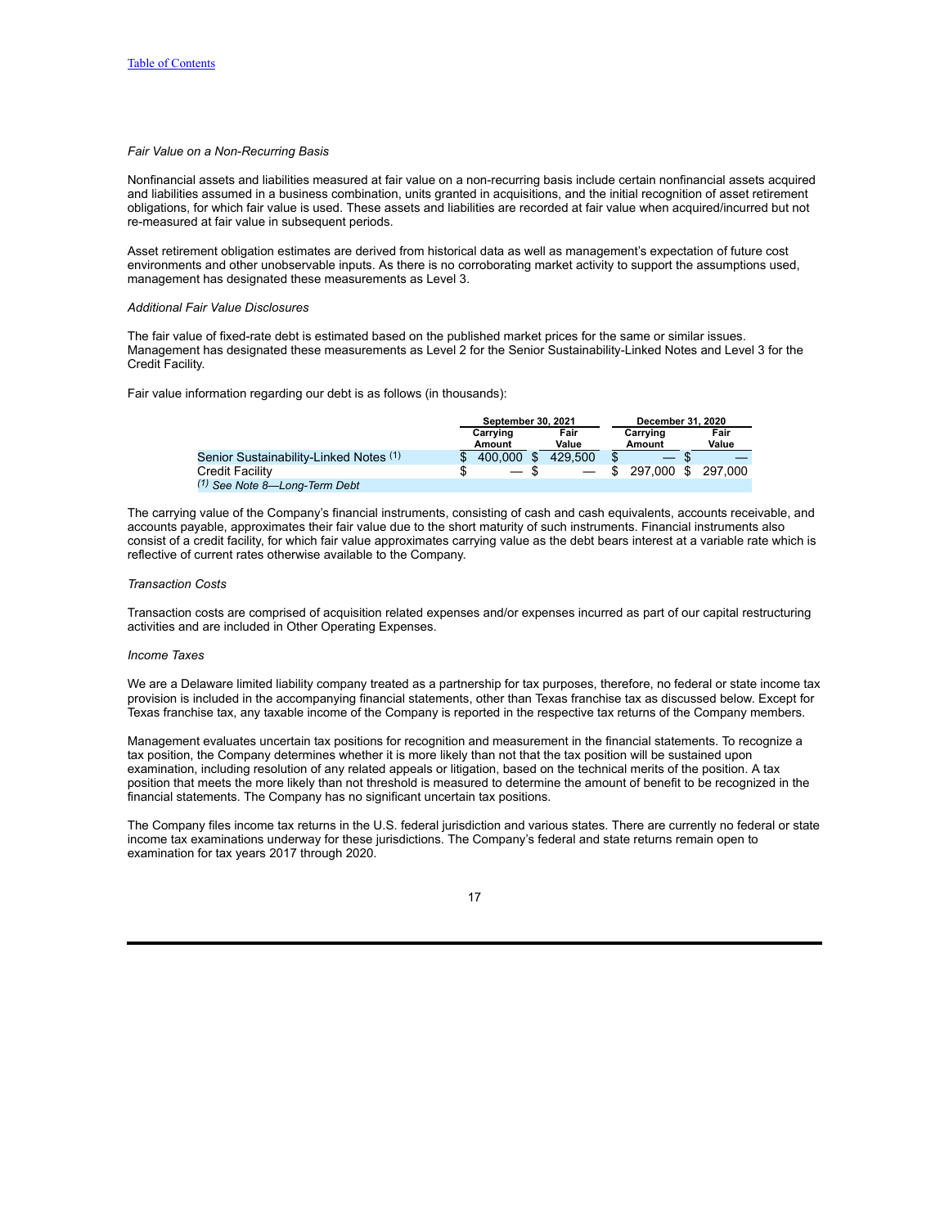### *Fair Value on a Non-Recurring Basis*

Nonfinancial assets and liabilities measured at fair value on a non-recurring basis include certain nonfinancial assets acquired and liabilities assumed in a business combination, units granted in acquisitions, and the initial recognition of asset retirement obligations, for which fair value is used. These assets and liabilities are recorded at fair value when acquired/incurred but not re-measured at fair value in subsequent periods.

Asset retirement obligation estimates are derived from historical data as well as management's expectation of future cost environments and other unobservable inputs. As there is no corroborating market activity to support the assumptions used, management has designated these measurements as Level 3.

### *Additional Fair Value Disclosures*

The fair value of fixed-rate debt is estimated based on the published market prices for the same or similar issues. Management has designated these measurements as Level 2 for the Senior Sustainability-Linked Notes and Level 3 for the Credit Facility.

Fair value information regarding our debt is as follows (in thousands):

|                                          | September 30, 2021 |                          |  |               | December 31, 2020  |            |               |  |
|------------------------------------------|--------------------|--------------------------|--|---------------|--------------------|------------|---------------|--|
|                                          |                    | Carrving<br>Amount       |  | Fair<br>Value | Carrying<br>Amount |            | Fair<br>Value |  |
| Senior Sustainability-Linked Notes (1)   |                    | 400,000                  |  | 429,500       |                    |            |               |  |
| <b>Credit Facility</b>                   |                    | $\overline{\phantom{0}}$ |  |               |                    | 297.000 \$ | 297.000       |  |
| <sup>(1)</sup> See Note 8-Long-Term Debt |                    |                          |  |               |                    |            |               |  |

The carrying value of the Company's financial instruments, consisting of cash and cash equivalents, accounts receivable, and accounts payable, approximates their fair value due to the short maturity of such instruments. Financial instruments also consist of a credit facility, for which fair value approximates carrying value as the debt bears interest at a variable rate which is reflective of current rates otherwise available to the Company.

#### *Transaction Costs*

Transaction costs are comprised of acquisition related expenses and/or expenses incurred as part of our capital restructuring activities and are included in Other Operating Expenses.

### *Income Taxes*

We are a Delaware limited liability company treated as a partnership for tax purposes, therefore, no federal or state income tax provision is included in the accompanying financial statements, other than Texas franchise tax as discussed below. Except for Texas franchise tax, any taxable income of the Company is reported in the respective tax returns of the Company members.

Management evaluates uncertain tax positions for recognition and measurement in the financial statements. To recognize a tax position, the Company determines whether it is more likely than not that the tax position will be sustained upon examination, including resolution of any related appeals or litigation, based on the technical merits of the position. A tax position that meets the more likely than not threshold is measured to determine the amount of benefit to be recognized in the financial statements. The Company has no significant uncertain tax positions.

The Company files income tax returns in the U.S. federal jurisdiction and various states. There are currently no federal or state income tax examinations underway for these jurisdictions. The Company's federal and state returns remain open to examination for tax years 2017 through 2020.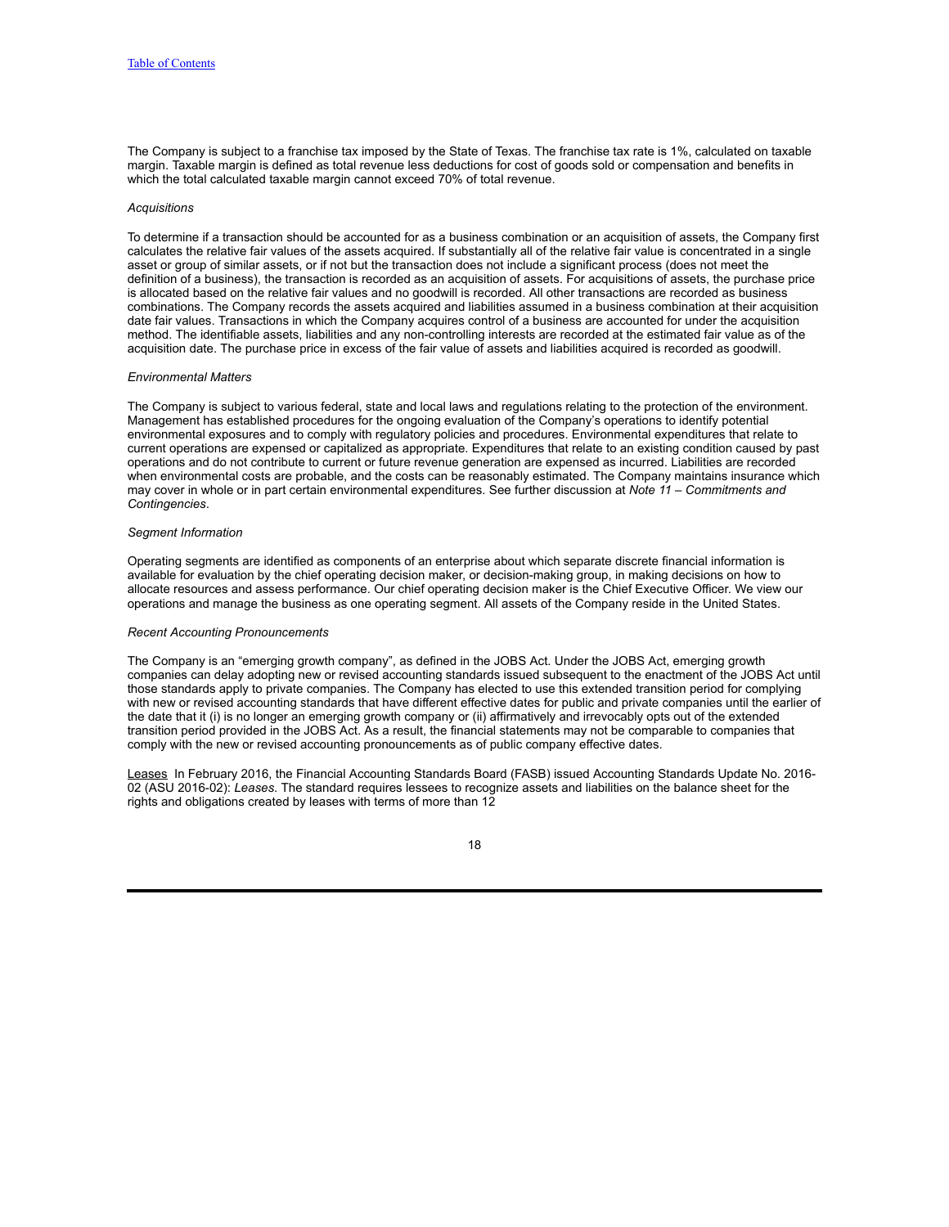The Company is subject to a franchise tax imposed by the State of Texas. The franchise tax rate is 1%, calculated on taxable margin. Taxable margin is defined as total revenue less deductions for cost of goods sold or compensation and benefits in which the total calculated taxable margin cannot exceed 70% of total revenue.

#### *Acquisitions*

To determine if a transaction should be accounted for as a business combination or an acquisition of assets, the Company first calculates the relative fair values of the assets acquired. If substantially all of the relative fair value is concentrated in a single asset or group of similar assets, or if not but the transaction does not include a significant process (does not meet the definition of a business), the transaction is recorded as an acquisition of assets. For acquisitions of assets, the purchase price is allocated based on the relative fair values and no goodwill is recorded. All other transactions are recorded as business combinations. The Company records the assets acquired and liabilities assumed in a business combination at their acquisition date fair values. Transactions in which the Company acquires control of a business are accounted for under the acquisition method. The identifiable assets, liabilities and any non-controlling interests are recorded at the estimated fair value as of the acquisition date. The purchase price in excess of the fair value of assets and liabilities acquired is recorded as goodwill.

### *Environmental Matters*

The Company is subject to various federal, state and local laws and regulations relating to the protection of the environment. Management has established procedures for the ongoing evaluation of the Company's operations to identify potential environmental exposures and to comply with regulatory policies and procedures. Environmental expenditures that relate to current operations are expensed or capitalized as appropriate. Expenditures that relate to an existing condition caused by past operations and do not contribute to current or future revenue generation are expensed as incurred. Liabilities are recorded when environmental costs are probable, and the costs can be reasonably estimated. The Company maintains insurance which may cover in whole or in part certain environmental expenditures. See further discussion at *Note 11 – Commitments and Contingencies*.

### *Segment Information*

Operating segments are identified as components of an enterprise about which separate discrete financial information is available for evaluation by the chief operating decision maker, or decision-making group, in making decisions on how to allocate resources and assess performance. Our chief operating decision maker is the Chief Executive Officer. We view our operations and manage the business as one operating segment. All assets of the Company reside in the United States.

### *Recent Accounting Pronouncements*

The Company is an "emerging growth company", as defined in the JOBS Act. Under the JOBS Act, emerging growth companies can delay adopting new or revised accounting standards issued subsequent to the enactment of the JOBS Act until those standards apply to private companies. The Company has elected to use this extended transition period for complying with new or revised accounting standards that have different effective dates for public and private companies until the earlier of the date that it (i) is no longer an emerging growth company or (ii) affirmatively and irrevocably opts out of the extended transition period provided in the JOBS Act. As a result, the financial statements may not be comparable to companies that comply with the new or revised accounting pronouncements as of public company effective dates.

Leases In February 2016, the Financial Accounting Standards Board (FASB) issued Accounting Standards Update No. 2016-02 (ASU 2016-02): *Leases*. The standard requires lessees to recognize assets and liabilities on the balance sheet for the rights and obligations created by leases with terms of more than 12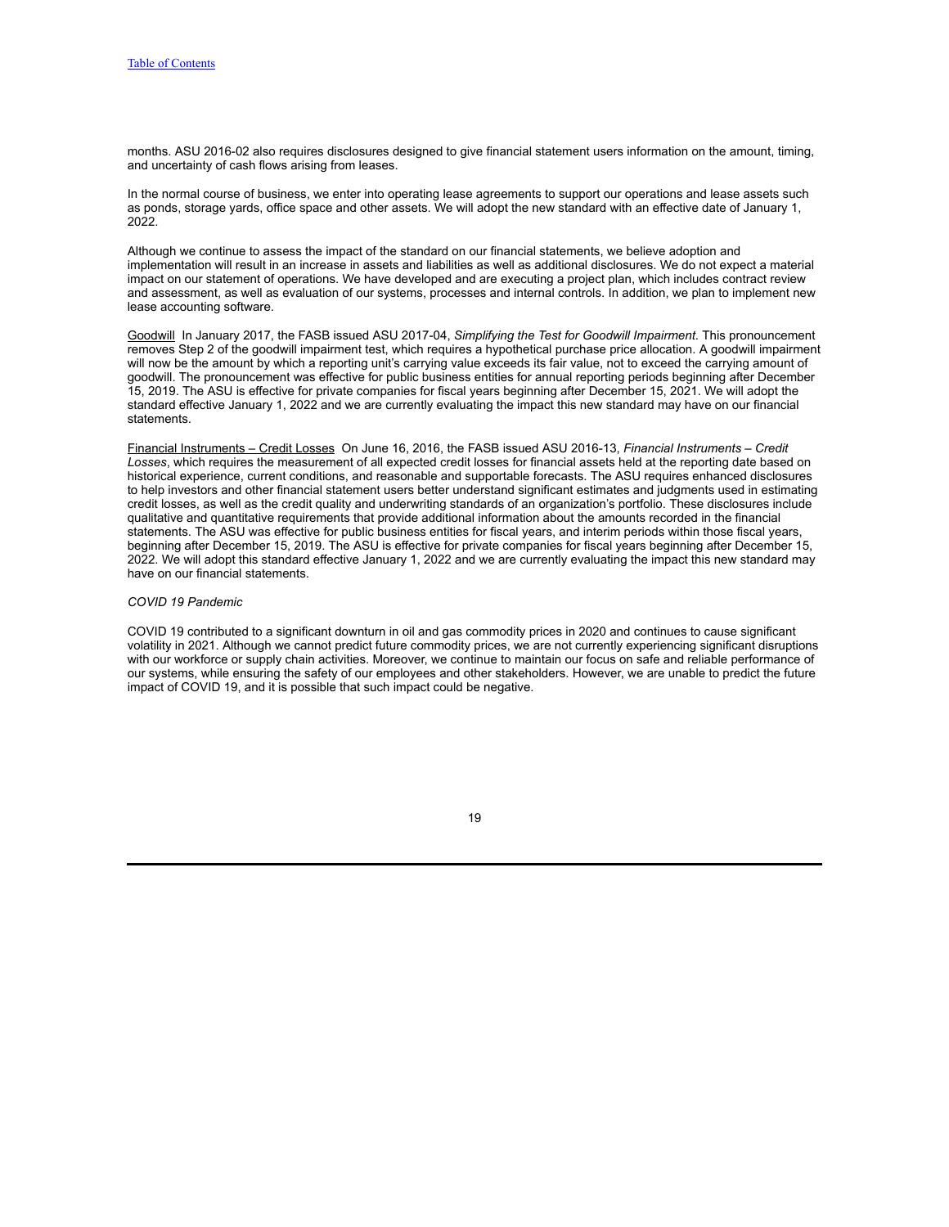months. ASU 2016-02 also requires disclosures designed to give financial statement users information on the amount, timing, and uncertainty of cash flows arising from leases.

In the normal course of business, we enter into operating lease agreements to support our operations and lease assets such as ponds, storage yards, office space and other assets. We will adopt the new standard with an effective date of January 1, 2022.

Although we continue to assess the impact of the standard on our financial statements, we believe adoption and implementation will result in an increase in assets and liabilities as well as additional disclosures. We do not expect a material impact on our statement of operations. We have developed and are executing a project plan, which includes contract review and assessment, as well as evaluation of our systems, processes and internal controls. In addition, we plan to implement new lease accounting software.

Goodwill In January 2017, the FASB issued ASU 2017-04, *Simplifying the Test for Goodwill Impairment*. This pronouncement removes Step 2 of the goodwill impairment test, which requires a hypothetical purchase price allocation. A goodwill impairment will now be the amount by which a reporting unit's carrying value exceeds its fair value, not to exceed the carrying amount of goodwill. The pronouncement was effective for public business entities for annual reporting periods beginning after December 15, 2019. The ASU is effective for private companies for fiscal years beginning after December 15, 2021. We will adopt the standard effective January 1, 2022 and we are currently evaluating the impact this new standard may have on our financial statements.

Financial Instruments – Credit Losses On June 16, 2016, the FASB issued ASU 2016-13, *Financial Instruments – Credit Losses*, which requires the measurement of all expected credit losses for financial assets held at the reporting date based on historical experience, current conditions, and reasonable and supportable forecasts. The ASU requires enhanced disclosures to help investors and other financial statement users better understand significant estimates and judgments used in estimating credit losses, as well as the credit quality and underwriting standards of an organization's portfolio. These disclosures include qualitative and quantitative requirements that provide additional information about the amounts recorded in the financial statements. The ASU was effective for public business entities for fiscal years, and interim periods within those fiscal years, beginning after December 15, 2019. The ASU is effective for private companies for fiscal years beginning after December 15, 2022. We will adopt this standard effective January 1, 2022 and we are currently evaluating the impact this new standard may have on our financial statements.

### *COVID 19 Pandemic*

COVID 19 contributed to a significant downturn in oil and gas commodity prices in 2020 and continues to cause significant volatility in 2021. Although we cannot predict future commodity prices, we are not currently experiencing significant disruptions with our workforce or supply chain activities. Moreover, we continue to maintain our focus on safe and reliable performance of our systems, while ensuring the safety of our employees and other stakeholders. However, we are unable to predict the future impact of COVID 19, and it is possible that such impact could be negative.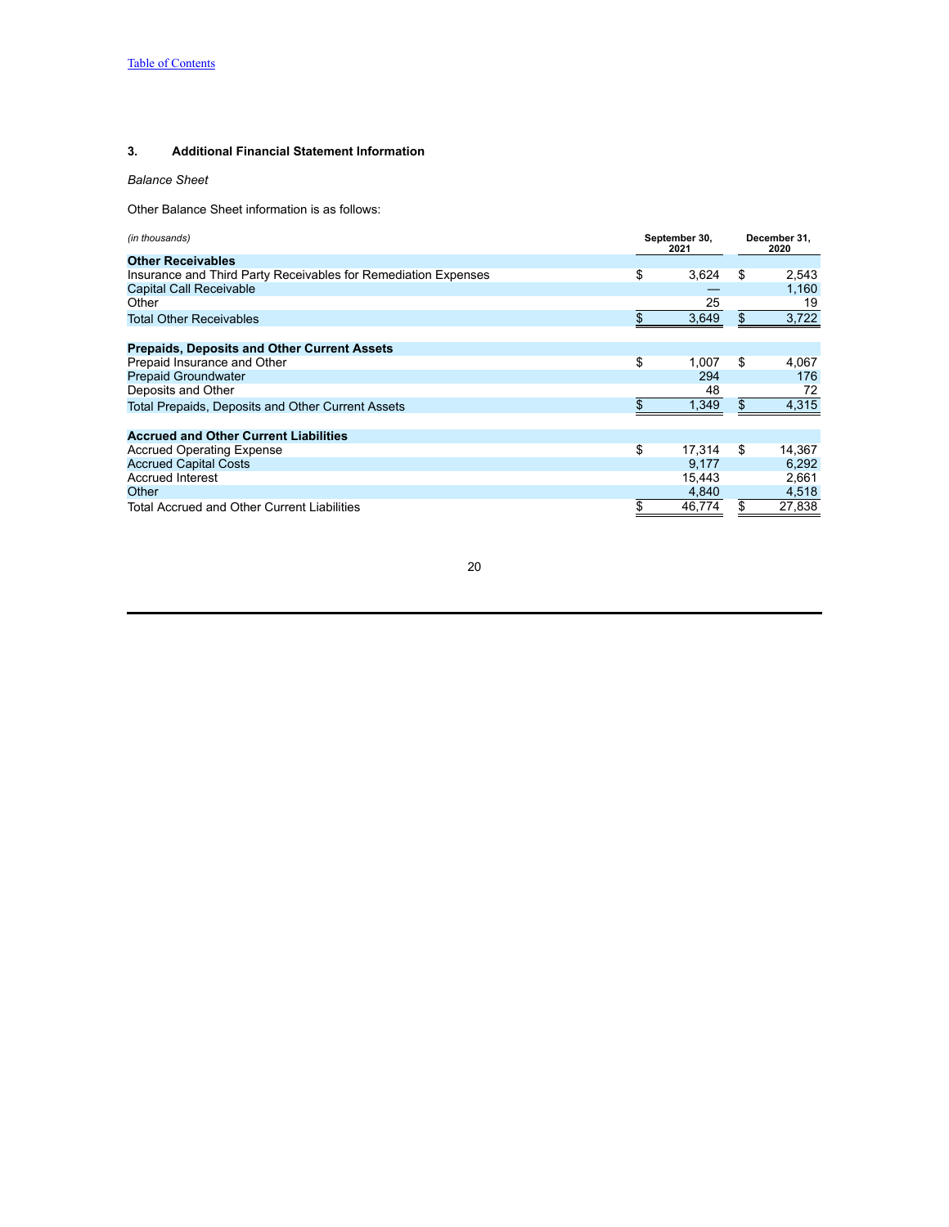## **3. Additional Financial Statement Information**

*Balance Sheet*

Other Balance Sheet information is as follows:

| (in thousands)                                                 | September 30,<br>2021 |        | December 31,<br>2020 |        |  |
|----------------------------------------------------------------|-----------------------|--------|----------------------|--------|--|
| <b>Other Receivables</b>                                       |                       |        |                      |        |  |
| Insurance and Third Party Receivables for Remediation Expenses | \$                    | 3,624  | \$                   | 2,543  |  |
| Capital Call Receivable                                        |                       |        |                      | 1.160  |  |
| Other                                                          |                       | 25     |                      | 19     |  |
| <b>Total Other Receivables</b>                                 |                       | 3,649  | \$                   | 3,722  |  |
| <b>Prepaids, Deposits and Other Current Assets</b>             |                       |        |                      |        |  |
| Prepaid Insurance and Other                                    | \$                    | 1.007  | \$                   | 4.067  |  |
| <b>Prepaid Groundwater</b>                                     |                       | 294    |                      | 176    |  |
| Deposits and Other                                             |                       | 48     |                      | 72     |  |
| Total Prepaids, Deposits and Other Current Assets              |                       | 1,349  | \$                   | 4,315  |  |
| <b>Accrued and Other Current Liabilities</b>                   |                       |        |                      |        |  |
| <b>Accrued Operating Expense</b>                               | \$                    | 17.314 | \$                   | 14,367 |  |
| <b>Accrued Capital Costs</b>                                   |                       | 9.177  |                      | 6.292  |  |
| <b>Accrued Interest</b>                                        |                       | 15.443 |                      | 2,661  |  |
| Other                                                          |                       | 4,840  |                      | 4,518  |  |
| <b>Total Accrued and Other Current Liabilities</b>             |                       | 46,774 | \$                   | 27,838 |  |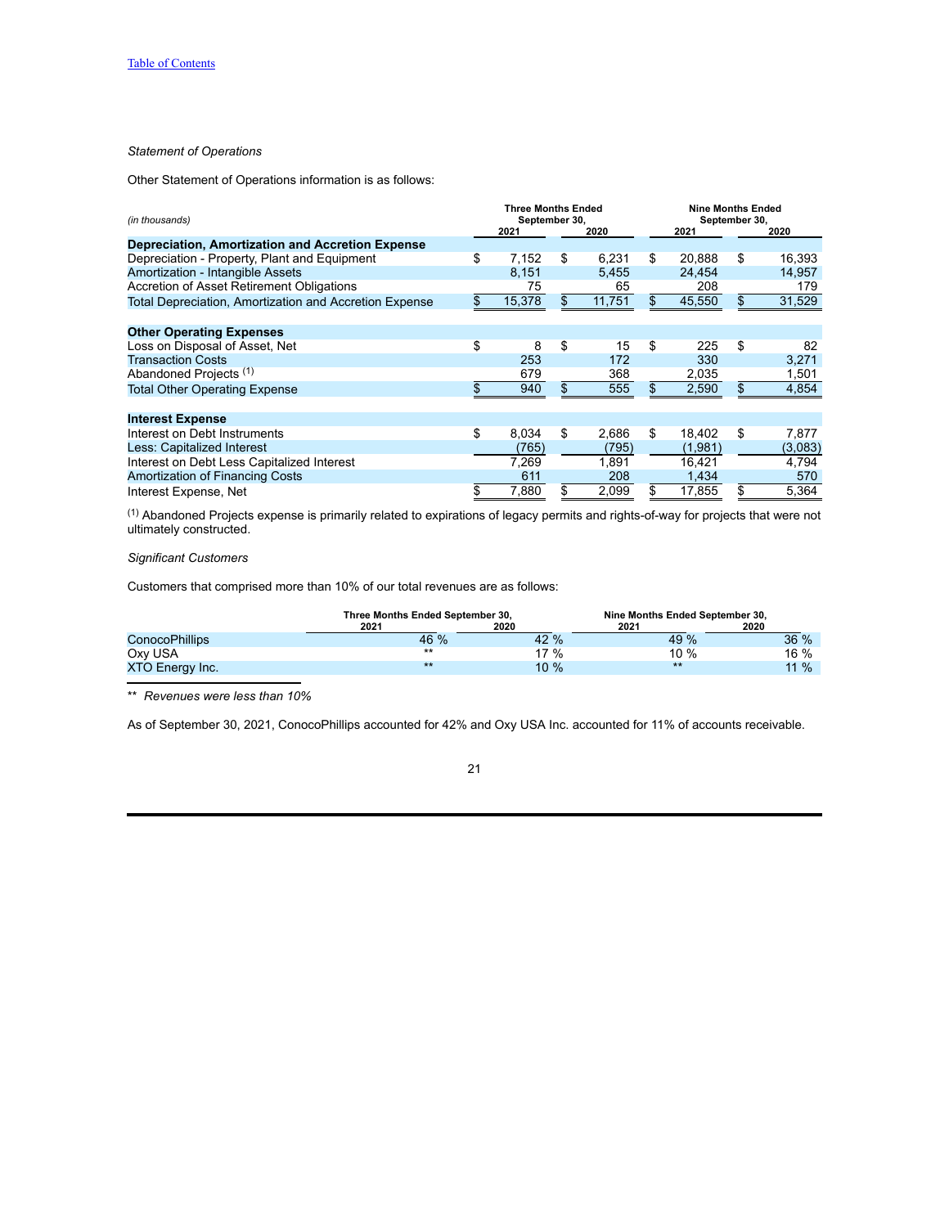## *Statement of Operations*

Other Statement of Operations information is as follows:

| (in thousands)                                          | <b>Three Months Ended</b><br>September 30, |        |    |        |     | <b>Nine Months Ended</b><br>September 30, |    |         |  |
|---------------------------------------------------------|--------------------------------------------|--------|----|--------|-----|-------------------------------------------|----|---------|--|
|                                                         |                                            | 2021   |    | 2020   |     | 2021                                      |    | 2020    |  |
| <b>Depreciation, Amortization and Accretion Expense</b> |                                            |        |    |        |     |                                           |    |         |  |
| Depreciation - Property, Plant and Equipment            | \$                                         | 7,152  | \$ | 6,231  | \$  | 20,888                                    | \$ | 16,393  |  |
| Amortization - Intangible Assets                        |                                            | 8,151  |    | 5,455  |     | 24,454                                    |    | 14,957  |  |
| Accretion of Asset Retirement Obligations               |                                            | 75     |    | 65     |     | 208                                       |    | 179     |  |
| Total Depreciation, Amortization and Accretion Expense  |                                            | 15,378 |    | 11,751 | \$  | 45,550                                    | \$ | 31,529  |  |
|                                                         |                                            |        |    |        |     |                                           |    |         |  |
| <b>Other Operating Expenses</b>                         |                                            |        |    |        |     |                                           |    |         |  |
| Loss on Disposal of Asset, Net                          | \$                                         | 8      | \$ | 15     | \$  | 225                                       | \$ | 82      |  |
| <b>Transaction Costs</b>                                |                                            | 253    |    | 172    |     | 330                                       |    | 3,271   |  |
| Abandoned Projects (1)                                  |                                            | 679    |    | 368    |     | 2,035                                     |    | 1,501   |  |
| <b>Total Other Operating Expense</b>                    |                                            | 940    |    | 555    | \$. | 2,590                                     | \$ | 4,854   |  |
| <b>Interest Expense</b>                                 |                                            |        |    |        |     |                                           |    |         |  |
| Interest on Debt Instruments                            | \$                                         | 8.034  | \$ | 2.686  | \$  | 18.402                                    | \$ | 7,877   |  |
| Less: Capitalized Interest                              |                                            | (765)  |    | (795)  |     | (1,981)                                   |    | (3,083) |  |
| Interest on Debt Less Capitalized Interest              |                                            | 7,269  |    | 1,891  |     | 16,421                                    |    | 4,794   |  |
| <b>Amortization of Financing Costs</b>                  |                                            | 611    |    | 208    |     | 1,434                                     |    | 570     |  |
| Interest Expense, Net                                   | \$                                         | 7,880  | \$ | 2,099  | \$  | 17,855                                    | \$ | 5,364   |  |

(1) Abandoned Projects expense is primarily related to expirations of legacy permits and rights-of-way for projects that were not ultimately constructed.

# *Significant Customers*

Customers that comprised more than 10% of our total revenues are as follows:

|                       | Three Months Ended September 30, |         | Nine Months Ended September 30, |         |
|-----------------------|----------------------------------|---------|---------------------------------|---------|
|                       | 2021                             | 2020    | 2021                            | 2020    |
| <b>ConocoPhillips</b> | 46 %                             | 42 %    | 49 %                            | 36%     |
| Oxy USA               | $***$                            | 17%     | 10%                             | $16 \%$ |
| XTO Energy Inc.       | $***$                            | $10 \%$ | $***$                           | $11 \%$ |

\*\* *Revenues were less than 10%*

As of September 30, 2021, ConocoPhillips accounted for 42% and Oxy USA Inc. accounted for 11% of accounts receivable.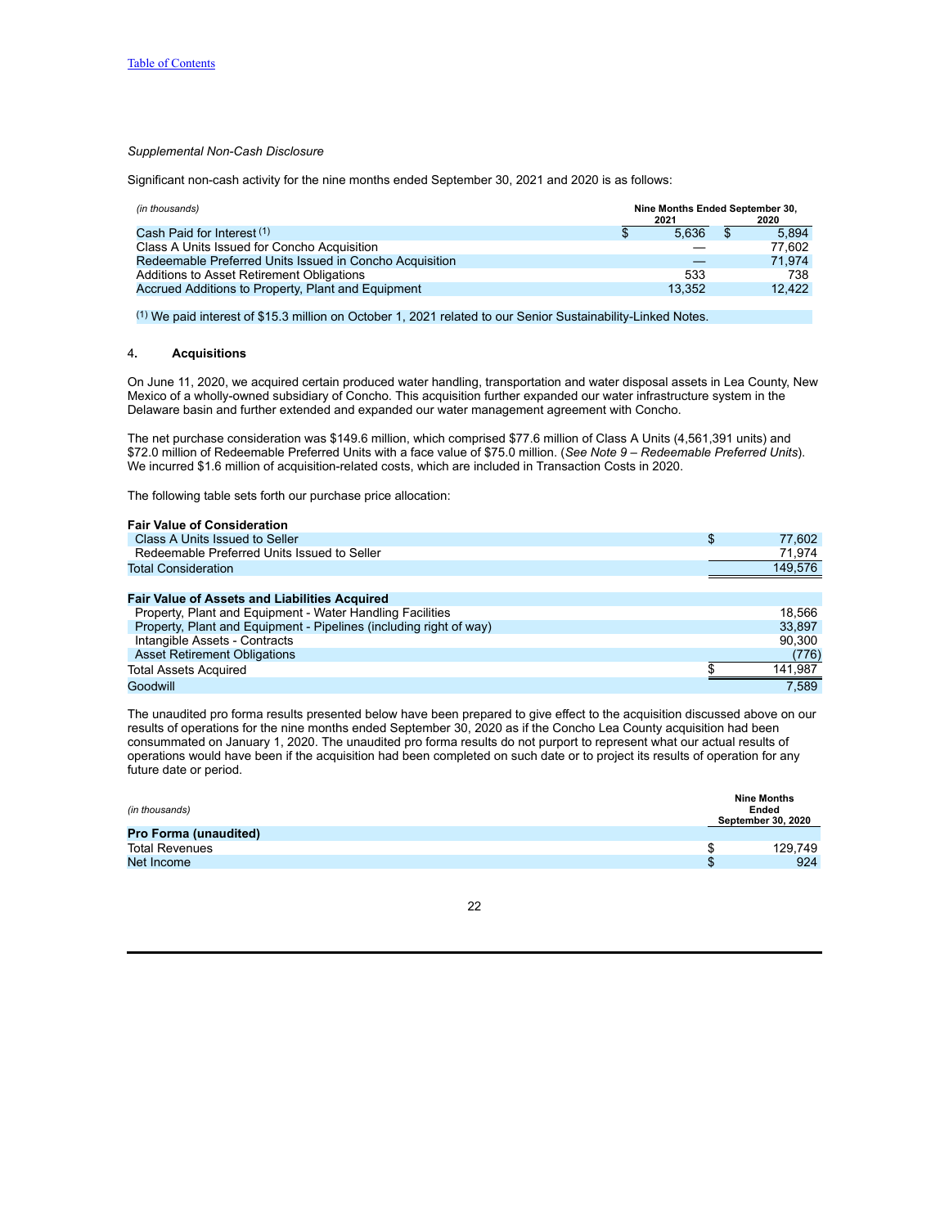## *Supplemental Non-Cash Disclosure*

Significant non-cash activity for the nine months ended September 30, 2021 and 2020 is as follows:

| (in thousands)                                          | 2021   | Nine Months Ended September 30,<br>2020 |  |  |
|---------------------------------------------------------|--------|-----------------------------------------|--|--|
| Cash Paid for Interest (1)                              | 5.636  | 5.894                                   |  |  |
| Class A Units Issued for Concho Acquisition             |        | 77.602                                  |  |  |
| Redeemable Preferred Units Issued in Concho Acquisition |        | 71.974                                  |  |  |
| Additions to Asset Retirement Obligations               | 533    | 738                                     |  |  |
| Accrued Additions to Property, Plant and Equipment      | 13.352 | 12.422                                  |  |  |

(1) We paid interest of \$15.3 million on October 1, 2021 related to our Senior Sustainability-Linked Notes.

## 4**. Acquisitions**

On June 11, 2020, we acquired certain produced water handling, transportation and water disposal assets in Lea County, New Mexico of a wholly-owned subsidiary of Concho. This acquisition further expanded our water infrastructure system in the Delaware basin and further extended and expanded our water management agreement with Concho.

The net purchase consideration was \$149.6 million, which comprised \$77.6 million of Class A Units (4,561,391 units) and \$72.0 million of Redeemable Preferred Units with a face value of \$75.0 million. (*See Note 9 – Redeemable Preferred Units*). We incurred \$1.6 million of acquisition-related costs, which are included in Transaction Costs in 2020.

The following table sets forth our purchase price allocation:

| <b>Fair Value of Consideration</b>                                 |              |
|--------------------------------------------------------------------|--------------|
| Class A Units Issued to Seller                                     | \$<br>77,602 |
| Redeemable Preferred Units Issued to Seller                        | 71,974       |
| <b>Total Consideration</b>                                         | 149,576      |
|                                                                    |              |
| <b>Fair Value of Assets and Liabilities Acquired</b>               |              |
| Property, Plant and Equipment - Water Handling Facilities          | 18.566       |
| Property, Plant and Equipment - Pipelines (including right of way) | 33.897       |
| Intangible Assets - Contracts                                      | 90.300       |
| <b>Asset Retirement Obligations</b>                                | (776)        |
| <b>Total Assets Acquired</b>                                       | 141,987      |
| Goodwill                                                           | 7.589        |

The unaudited pro forma results presented below have been prepared to give effect to the acquisition discussed above on our results of operations for the nine months ended September 30, 2020 as if the Concho Lea County acquisition had been consummated on January 1, 2020. The unaudited pro forma results do not purport to represent what our actual results of operations would have been if the acquisition had been completed on such date or to project its results of operation for any future date or period.

| (in thousands)               | <b>Nine Months</b><br>Ended<br>September 30, 2020 |
|------------------------------|---------------------------------------------------|
| <b>Pro Forma (unaudited)</b> |                                                   |
| <b>Total Revenues</b>        | 129.749                                           |
| Net Income                   | 924                                               |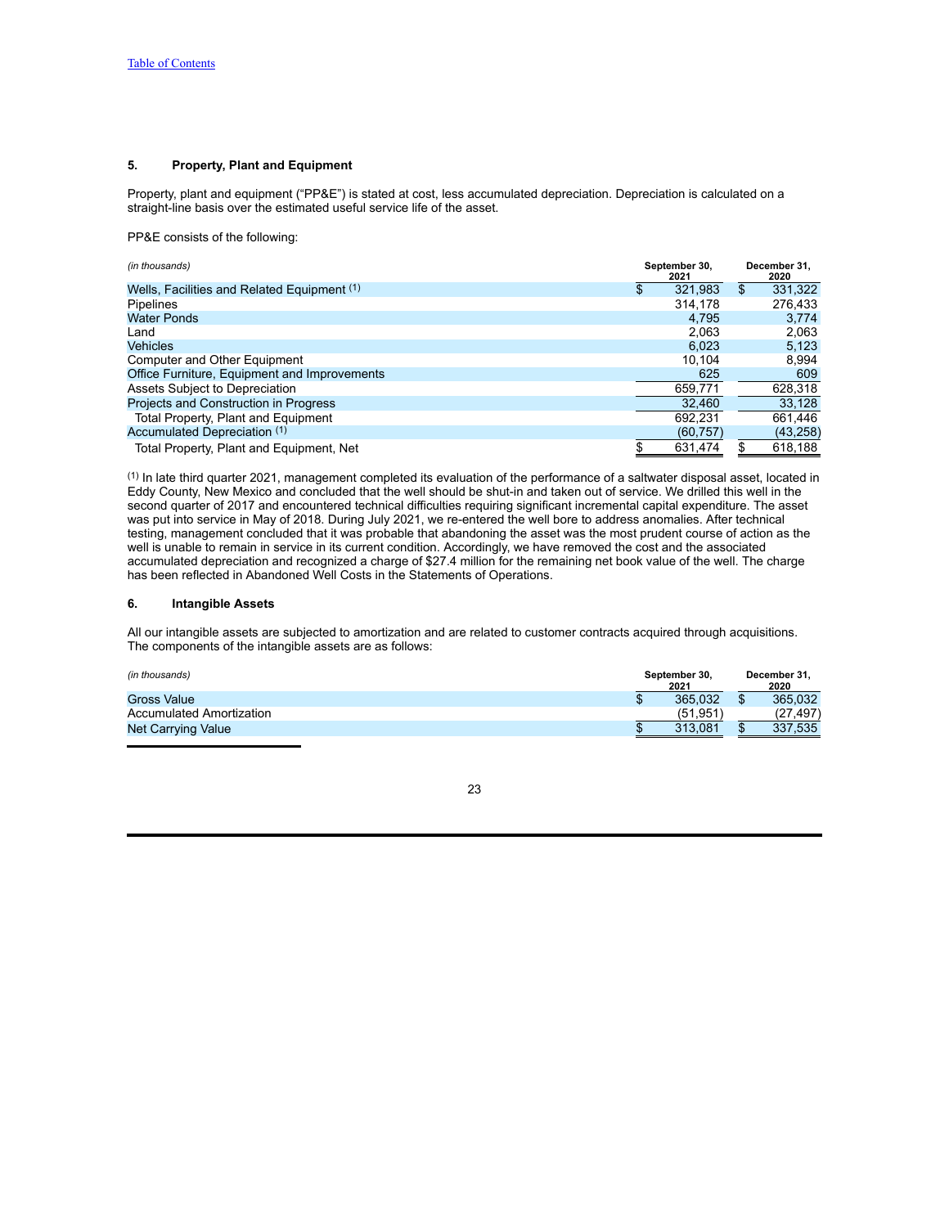## **5. Property, Plant and Equipment**

Property, plant and equipment ("PP&E") is stated at cost, less accumulated depreciation. Depreciation is calculated on a straight-line basis over the estimated useful service life of the asset.

PP&E consists of the following:

| (in thousands)                               | September 30,<br>2021 |     | December 31.<br>2020 |
|----------------------------------------------|-----------------------|-----|----------------------|
| Wells, Facilities and Related Equipment (1)  | 321,983               | \$  | 331,322              |
| <b>Pipelines</b>                             | 314,178               |     | 276,433              |
| <b>Water Ponds</b>                           | 4,795                 |     | 3,774                |
| Land                                         | 2,063                 |     | 2,063                |
| <b>Vehicles</b>                              | 6.023                 |     | 5,123                |
| Computer and Other Equipment                 | 10.104                |     | 8,994                |
| Office Furniture, Equipment and Improvements | 625                   |     | 609                  |
| Assets Subject to Depreciation               | 659.771               |     | 628,318              |
| Projects and Construction in Progress        | 32,460                |     | 33,128               |
| Total Property, Plant and Equipment          | 692.231               |     | 661,446              |
| Accumulated Depreciation (1)                 | (60, 757)             |     | (43, 258)            |
| Total Property, Plant and Equipment, Net     | 631,474               | \$. | 618,188              |

(1) In late third quarter 2021, management completed its evaluation of the performance of a saltwater disposal asset, located in Eddy County, New Mexico and concluded that the well should be shut-in and taken out of service. We drilled this well in the second quarter of 2017 and encountered technical difficulties requiring significant incremental capital expenditure. The asset was put into service in May of 2018. During July 2021, we re-entered the well bore to address anomalies. After technical testing, management concluded that it was probable that abandoning the asset was the most prudent course of action as the well is unable to remain in service in its current condition. Accordingly, we have removed the cost and the associated accumulated depreciation and recognized a charge of \$27.4 million for the remaining net book value of the well. The charge has been reflected in Abandoned Well Costs in the Statements of Operations.

## **6. Intangible Assets**

All our intangible assets are subjected to amortization and are related to customer contracts acquired through acquisitions. The components of the intangible assets are as follows:

| (in thousands)                  | September 30,<br>2021 | December 31,<br>2020 |          |  |  |
|---------------------------------|-----------------------|----------------------|----------|--|--|
| <b>Gross Value</b>              | 365.032               | ъ                    | 365.032  |  |  |
| <b>Accumulated Amortization</b> | (51.951               |                      | (27.497) |  |  |
| Net Carrying Value              | 313.081               | æ<br>ъD              | 337,535  |  |  |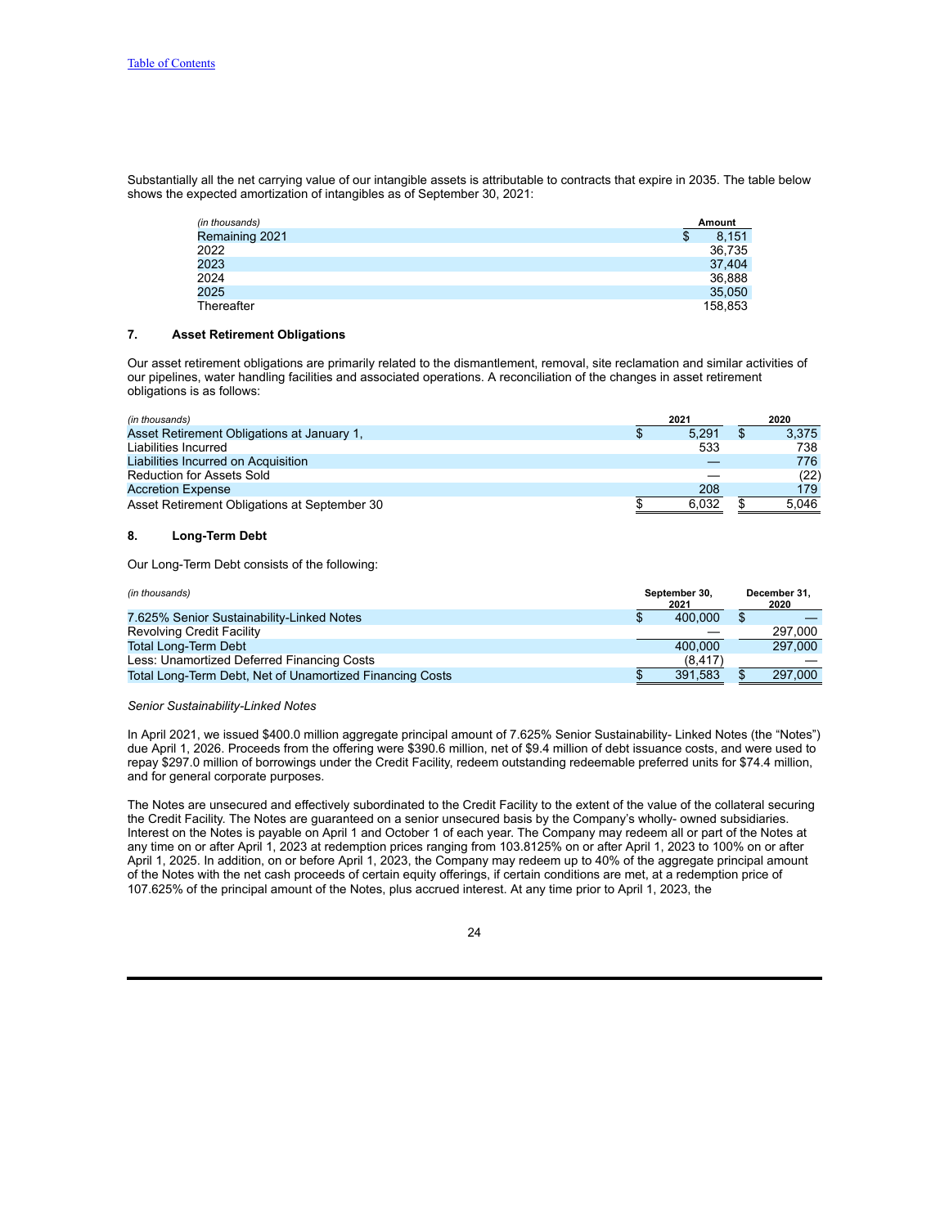Substantially all the net carrying value of our intangible assets is attributable to contracts that expire in 2035. The table below shows the expected amortization of intangibles as of September 30, 2021:

| (in thousands) |   | Amount  |
|----------------|---|---------|
| Remaining 2021 | D | 8.151   |
| 2022           |   | 36,735  |
| 2023           |   | 37,404  |
| 2024           |   | 36,888  |
| 2025           |   | 35,050  |
| Thereafter     |   | 158.853 |

## **7. Asset Retirement Obligations**

Our asset retirement obligations are primarily related to the dismantlement, removal, site reclamation and similar activities of our pipelines, water handling facilities and associated operations. A reconciliation of the changes in asset retirement obligations is as follows:

| (in thousands)                               | 2021  |   | 2020  |
|----------------------------------------------|-------|---|-------|
| Asset Retirement Obligations at January 1.   | 5.291 | S | 3.375 |
| Liabilities Incurred                         | 533   |   | 738   |
| Liabilities Incurred on Acquisition          |       |   | 776   |
| <b>Reduction for Assets Sold</b>             |       |   | (22)  |
| <b>Accretion Expense</b>                     | 208   |   | 179   |
| Asset Retirement Obligations at September 30 | 6.032 |   | 5.046 |

## **8. Long-Term Debt**

Our Long-Term Debt consists of the following:

| (in thousands)                                           | September 30.<br>2021 | December 31.<br>2020 |
|----------------------------------------------------------|-----------------------|----------------------|
| 7.625% Senior Sustainability-Linked Notes                | 400.000               |                      |
| <b>Revolving Credit Facility</b>                         |                       | 297.000              |
| <b>Total Long-Term Debt</b>                              | 400.000               | 297,000              |
| Less: Unamortized Deferred Financing Costs               | (8, 417)              |                      |
| Total Long-Term Debt, Net of Unamortized Financing Costs | 391.583               | 297,000              |

### *Senior Sustainability-Linked Notes*

In April 2021, we issued \$400.0 million aggregate principal amount of 7.625% Senior Sustainability- Linked Notes (the "Notes") due April 1, 2026. Proceeds from the offering were \$390.6 million, net of \$9.4 million of debt issuance costs, and were used to repay \$297.0 million of borrowings under the Credit Facility, redeem outstanding redeemable preferred units for \$74.4 million, and for general corporate purposes.

The Notes are unsecured and effectively subordinated to the Credit Facility to the extent of the value of the collateral securing the Credit Facility. The Notes are guaranteed on a senior unsecured basis by the Company's wholly- owned subsidiaries. Interest on the Notes is payable on April 1 and October 1 of each year. The Company may redeem all or part of the Notes at any time on or after April 1, 2023 at redemption prices ranging from 103.8125% on or after April 1, 2023 to 100% on or after April 1, 2025. In addition, on or before April 1, 2023, the Company may redeem up to 40% of the aggregate principal amount of the Notes with the net cash proceeds of certain equity offerings, if certain conditions are met, at a redemption price of 107.625% of the principal amount of the Notes, plus accrued interest. At any time prior to April 1, 2023, the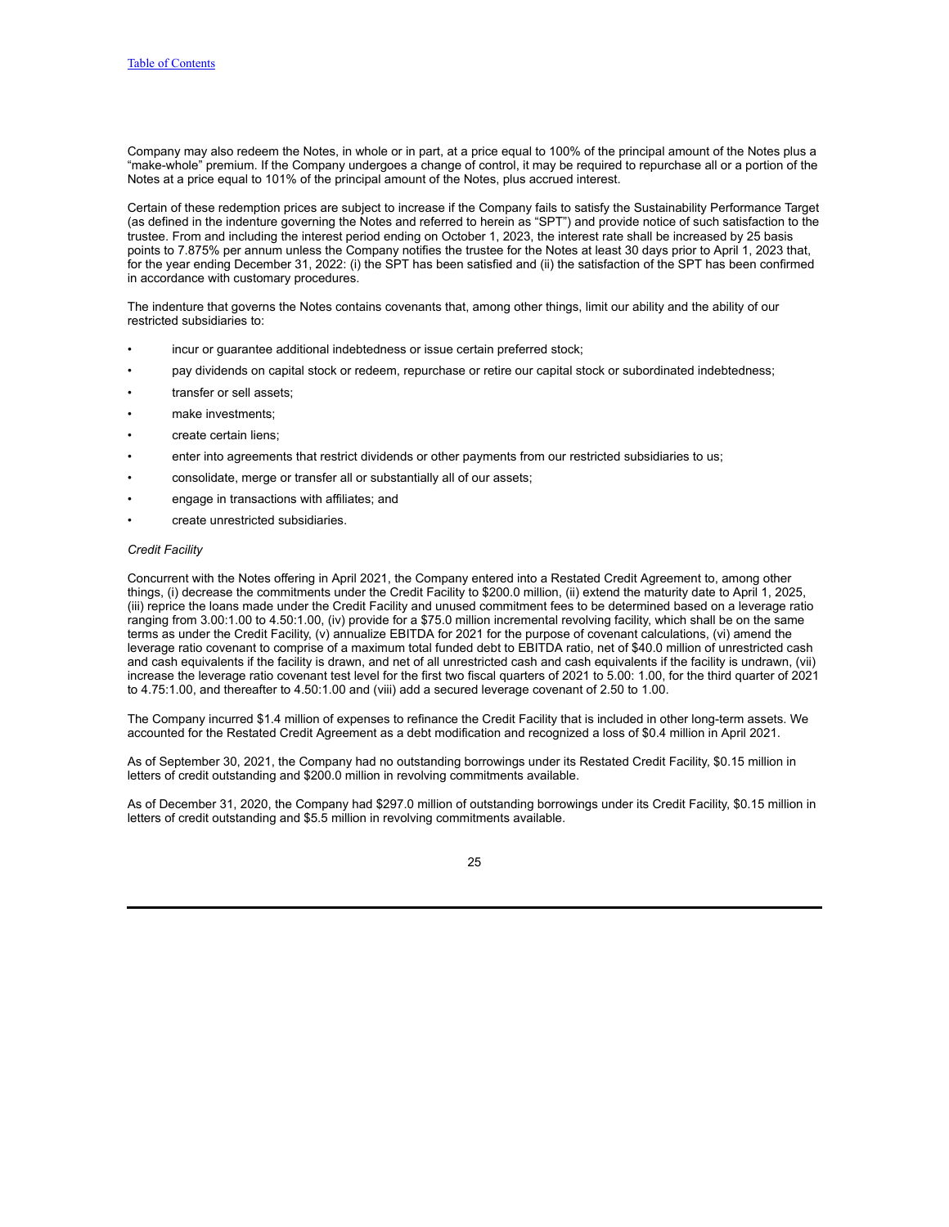Company may also redeem the Notes, in whole or in part, at a price equal to 100% of the principal amount of the Notes plus a "make-whole" premium. If the Company undergoes a change of control, it may be required to repurchase all or a portion of the Notes at a price equal to 101% of the principal amount of the Notes, plus accrued interest.

Certain of these redemption prices are subject to increase if the Company fails to satisfy the Sustainability Performance Target (as defined in the indenture governing the Notes and referred to herein as "SPT") and provide notice of such satisfaction to the trustee. From and including the interest period ending on October 1, 2023, the interest rate shall be increased by 25 basis points to 7.875% per annum unless the Company notifies the trustee for the Notes at least 30 days prior to April 1, 2023 that, for the year ending December 31, 2022: (i) the SPT has been satisfied and (ii) the satisfaction of the SPT has been confirmed in accordance with customary procedures.

The indenture that governs the Notes contains covenants that, among other things, limit our ability and the ability of our restricted subsidiaries to:

- incur or guarantee additional indebtedness or issue certain preferred stock;
- pay dividends on capital stock or redeem, repurchase or retire our capital stock or subordinated indebtedness;
- transfer or sell assets;
- make investments:
- create certain liens;
- enter into agreements that restrict dividends or other payments from our restricted subsidiaries to us;
- consolidate, merge or transfer all or substantially all of our assets;
- engage in transactions with affiliates; and
- create unrestricted subsidiaries.

### *Credit Facility*

Concurrent with the Notes offering in April 2021, the Company entered into a Restated Credit Agreement to, among other things, (i) decrease the commitments under the Credit Facility to \$200.0 million, (ii) extend the maturity date to April 1, 2025, (iii) reprice the loans made under the Credit Facility and unused commitment fees to be determined based on a leverage ratio ranging from 3.00:1.00 to 4.50:1.00, (iv) provide for a \$75.0 million incremental revolving facility, which shall be on the same terms as under the Credit Facility, (v) annualize EBITDA for 2021 for the purpose of covenant calculations, (vi) amend the leverage ratio covenant to comprise of a maximum total funded debt to EBITDA ratio, net of \$40.0 million of unrestricted cash and cash equivalents if the facility is drawn, and net of all unrestricted cash and cash equivalents if the facility is undrawn, (vii) increase the leverage ratio covenant test level for the first two fiscal quarters of 2021 to 5.00: 1.00, for the third quarter of 2021 to 4.75:1.00, and thereafter to 4.50:1.00 and (viii) add a secured leverage covenant of 2.50 to 1.00.

The Company incurred \$1.4 million of expenses to refinance the Credit Facility that is included in other long-term assets. We accounted for the Restated Credit Agreement as a debt modification and recognized a loss of \$0.4 million in April 2021.

As of September 30, 2021, the Company had no outstanding borrowings under its Restated Credit Facility, \$0.15 million in letters of credit outstanding and \$200.0 million in revolving commitments available.

As of December 31, 2020, the Company had \$297.0 million of outstanding borrowings under its Credit Facility, \$0.15 million in letters of credit outstanding and \$5.5 million in revolving commitments available.

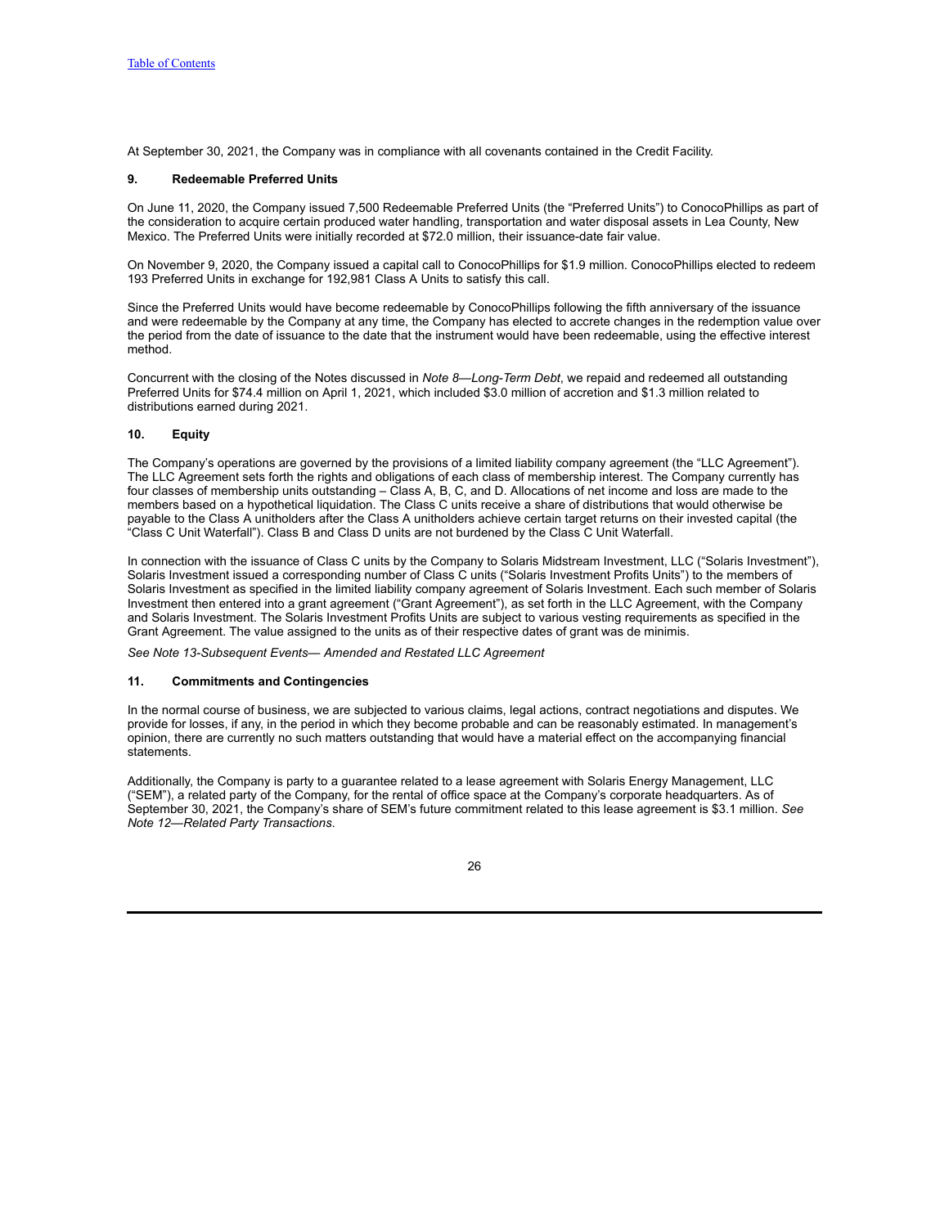At September 30, 2021, the Company was in compliance with all covenants contained in the Credit Facility.

## **9. Redeemable Preferred Units**

On June 11, 2020, the Company issued 7,500 Redeemable Preferred Units (the "Preferred Units") to ConocoPhillips as part of the consideration to acquire certain produced water handling, transportation and water disposal assets in Lea County, New Mexico. The Preferred Units were initially recorded at \$72.0 million, their issuance-date fair value.

On November 9, 2020, the Company issued a capital call to ConocoPhillips for \$1.9 million. ConocoPhillips elected to redeem 193 Preferred Units in exchange for 192,981 Class A Units to satisfy this call.

Since the Preferred Units would have become redeemable by ConocoPhillips following the fifth anniversary of the issuance and were redeemable by the Company at any time, the Company has elected to accrete changes in the redemption value over the period from the date of issuance to the date that the instrument would have been redeemable, using the effective interest method.

Concurrent with the closing of the Notes discussed in *Note 8—Long-Term Debt*, we repaid and redeemed all outstanding Preferred Units for \$74.4 million on April 1, 2021, which included \$3.0 million of accretion and \$1.3 million related to distributions earned during 2021.

## **10. Equity**

The Company's operations are governed by the provisions of a limited liability company agreement (the "LLC Agreement"). The LLC Agreement sets forth the rights and obligations of each class of membership interest. The Company currently has four classes of membership units outstanding – Class A, B, C, and D. Allocations of net income and loss are made to the members based on a hypothetical liquidation. The Class C units receive a share of distributions that would otherwise be payable to the Class A unitholders after the Class A unitholders achieve certain target returns on their invested capital (the "Class C Unit Waterfall"). Class B and Class D units are not burdened by the Class C Unit Waterfall.

In connection with the issuance of Class C units by the Company to Solaris Midstream Investment, LLC ("Solaris Investment"), Solaris Investment issued a corresponding number of Class C units ("Solaris Investment Profits Units") to the members of Solaris Investment as specified in the limited liability company agreement of Solaris Investment. Each such member of Solaris Investment then entered into a grant agreement ("Grant Agreement"), as set forth in the LLC Agreement, with the Company and Solaris Investment. The Solaris Investment Profits Units are subject to various vesting requirements as specified in the Grant Agreement. The value assigned to the units as of their respective dates of grant was de minimis.

*See Note 13-Subsequent Events— Amended and Restated LLC Agreement*

### **11. Commitments and Contingencies**

In the normal course of business, we are subjected to various claims, legal actions, contract negotiations and disputes. We provide for losses, if any, in the period in which they become probable and can be reasonably estimated. In management's opinion, there are currently no such matters outstanding that would have a material effect on the accompanying financial statements.

Additionally, the Company is party to a guarantee related to a lease agreement with Solaris Energy Management, LLC ("SEM"), a related party of the Company, for the rental of office space at the Company's corporate headquarters. As of September 30, 2021, the Company's share of SEM's future commitment related to this lease agreement is \$3.1 million. *See Note 12—Related Party Transactions*.

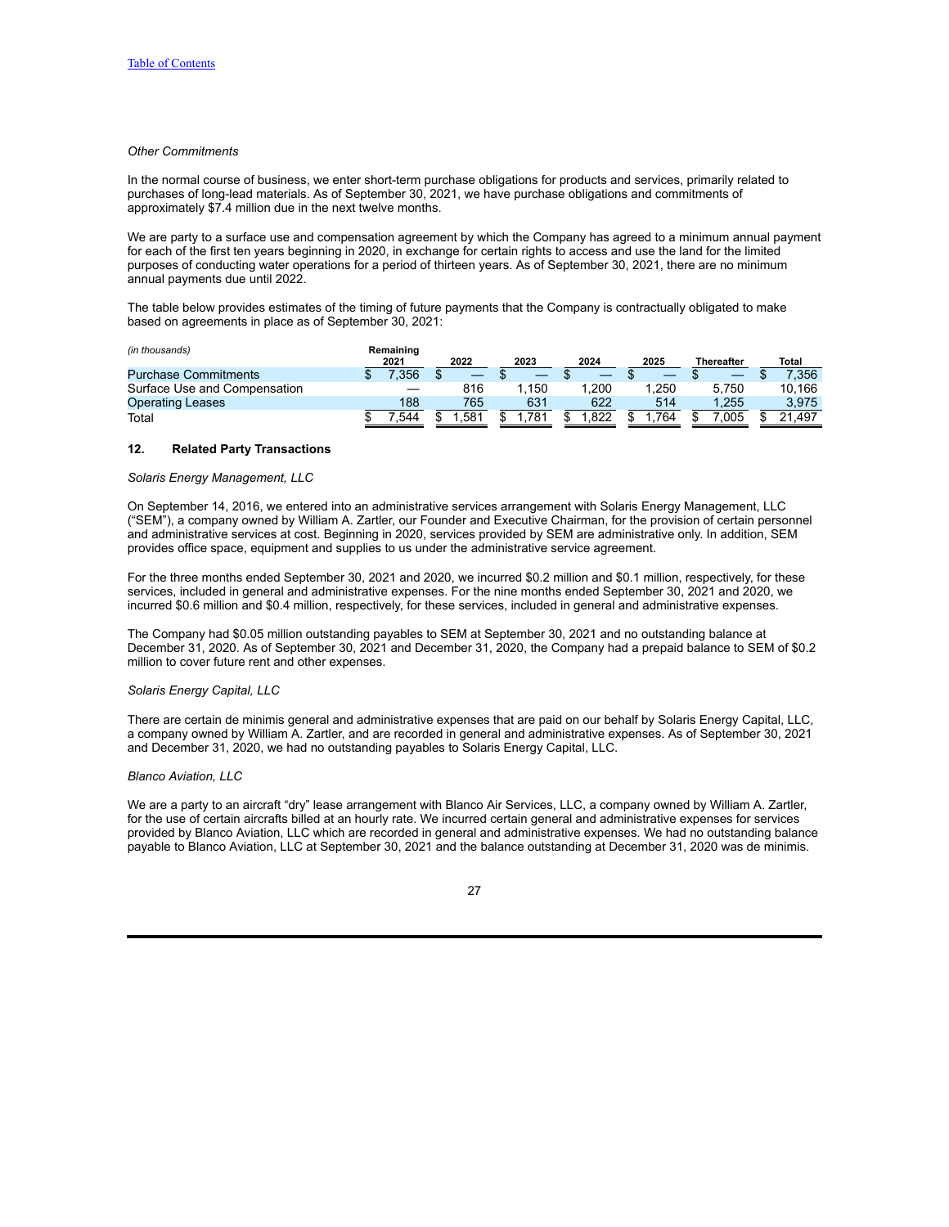## *Other Commitments*

In the normal course of business, we enter short-term purchase obligations for products and services, primarily related to purchases of long-lead materials. As of September 30, 2021, we have purchase obligations and commitments of approximately \$7.4 million due in the next twelve months.

We are party to a surface use and compensation agreement by which the Company has agreed to a minimum annual payment for each of the first ten years beginning in 2020, in exchange for certain rights to access and use the land for the limited purposes of conducting water operations for a period of thirteen years. As of September 30, 2021, there are no minimum annual payments due until 2022.

The table below provides estimates of the timing of future payments that the Company is contractually obligated to make based on agreements in place as of September 30, 2021:

| (in thousands)               | Remaining |      |      |      |       |            |              |
|------------------------------|-----------|------|------|------|-------|------------|--------------|
|                              | 2021      | 2022 | 2023 | 2024 | 2025  | Thereafter | <b>Total</b> |
| <b>Purchase Commitments</b>  | .356      |      |      |      |       |            | 7.356        |
| Surface Use and Compensation |           | 816  | 150  | .200 | 1.250 | 5.750      | 10.166       |
| <b>Operating Leases</b>      | 188       | 765  | 631  | 622  | 514   | 1.255      | 3.975        |
| Total                        | .544      | .581 | 781  | .822 | 764   | 005        | 21.497       |

### **12. Related Party Transactions**

### *Solaris Energy Management, LLC*

On September 14, 2016, we entered into an administrative services arrangement with Solaris Energy Management, LLC ("SEM"), a company owned by William A. Zartler, our Founder and Executive Chairman, for the provision of certain personnel and administrative services at cost. Beginning in 2020, services provided by SEM are administrative only. In addition, SEM provides office space, equipment and supplies to us under the administrative service agreement.

For the three months ended September 30, 2021 and 2020, we incurred \$0.2 million and \$0.1 million, respectively, for these services, included in general and administrative expenses. For the nine months ended September 30, 2021 and 2020, we incurred \$0.6 million and \$0.4 million, respectively, for these services, included in general and administrative expenses.

The Company had \$0.05 million outstanding payables to SEM at September 30, 2021 and no outstanding balance at December 31, 2020. As of September 30, 2021 and December 31, 2020, the Company had a prepaid balance to SEM of \$0.2 million to cover future rent and other expenses.

### *Solaris Energy Capital, LLC*

There are certain de minimis general and administrative expenses that are paid on our behalf by Solaris Energy Capital, LLC, a company owned by William A. Zartler, and are recorded in general and administrative expenses. As of September 30, 2021 and December 31, 2020, we had no outstanding payables to Solaris Energy Capital, LLC.

### *Blanco Aviation, LLC*

We are a party to an aircraft "dry" lease arrangement with Blanco Air Services, LLC, a company owned by William A. Zartler, for the use of certain aircrafts billed at an hourly rate. We incurred certain general and administrative expenses for services provided by Blanco Aviation, LLC which are recorded in general and administrative expenses. We had no outstanding balance payable to Blanco Aviation, LLC at September 30, 2021 and the balance outstanding at December 31, 2020 was de minimis.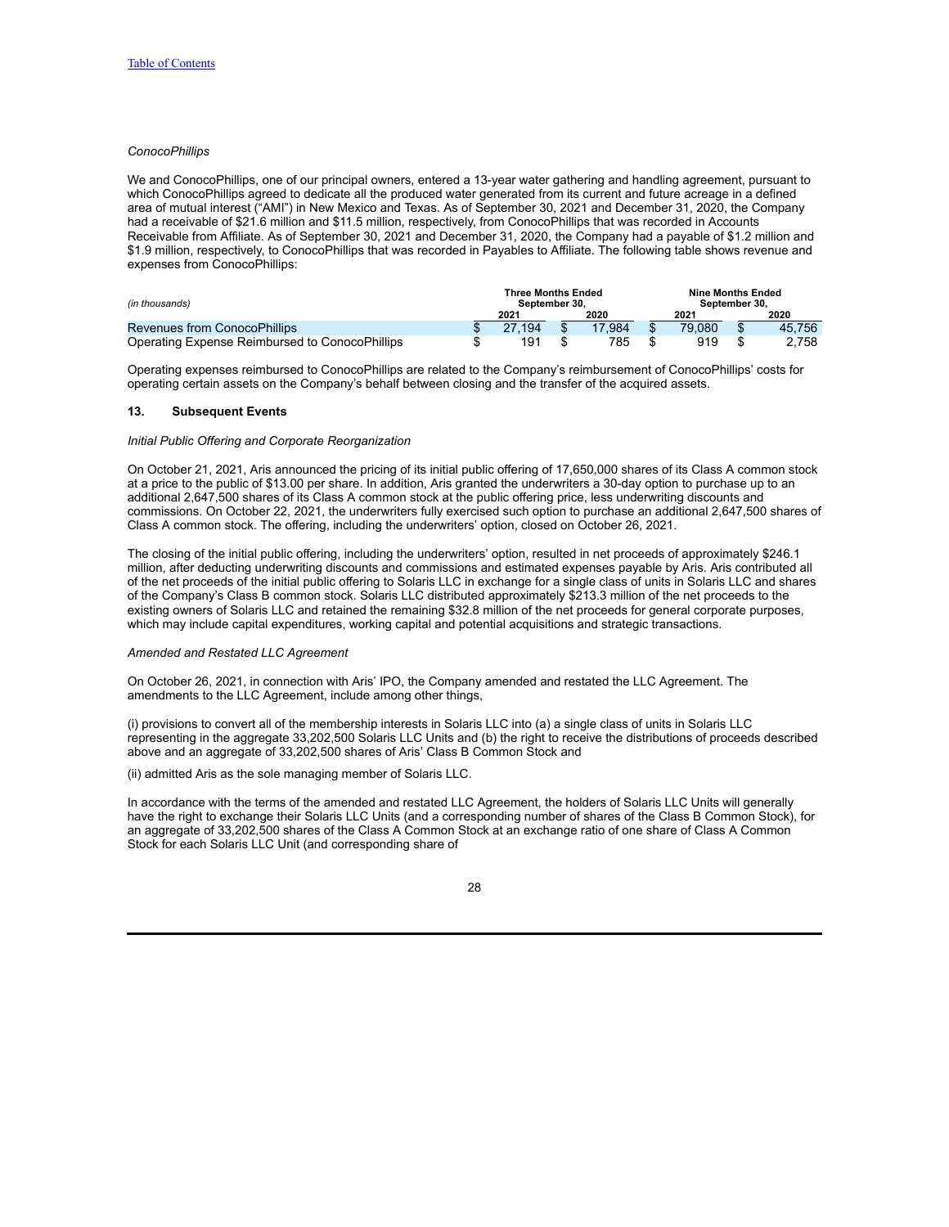## *ConocoPhillips*

We and ConocoPhillips, one of our principal owners, entered a 13-year water gathering and handling agreement, pursuant to which ConocoPhillips agreed to dedicate all the produced water generated from its current and future acreage in a defined area of mutual interest ("AMI") in New Mexico and Texas. As of September 30, 2021 and December 31, 2020, the Company had a receivable of \$21.6 million and \$11.5 million, respectively, from ConocoPhillips that was recorded in Accounts Receivable from Affiliate. As of September 30, 2021 and December 31, 2020, the Company had a payable of \$1.2 million and \$1.9 million, respectively, to ConocoPhillips that was recorded in Payables to Affiliate. The following table shows revenue and expenses from ConocoPhillips:

| (in thousands)                                 |  | <b>Three Months Ended</b><br>September 30. |        | <b>Nine Months Ended</b><br>September 30. |        |  |        |
|------------------------------------------------|--|--------------------------------------------|--------|-------------------------------------------|--------|--|--------|
|                                                |  | 2021                                       | 2020   |                                           | 2021   |  | 2020   |
| Revenues from ConocoPhillips                   |  | 27.194                                     | 17.984 |                                           | 79,080 |  | 45.756 |
| Operating Expense Reimbursed to ConocoPhillips |  | 191                                        | 785    |                                           | 919    |  | 2.758  |

Operating expenses reimbursed to ConocoPhillips are related to the Company's reimbursement of ConocoPhillips' costs for operating certain assets on the Company's behalf between closing and the transfer of the acquired assets.

### **13. Subsequent Events**

### *Initial Public Offering and Corporate Reorganization*

On October 21, 2021, Aris announced the pricing of its initial public offering of 17,650,000 shares of its Class A common stock at a price to the public of \$13.00 per share. In addition, Aris granted the underwriters a 30-day option to purchase up to an additional 2,647,500 shares of its Class A common stock at the public offering price, less underwriting discounts and commissions. On October 22, 2021, the underwriters fully exercised such option to purchase an additional 2,647,500 shares of Class A common stock. The offering, including the underwriters' option, closed on October 26, 2021.

The closing of the initial public offering, including the underwriters' option, resulted in net proceeds of approximately \$246.1 million, after deducting underwriting discounts and commissions and estimated expenses payable by Aris. Aris contributed all of the net proceeds of the initial public offering to Solaris LLC in exchange for a single class of units in Solaris LLC and shares of the Company's Class B common stock. Solaris LLC distributed approximately \$213.3 million of the net proceeds to the existing owners of Solaris LLC and retained the remaining \$32.8 million of the net proceeds for general corporate purposes, which may include capital expenditures, working capital and potential acquisitions and strategic transactions.

#### *Amended and Restated LLC Agreement*

On October 26, 2021, in connection with Aris' IPO, the Company amended and restated the LLC Agreement. The amendments to the LLC Agreement, include among other things,

(i) provisions to convert all of the membership interests in Solaris LLC into (a) a single class of units in Solaris LLC representing in the aggregate 33,202,500 Solaris LLC Units and (b) the right to receive the distributions of proceeds described above and an aggregate of 33,202,500 shares of Aris' Class B Common Stock and

(ii) admitted Aris as the sole managing member of Solaris LLC.

In accordance with the terms of the amended and restated LLC Agreement, the holders of Solaris LLC Units will generally have the right to exchange their Solaris LLC Units (and a corresponding number of shares of the Class B Common Stock), for an aggregate of 33,202,500 shares of the Class A Common Stock at an exchange ratio of one share of Class A Common Stock for each Solaris LLC Unit (and corresponding share of

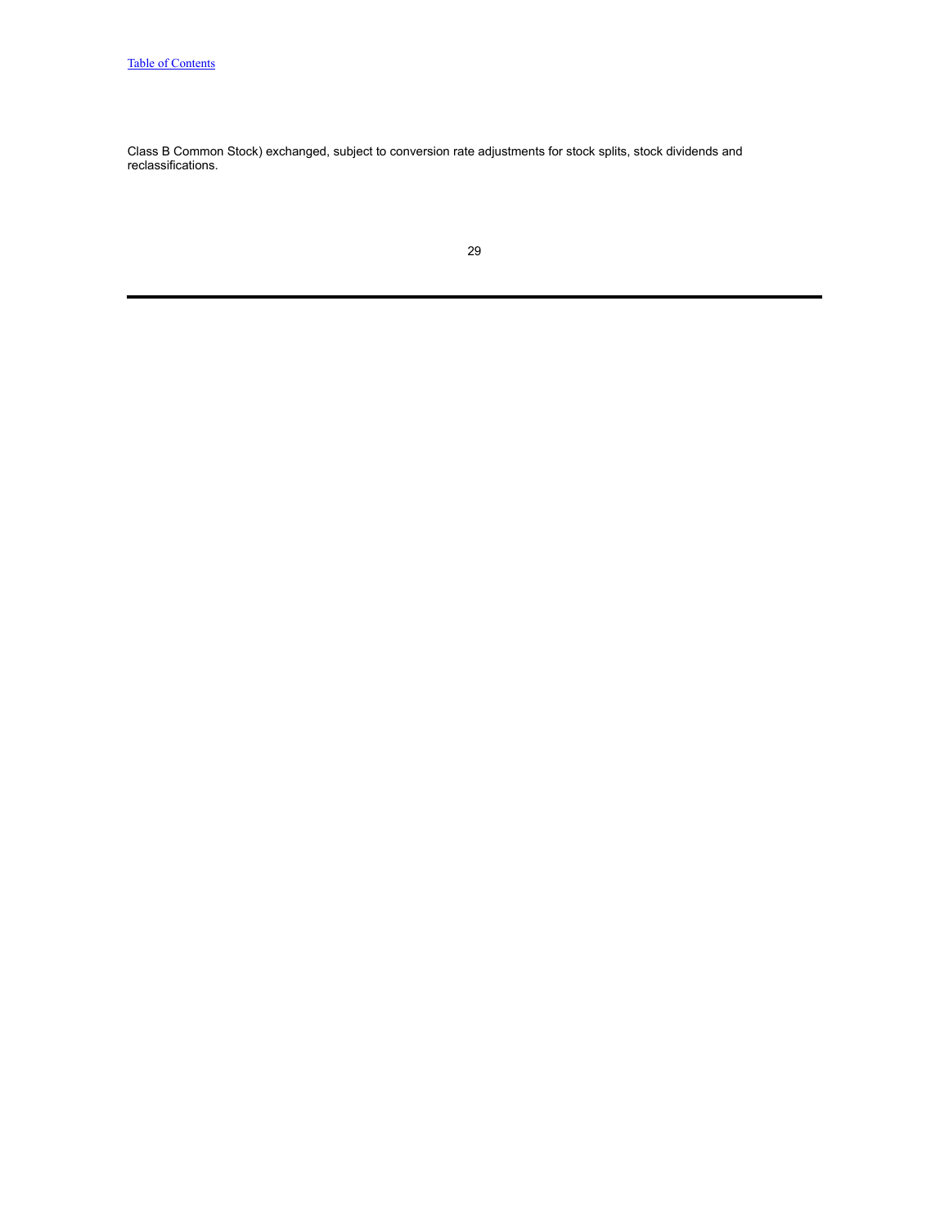Class B Common Stock) exchanged, subject to conversion rate adjustments for stock splits, stock dividends and reclassifications.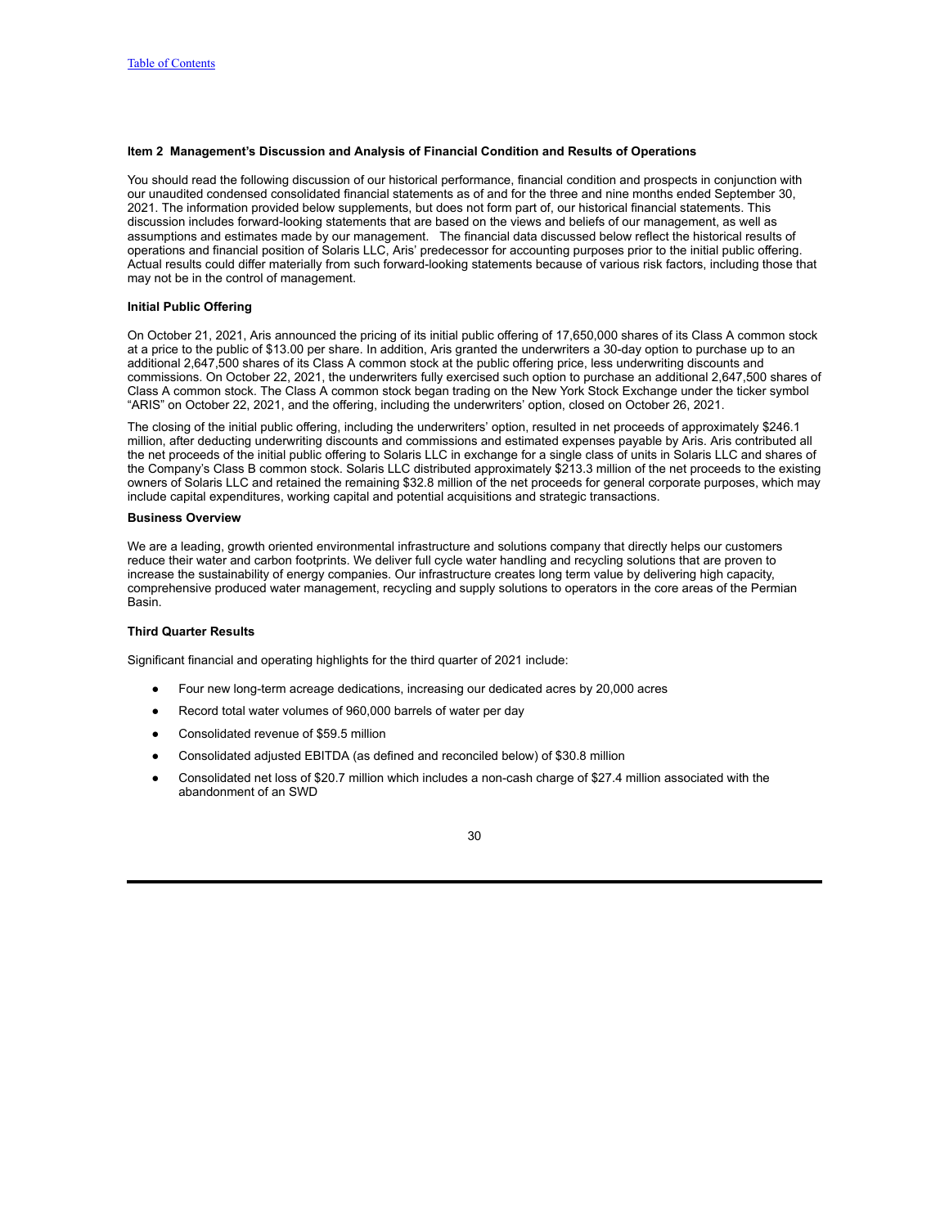## <span id="page-29-0"></span>**Item 2 Management's Discussion and Analysis of Financial Condition and Results of Operations**

You should read the following discussion of our historical performance, financial condition and prospects in conjunction with our unaudited condensed consolidated financial statements as of and for the three and nine months ended September 30, 2021. The information provided below supplements, but does not form part of, our historical financial statements. This discussion includes forward-looking statements that are based on the views and beliefs of our management, as well as assumptions and estimates made by our management. The financial data discussed below reflect the historical results of operations and financial position of Solaris LLC, Aris' predecessor for accounting purposes prior to the initial public offering. Actual results could differ materially from such forward-looking statements because of various risk factors, including those that may not be in the control of management.

## **Initial Public Offering**

On October 21, 2021, Aris announced the pricing of its initial public offering of 17,650,000 shares of its Class A common stock at a price to the public of \$13.00 per share. In addition, Aris granted the underwriters a 30-day option to purchase up to an additional 2,647,500 shares of its Class A common stock at the public offering price, less underwriting discounts and commissions. On October 22, 2021, the underwriters fully exercised such option to purchase an additional 2,647,500 shares of Class A common stock. The Class A common stock began trading on the New York Stock Exchange under the ticker symbol "ARIS" on October 22, 2021, and the offering, including the underwriters' option, closed on October 26, 2021.

The closing of the initial public offering, including the underwriters' option, resulted in net proceeds of approximately \$246.1 million, after deducting underwriting discounts and commissions and estimated expenses payable by Aris. Aris contributed all the net proceeds of the initial public offering to Solaris LLC in exchange for a single class of units in Solaris LLC and shares of the Company's Class B common stock. Solaris LLC distributed approximately \$213.3 million of the net proceeds to the existing owners of Solaris LLC and retained the remaining \$32.8 million of the net proceeds for general corporate purposes, which may include capital expenditures, working capital and potential acquisitions and strategic transactions.

### **Business Overview**

We are a leading, growth oriented environmental infrastructure and solutions company that directly helps our customers reduce their water and carbon footprints. We deliver full cycle water handling and recycling solutions that are proven to increase the sustainability of energy companies. Our infrastructure creates long term value by delivering high capacity, comprehensive produced water management, recycling and supply solutions to operators in the core areas of the Permian Basin.

## **Third Quarter Results**

Significant financial and operating highlights for the third quarter of 2021 include:

- Four new long-term acreage dedications, increasing our dedicated acres by 20,000 acres
- Record total water volumes of 960,000 barrels of water per day
- Consolidated revenue of \$59.5 million
- Consolidated adjusted EBITDA (as defined and reconciled below) of \$30.8 million
- Consolidated net loss of \$20.7 million which includes a non-cash charge of \$27.4 million associated with the abandonment of an SWD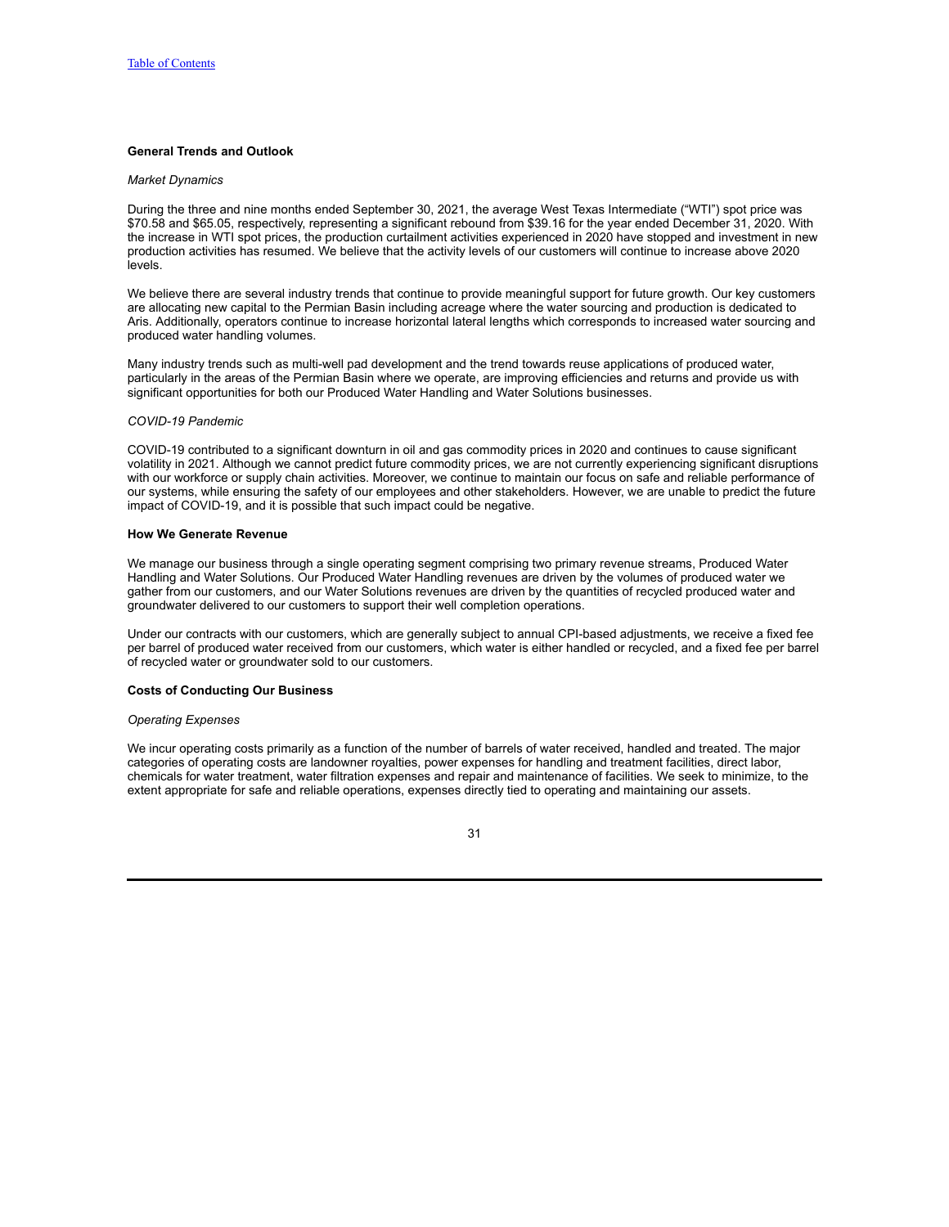## **General Trends and Outlook**

#### *Market Dynamics*

During the three and nine months ended September 30, 2021, the average West Texas Intermediate ("WTI") spot price was \$70.58 and \$65.05, respectively, representing a significant rebound from \$39.16 for the year ended December 31, 2020. With the increase in WTI spot prices, the production curtailment activities experienced in 2020 have stopped and investment in new production activities has resumed. We believe that the activity levels of our customers will continue to increase above 2020 levels.

We believe there are several industry trends that continue to provide meaningful support for future growth. Our key customers are allocating new capital to the Permian Basin including acreage where the water sourcing and production is dedicated to Aris. Additionally, operators continue to increase horizontal lateral lengths which corresponds to increased water sourcing and produced water handling volumes.

Many industry trends such as multi-well pad development and the trend towards reuse applications of produced water, particularly in the areas of the Permian Basin where we operate, are improving efficiencies and returns and provide us with significant opportunities for both our Produced Water Handling and Water Solutions businesses.

#### *COVID-19 Pandemic*

COVID-19 contributed to a significant downturn in oil and gas commodity prices in 2020 and continues to cause significant volatility in 2021. Although we cannot predict future commodity prices, we are not currently experiencing significant disruptions with our workforce or supply chain activities. Moreover, we continue to maintain our focus on safe and reliable performance of our systems, while ensuring the safety of our employees and other stakeholders. However, we are unable to predict the future impact of COVID-19, and it is possible that such impact could be negative.

### **How We Generate Revenue**

We manage our business through a single operating segment comprising two primary revenue streams, Produced Water Handling and Water Solutions. Our Produced Water Handling revenues are driven by the volumes of produced water we gather from our customers, and our Water Solutions revenues are driven by the quantities of recycled produced water and groundwater delivered to our customers to support their well completion operations.

Under our contracts with our customers, which are generally subject to annual CPI-based adjustments, we receive a fixed fee per barrel of produced water received from our customers, which water is either handled or recycled, and a fixed fee per barrel of recycled water or groundwater sold to our customers.

### **Costs of Conducting Our Business**

#### *Operating Expenses*

We incur operating costs primarily as a function of the number of barrels of water received, handled and treated. The major categories of operating costs are landowner royalties, power expenses for handling and treatment facilities, direct labor, chemicals for water treatment, water filtration expenses and repair and maintenance of facilities. We seek to minimize, to the extent appropriate for safe and reliable operations, expenses directly tied to operating and maintaining our assets.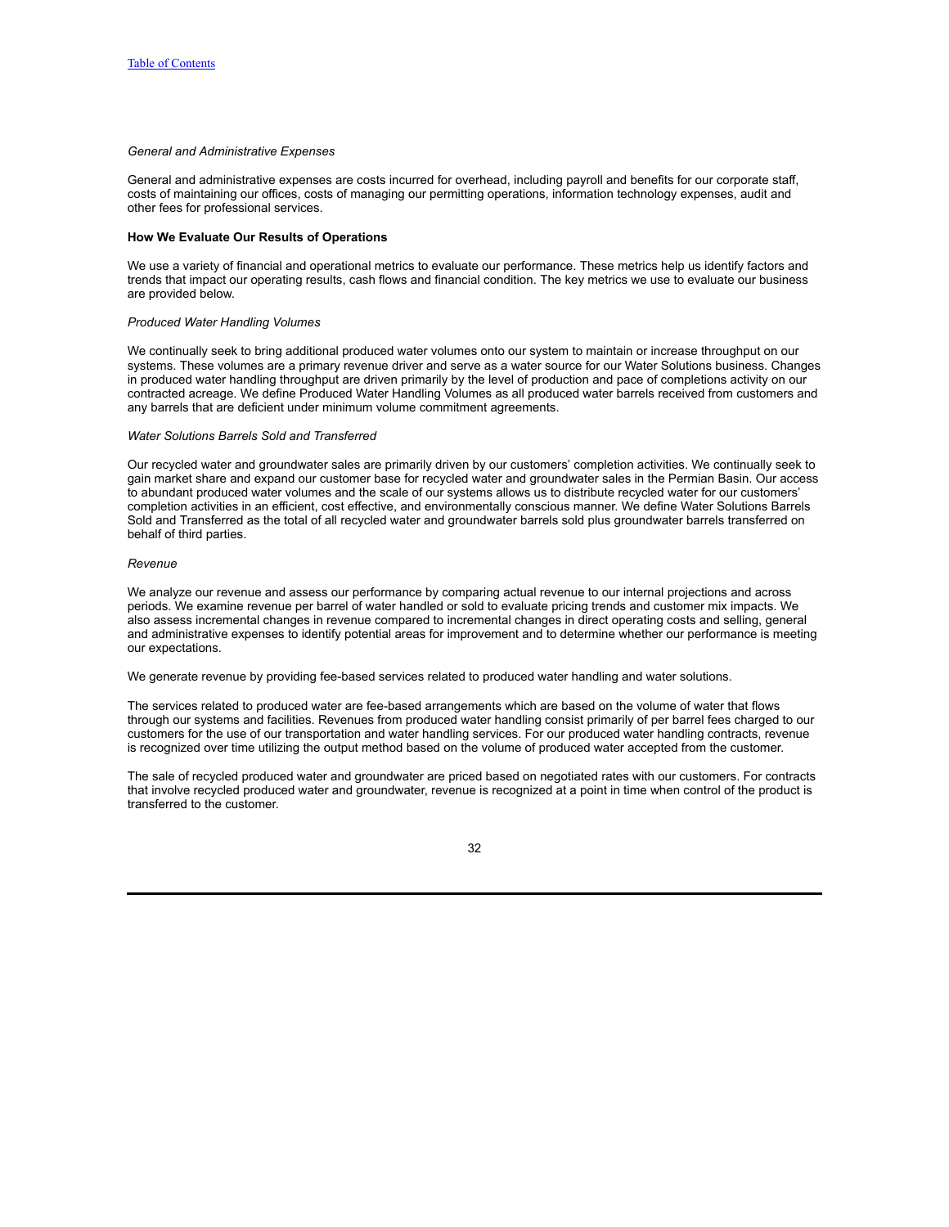### *General and Administrative Expenses*

General and administrative expenses are costs incurred for overhead, including payroll and benefits for our corporate staff, costs of maintaining our offices, costs of managing our permitting operations, information technology expenses, audit and other fees for professional services.

## **How We Evaluate Our Results of Operations**

We use a variety of financial and operational metrics to evaluate our performance. These metrics help us identify factors and trends that impact our operating results, cash flows and financial condition. The key metrics we use to evaluate our business are provided below.

### *Produced Water Handling Volumes*

We continually seek to bring additional produced water volumes onto our system to maintain or increase throughput on our systems. These volumes are a primary revenue driver and serve as a water source for our Water Solutions business. Changes in produced water handling throughput are driven primarily by the level of production and pace of completions activity on our contracted acreage. We define Produced Water Handling Volumes as all produced water barrels received from customers and any barrels that are deficient under minimum volume commitment agreements.

### *Water Solutions Barrels Sold and Transferred*

Our recycled water and groundwater sales are primarily driven by our customers' completion activities. We continually seek to gain market share and expand our customer base for recycled water and groundwater sales in the Permian Basin. Our access to abundant produced water volumes and the scale of our systems allows us to distribute recycled water for our customers' completion activities in an efficient, cost effective, and environmentally conscious manner. We define Water Solutions Barrels Sold and Transferred as the total of all recycled water and groundwater barrels sold plus groundwater barrels transferred on behalf of third parties.

### *Revenue*

We analyze our revenue and assess our performance by comparing actual revenue to our internal projections and across periods. We examine revenue per barrel of water handled or sold to evaluate pricing trends and customer mix impacts. We also assess incremental changes in revenue compared to incremental changes in direct operating costs and selling, general and administrative expenses to identify potential areas for improvement and to determine whether our performance is meeting our expectations.

We generate revenue by providing fee-based services related to produced water handling and water solutions.

The services related to produced water are fee-based arrangements which are based on the volume of water that flows through our systems and facilities. Revenues from produced water handling consist primarily of per barrel fees charged to our customers for the use of our transportation and water handling services. For our produced water handling contracts, revenue is recognized over time utilizing the output method based on the volume of produced water accepted from the customer.

The sale of recycled produced water and groundwater are priced based on negotiated rates with our customers. For contracts that involve recycled produced water and groundwater, revenue is recognized at a point in time when control of the product is transferred to the customer.

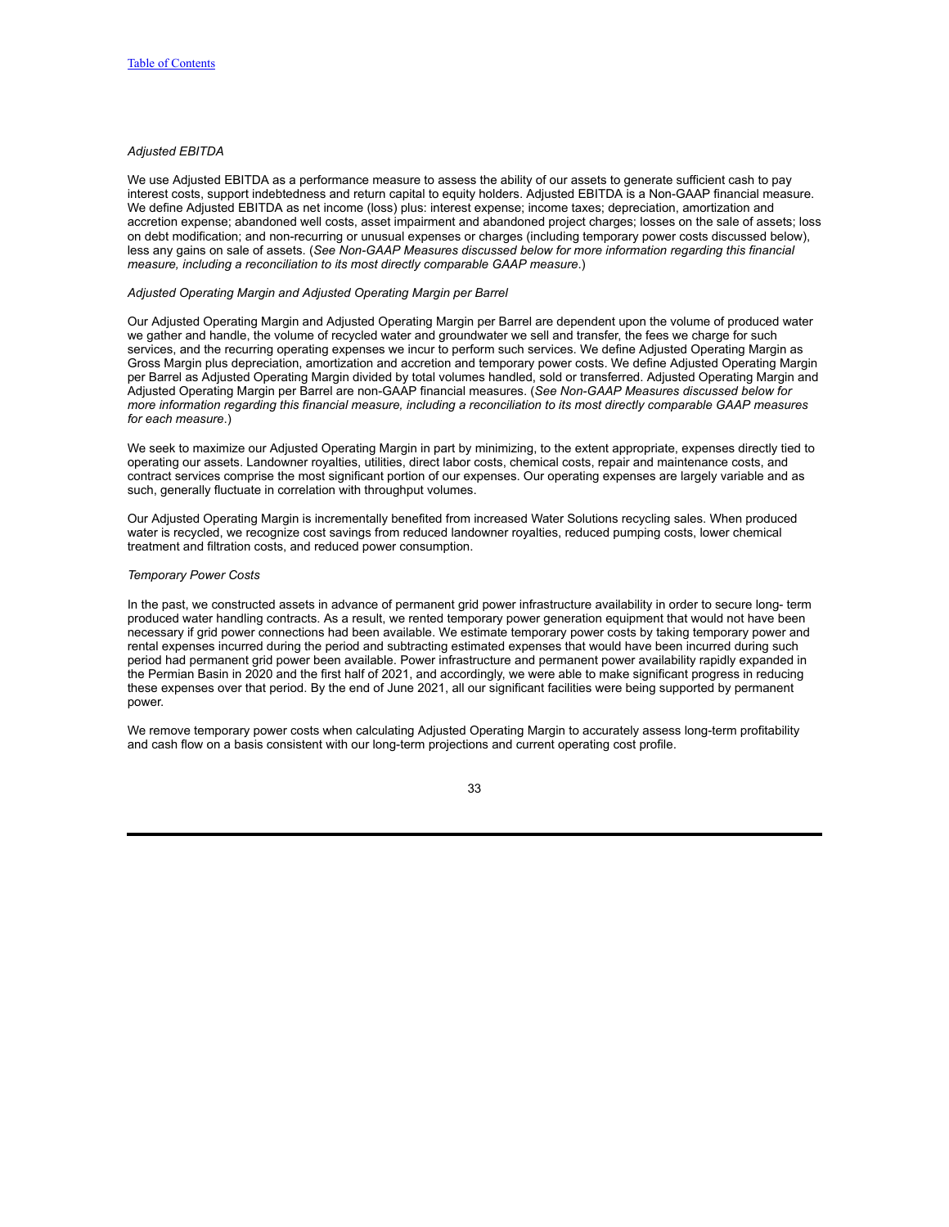## *Adjusted EBITDA*

We use Adjusted EBITDA as a performance measure to assess the ability of our assets to generate sufficient cash to pay interest costs, support indebtedness and return capital to equity holders. Adjusted EBITDA is a Non-GAAP financial measure. We define Adjusted EBITDA as net income (loss) plus: interest expense; income taxes; depreciation, amortization and accretion expense; abandoned well costs, asset impairment and abandoned project charges; losses on the sale of assets; loss on debt modification; and non-recurring or unusual expenses or charges (including temporary power costs discussed below), less any gains on sale of assets. (*See Non-GAAP Measures discussed below for more information regarding this financial measure, including a reconciliation to its most directly comparable GAAP measure*.)

#### *Adjusted Operating Margin and Adjusted Operating Margin per Barrel*

Our Adjusted Operating Margin and Adjusted Operating Margin per Barrel are dependent upon the volume of produced water we gather and handle, the volume of recycled water and groundwater we sell and transfer, the fees we charge for such services, and the recurring operating expenses we incur to perform such services. We define Adjusted Operating Margin as Gross Margin plus depreciation, amortization and accretion and temporary power costs. We define Adjusted Operating Margin per Barrel as Adjusted Operating Margin divided by total volumes handled, sold or transferred. Adjusted Operating Margin and Adjusted Operating Margin per Barrel are non-GAAP financial measures. (*See Non-GAAP Measures discussed below for* more information regarding this financial measure, including a reconciliation to its most directly comparable GAAP measures *for each measure*.)

We seek to maximize our Adjusted Operating Margin in part by minimizing, to the extent appropriate, expenses directly tied to operating our assets. Landowner royalties, utilities, direct labor costs, chemical costs, repair and maintenance costs, and contract services comprise the most significant portion of our expenses. Our operating expenses are largely variable and as such, generally fluctuate in correlation with throughput volumes.

Our Adjusted Operating Margin is incrementally benefited from increased Water Solutions recycling sales. When produced water is recycled, we recognize cost savings from reduced landowner royalties, reduced pumping costs, lower chemical treatment and filtration costs, and reduced power consumption.

#### *Temporary Power Costs*

In the past, we constructed assets in advance of permanent grid power infrastructure availability in order to secure long- term produced water handling contracts. As a result, we rented temporary power generation equipment that would not have been necessary if grid power connections had been available. We estimate temporary power costs by taking temporary power and rental expenses incurred during the period and subtracting estimated expenses that would have been incurred during such period had permanent grid power been available. Power infrastructure and permanent power availability rapidly expanded in the Permian Basin in 2020 and the first half of 2021, and accordingly, we were able to make significant progress in reducing these expenses over that period. By the end of June 2021, all our significant facilities were being supported by permanent power.

We remove temporary power costs when calculating Adjusted Operating Margin to accurately assess long-term profitability and cash flow on a basis consistent with our long-term projections and current operating cost profile.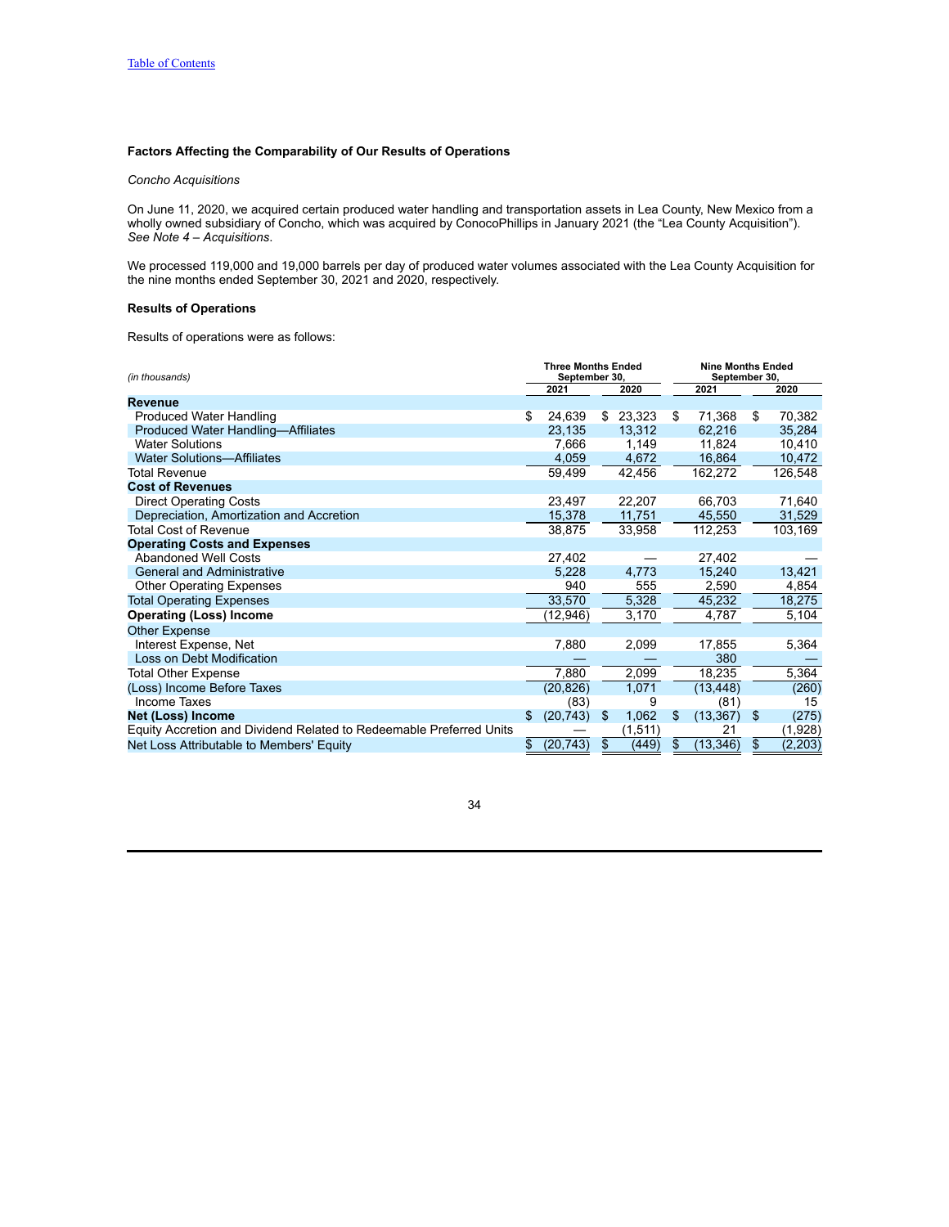## **Factors Affecting the Comparability of Our Results of Operations**

## *Concho Acquisitions*

On June 11, 2020, we acquired certain produced water handling and transportation assets in Lea County, New Mexico from a wholly owned subsidiary of Concho, which was acquired by ConocoPhillips in January 2021 (the "Lea County Acquisition"). *See Note 4 – Acquisitions*.

We processed 119,000 and 19,000 barrels per day of produced water volumes associated with the Lea County Acquisition for the nine months ended September 30, 2021 and 2020, respectively.

# **Results of Operations**

Results of operations were as follows:

| (in thousands)                                                      |      | <b>Three Months Ended</b><br>September 30, |     |         | <b>Nine Months Ended</b><br>September 30. |           |    |          |
|---------------------------------------------------------------------|------|--------------------------------------------|-----|---------|-------------------------------------------|-----------|----|----------|
|                                                                     | 2021 |                                            |     | 2020    |                                           | 2021      |    | 2020     |
| Revenue                                                             |      |                                            |     |         |                                           |           |    |          |
| <b>Produced Water Handling</b>                                      | \$   | 24,639                                     | \$  | 23,323  | \$                                        | 71,368    | \$ | 70,382   |
| Produced Water Handling-Affiliates                                  |      | 23,135                                     |     | 13,312  |                                           | 62,216    |    | 35,284   |
| <b>Water Solutions</b>                                              |      | 7,666                                      |     | 1,149   |                                           | 11,824    |    | 10,410   |
| <b>Water Solutions-Affiliates</b>                                   |      | 4,059                                      |     | 4,672   |                                           | 16,864    |    | 10,472   |
| Total Revenue                                                       |      | 59,499                                     |     | 42,456  |                                           | 162,272   |    | 126,548  |
| <b>Cost of Revenues</b>                                             |      |                                            |     |         |                                           |           |    |          |
| <b>Direct Operating Costs</b>                                       |      | 23,497                                     |     | 22,207  |                                           | 66,703    |    | 71,640   |
| Depreciation, Amortization and Accretion                            |      | 15,378                                     |     | 11,751  |                                           | 45,550    |    | 31,529   |
| <b>Total Cost of Revenue</b>                                        |      | 38,875                                     |     | 33,958  |                                           | 112,253   |    | 103,169  |
| <b>Operating Costs and Expenses</b>                                 |      |                                            |     |         |                                           |           |    |          |
| Abandoned Well Costs                                                |      | 27,402                                     |     |         |                                           | 27,402    |    |          |
| <b>General and Administrative</b>                                   |      | 5,228                                      |     | 4,773   |                                           | 15,240    |    | 13,421   |
| <b>Other Operating Expenses</b>                                     |      | 940                                        |     | 555     |                                           | 2,590     |    | 4,854    |
| <b>Total Operating Expenses</b>                                     |      | 33,570                                     |     | 5,328   |                                           | 45,232    |    | 18,275   |
| <b>Operating (Loss) Income</b>                                      |      | (12,946)                                   |     | 3,170   |                                           | 4,787     |    | 5,104    |
| <b>Other Expense</b>                                                |      |                                            |     |         |                                           |           |    |          |
| Interest Expense, Net                                               |      | 7,880                                      |     | 2,099   |                                           | 17,855    |    | 5,364    |
| Loss on Debt Modification                                           |      |                                            |     |         |                                           | 380       |    |          |
| Total Other Expense                                                 |      | 7,880                                      |     | 2,099   |                                           | 18,235    |    | 5,364    |
| (Loss) Income Before Taxes                                          |      | (20, 826)                                  |     | 1,071   |                                           | (13, 448) |    | (260)    |
| <b>Income Taxes</b>                                                 |      | (83)                                       |     | 9       |                                           | (81)      |    | 15       |
| Net (Loss) Income                                                   | \$   | (20, 743)                                  | S   | 1,062   | \$                                        | (13, 367) | \$ | (275)    |
| Equity Accretion and Dividend Related to Redeemable Preferred Units |      |                                            |     | (1,511) |                                           | 21        |    | (1,928)  |
| Net Loss Attributable to Members' Equity                            | \$   | (20, 743)                                  | \$. | (449)   | S                                         | (13, 346) | \$ | (2, 203) |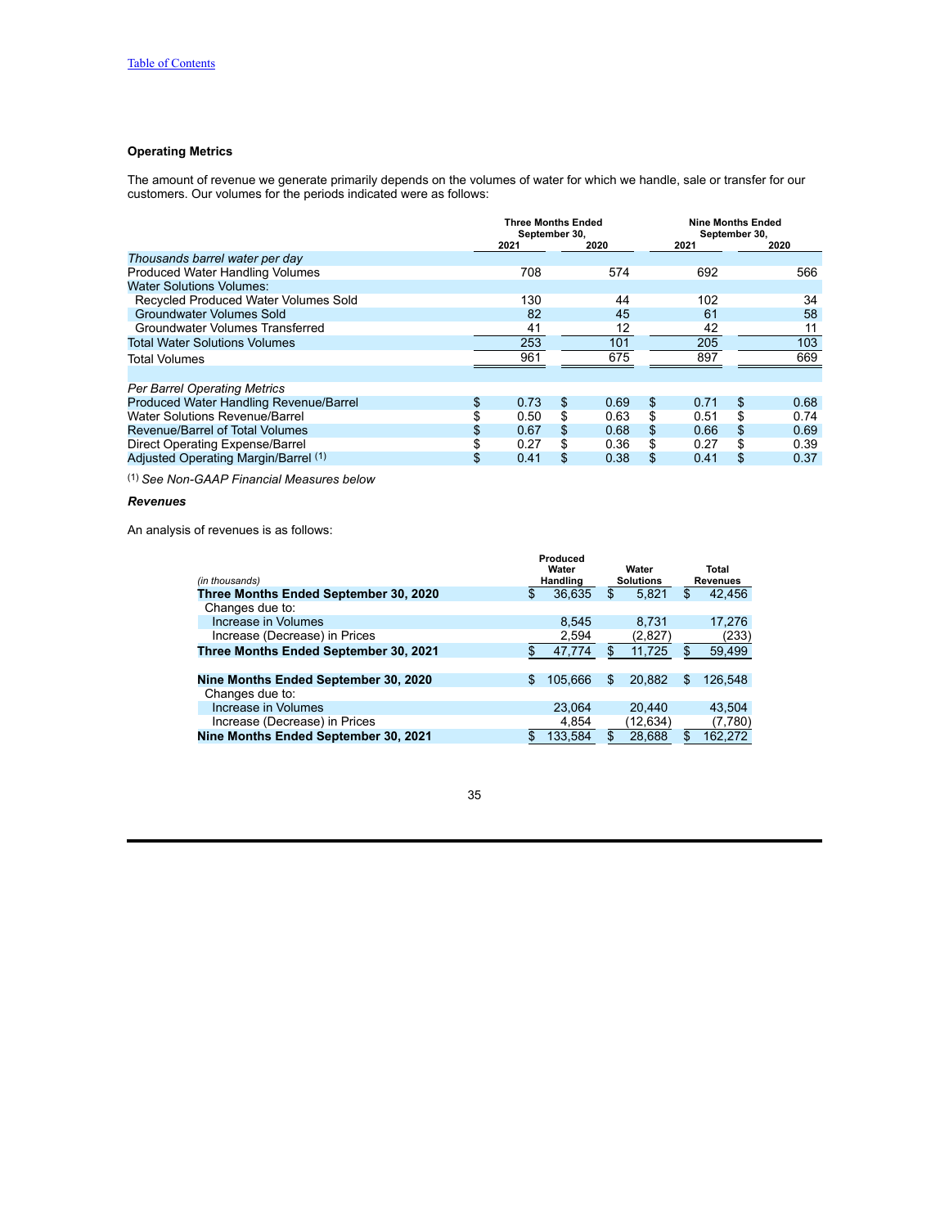# **Operating Metrics**

The amount of revenue we generate primarily depends on the volumes of water for which we handle, sale or transfer for our customers. Our volumes for the periods indicated were as follows:

|                                        | <b>Three Months Ended</b><br>September 30, |    |      |            | September 30, | <b>Nine Months Ended</b> |  |
|----------------------------------------|--------------------------------------------|----|------|------------|---------------|--------------------------|--|
|                                        | 2021                                       |    | 2020 | 2021       |               | 2020                     |  |
| Thousands barrel water per day         |                                            |    |      |            |               |                          |  |
| Produced Water Handling Volumes        | 708                                        |    | 574  | 692        |               | 566                      |  |
| Water Solutions Volumes:               |                                            |    |      |            |               |                          |  |
| Recycled Produced Water Volumes Sold   | 130                                        |    | 44   | 102        |               | 34                       |  |
| Groundwater Volumes Sold               | 82                                         |    | 45   | 61         |               | 58                       |  |
| Groundwater Volumes Transferred        | 41                                         |    | 12   | 42         |               | 11                       |  |
| <b>Total Water Solutions Volumes</b>   | 253                                        |    | 101  | 205        |               | 103                      |  |
| Total Volumes                          | 961                                        |    | 675  | 897        |               | 669                      |  |
|                                        |                                            |    |      |            |               |                          |  |
| <b>Per Barrel Operating Metrics</b>    |                                            |    |      |            |               |                          |  |
| Produced Water Handling Revenue/Barrel | \$<br>0.73                                 | \$ | 0.69 | \$<br>0.71 | \$            | 0.68                     |  |
| Water Solutions Revenue/Barrel         | 0.50                                       | \$ | 0.63 | \$<br>0.51 | \$            | 0.74                     |  |
| Revenue/Barrel of Total Volumes        | 0.67                                       | \$ | 0.68 | \$<br>0.66 | \$            | 0.69                     |  |
| Direct Operating Expense/Barrel        | 0.27                                       | \$ | 0.36 | \$<br>0.27 | \$            | 0.39                     |  |
| Adiusted Operating Margin/Barrel (1)   | \$<br>0.41                                 | \$ | 0.38 | \$<br>0.41 | \$            | 0.37                     |  |

(1) *See Non-GAAP Financial Measures below*

# *Revenues*

An analysis of revenues is as follows:

| (in thousands)                        |        | Produced<br>Water<br>Handling | Water<br><b>Solutions</b> |     | Total<br><b>Revenues</b> |  |
|---------------------------------------|--------|-------------------------------|---------------------------|-----|--------------------------|--|
| Three Months Ended September 30, 2020 | 36,635 |                               | \$<br>5,821               | \$  | 42,456                   |  |
| Changes due to:                       |        |                               |                           |     |                          |  |
| Increase in Volumes                   |        | 8,545                         | 8.731                     |     | 17,276                   |  |
| Increase (Decrease) in Prices         |        | 2,594                         | (2,827)                   |     | (233)                    |  |
| Three Months Ended September 30, 2021 |        | 47,774                        | 11,725                    | \$  | 59,499                   |  |
|                                       |        |                               |                           |     |                          |  |
| Nine Months Ended September 30, 2020  | \$     | 105.666                       | \$<br>20.882              | \$  | 126.548                  |  |
| Changes due to:                       |        |                               |                           |     |                          |  |
| Increase in Volumes                   |        | 23,064                        | 20.440                    |     | 43,504                   |  |
| Increase (Decrease) in Prices         |        | 4,854                         | (12,634)                  |     | (7,780)                  |  |
| Nine Months Ended September 30, 2021  |        | 133,584                       | 28.688                    | \$. | 162.272                  |  |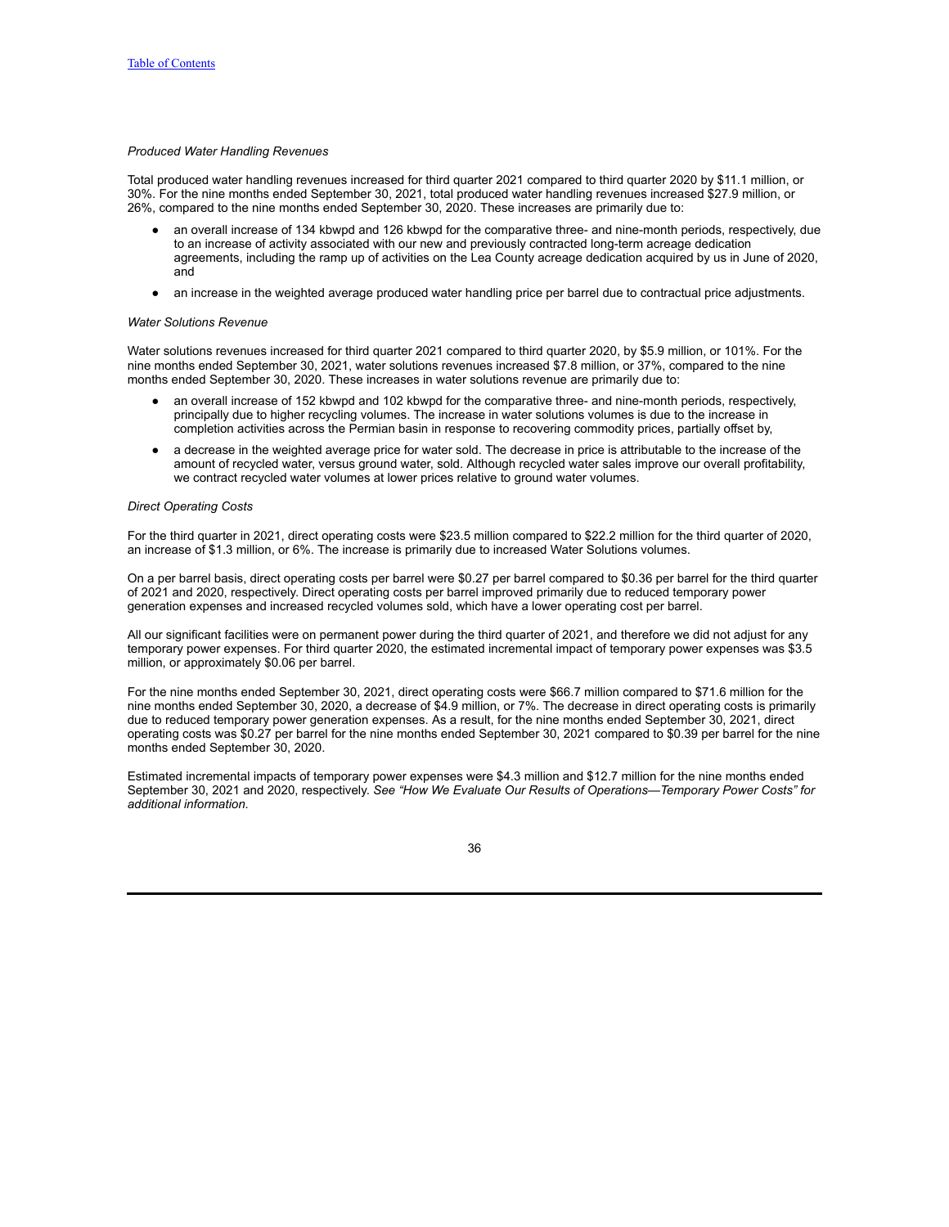## *Produced Water Handling Revenues*

Total produced water handling revenues increased for third quarter 2021 compared to third quarter 2020 by \$11.1 million, or 30%. For the nine months ended September 30, 2021, total produced water handling revenues increased \$27.9 million, or 26%, compared to the nine months ended September 30, 2020. These increases are primarily due to:

- an overall increase of 134 kbwpd and 126 kbwpd for the comparative three- and nine-month periods, respectively, due to an increase of activity associated with our new and previously contracted long-term acreage dedication agreements, including the ramp up of activities on the Lea County acreage dedication acquired by us in June of 2020, and
- an increase in the weighted average produced water handling price per barrel due to contractual price adjustments.

#### *Water Solutions Revenue*

Water solutions revenues increased for third quarter 2021 compared to third quarter 2020, by \$5.9 million, or 101%. For the nine months ended September 30, 2021, water solutions revenues increased \$7.8 million, or 37%, compared to the nine months ended September 30, 2020. These increases in water solutions revenue are primarily due to:

- an overall increase of 152 kbwpd and 102 kbwpd for the comparative three- and nine-month periods, respectively, principally due to higher recycling volumes. The increase in water solutions volumes is due to the increase in completion activities across the Permian basin in response to recovering commodity prices, partially offset by,
- a decrease in the weighted average price for water sold. The decrease in price is attributable to the increase of the amount of recycled water, versus ground water, sold. Although recycled water sales improve our overall profitability, we contract recycled water volumes at lower prices relative to ground water volumes.

### *Direct Operating Costs*

For the third quarter in 2021, direct operating costs were \$23.5 million compared to \$22.2 million for the third quarter of 2020, an increase of \$1.3 million, or 6%. The increase is primarily due to increased Water Solutions volumes.

On a per barrel basis, direct operating costs per barrel were \$0.27 per barrel compared to \$0.36 per barrel for the third quarter of 2021 and 2020, respectively. Direct operating costs per barrel improved primarily due to reduced temporary power generation expenses and increased recycled volumes sold, which have a lower operating cost per barrel.

All our significant facilities were on permanent power during the third quarter of 2021, and therefore we did not adjust for any temporary power expenses. For third quarter 2020, the estimated incremental impact of temporary power expenses was \$3.5 million, or approximately \$0.06 per barrel.

For the nine months ended September 30, 2021, direct operating costs were \$66.7 million compared to \$71.6 million for the nine months ended September 30, 2020, a decrease of \$4.9 million, or 7%. The decrease in direct operating costs is primarily due to reduced temporary power generation expenses. As a result, for the nine months ended September 30, 2021, direct operating costs was \$0.27 per barrel for the nine months ended September 30, 2021 compared to \$0.39 per barrel for the nine months ended September 30, 2020.

Estimated incremental impacts of temporary power expenses were \$4.3 million and \$12.7 million for the nine months ended September 30, 2021 and 2020, respectively. *See "How We Evaluate Our Results of Operations—Temporary Power Costs" for additional information.*

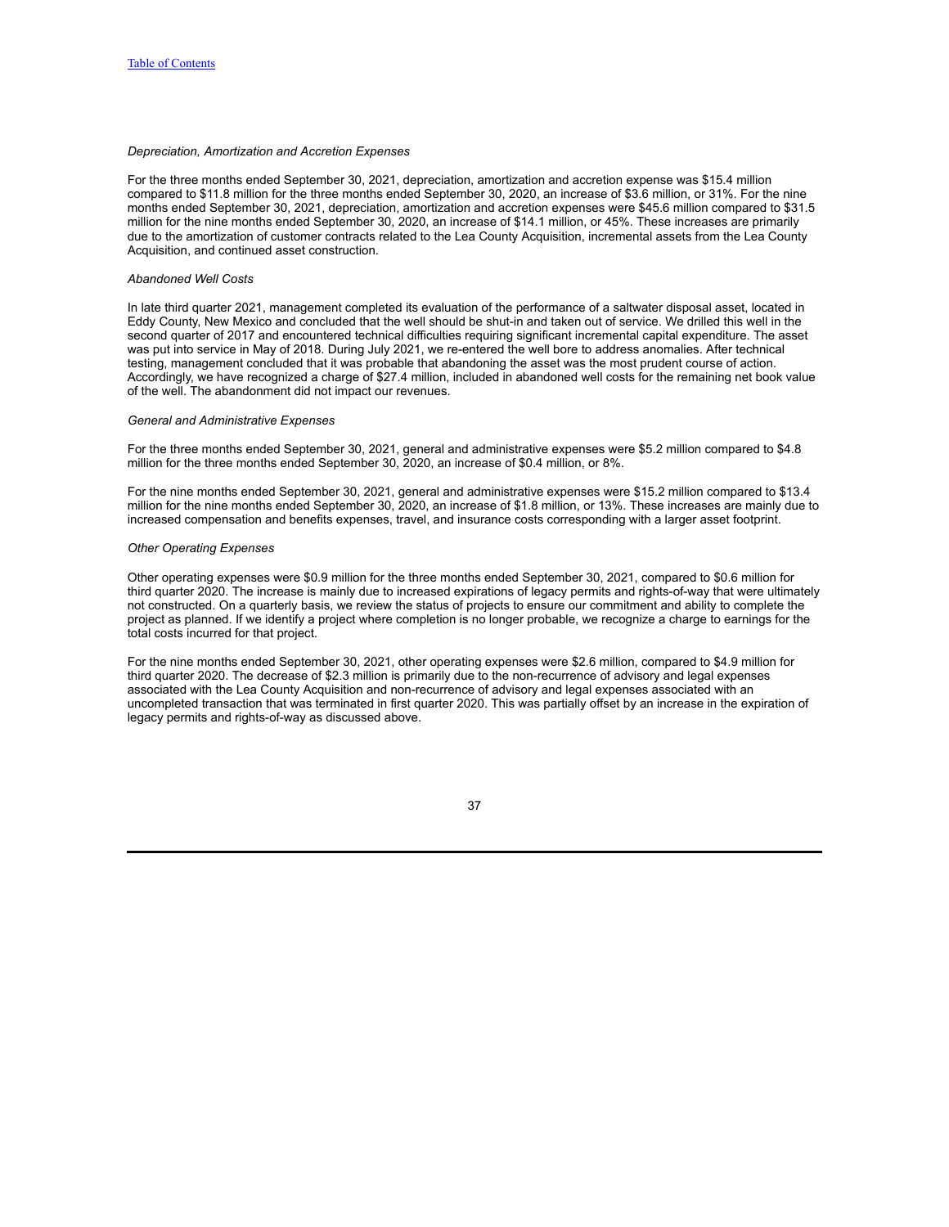#### *Depreciation, Amortization and Accretion Expenses*

For the three months ended September 30, 2021, depreciation, amortization and accretion expense was \$15.4 million compared to \$11.8 million for the three months ended September 30, 2020, an increase of \$3.6 million, or 31%. For the nine months ended September 30, 2021, depreciation, amortization and accretion expenses were \$45.6 million compared to \$31.5 million for the nine months ended September 30, 2020, an increase of \$14.1 million, or 45%. These increases are primarily due to the amortization of customer contracts related to the Lea County Acquisition, incremental assets from the Lea County Acquisition, and continued asset construction.

### *Abandoned Well Costs*

In late third quarter 2021, management completed its evaluation of the performance of a saltwater disposal asset, located in Eddy County, New Mexico and concluded that the well should be shut-in and taken out of service. We drilled this well in the second quarter of 2017 and encountered technical difficulties requiring significant incremental capital expenditure. The asset was put into service in May of 2018. During July 2021, we re-entered the well bore to address anomalies. After technical testing, management concluded that it was probable that abandoning the asset was the most prudent course of action. Accordingly, we have recognized a charge of \$27.4 million, included in abandoned well costs for the remaining net book value of the well. The abandonment did not impact our revenues.

#### *General and Administrative Expenses*

For the three months ended September 30, 2021, general and administrative expenses were \$5.2 million compared to \$4.8 million for the three months ended September 30, 2020, an increase of \$0.4 million, or 8%.

For the nine months ended September 30, 2021, general and administrative expenses were \$15.2 million compared to \$13.4 million for the nine months ended September 30, 2020, an increase of \$1.8 million, or 13%. These increases are mainly due to increased compensation and benefits expenses, travel, and insurance costs corresponding with a larger asset footprint.

#### *Other Operating Expenses*

Other operating expenses were \$0.9 million for the three months ended September 30, 2021, compared to \$0.6 million for third quarter 2020. The increase is mainly due to increased expirations of legacy permits and rights-of-way that were ultimately not constructed. On a quarterly basis, we review the status of projects to ensure our commitment and ability to complete the project as planned. If we identify a project where completion is no longer probable, we recognize a charge to earnings for the total costs incurred for that project.

For the nine months ended September 30, 2021, other operating expenses were \$2.6 million, compared to \$4.9 million for third quarter 2020. The decrease of \$2.3 million is primarily due to the non-recurrence of advisory and legal expenses associated with the Lea County Acquisition and non-recurrence of advisory and legal expenses associated with an uncompleted transaction that was terminated in first quarter 2020. This was partially offset by an increase in the expiration of legacy permits and rights-of-way as discussed above.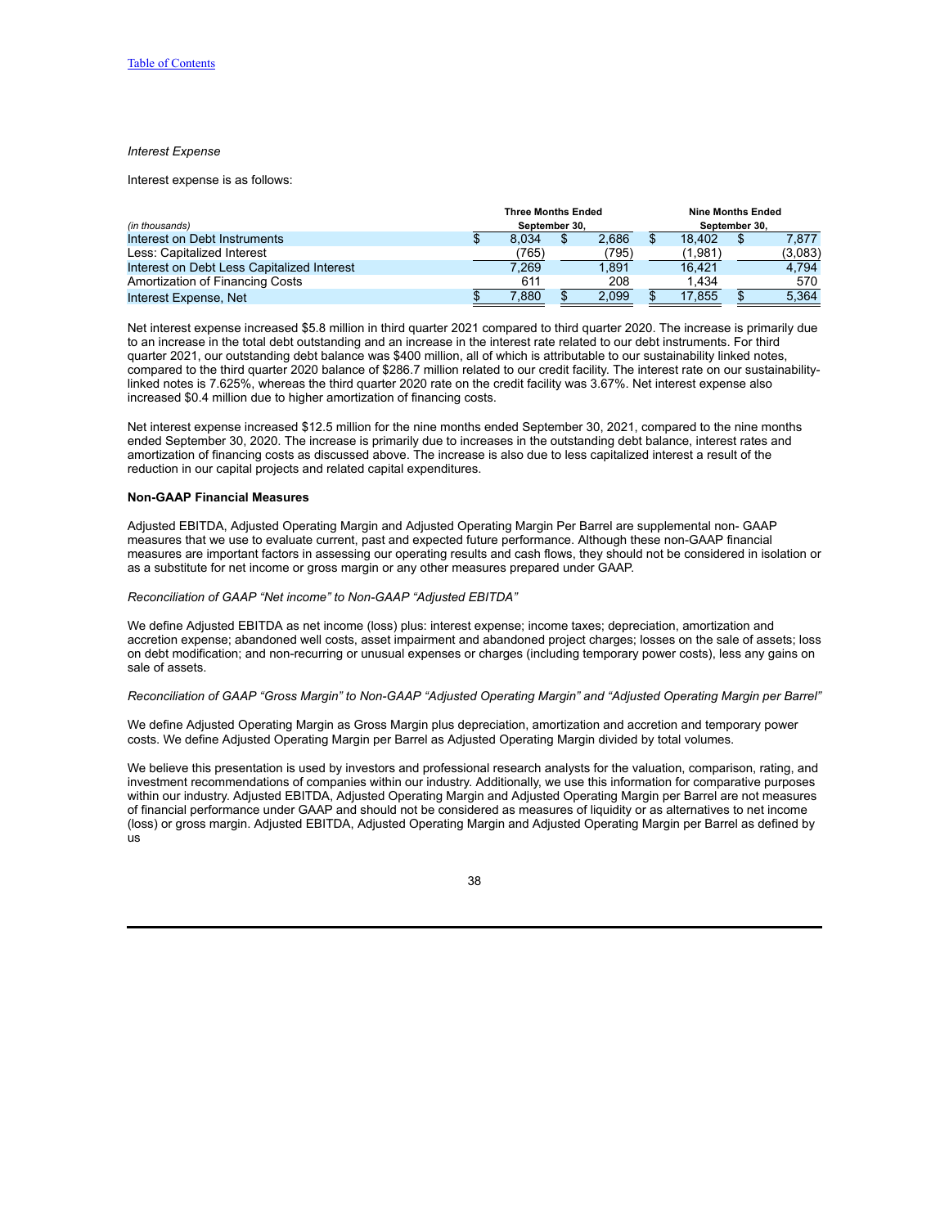### *Interest Expense*

Interest expense is as follows:

|                                            | <b>Three Months Ended</b> |       |  |       | <b>Nine Months Ended</b> |         |               |         |  |  |
|--------------------------------------------|---------------------------|-------|--|-------|--------------------------|---------|---------------|---------|--|--|
| (in thousands)                             | September 30.             |       |  |       |                          |         | September 30, |         |  |  |
| Interest on Debt Instruments               |                           | 8.034 |  | 2.686 |                          | 18.402  | \$            | 7.877   |  |  |
| Less: Capitalized Interest                 |                           | (765) |  | (795) |                          | (1,981) |               | (3,083) |  |  |
| Interest on Debt Less Capitalized Interest |                           | 7,269 |  | 1.891 |                          | 16.421  |               | 4.794   |  |  |
| Amortization of Financing Costs            |                           | 611   |  | 208   |                          | 1.434   |               | 570     |  |  |
| Interest Expense, Net                      |                           | 7,880 |  | 2.099 |                          | 17.855  |               | 5,364   |  |  |

Net interest expense increased \$5.8 million in third quarter 2021 compared to third quarter 2020. The increase is primarily due to an increase in the total debt outstanding and an increase in the interest rate related to our debt instruments. For third quarter 2021, our outstanding debt balance was \$400 million, all of which is attributable to our sustainability linked notes, compared to the third quarter 2020 balance of \$286.7 million related to our credit facility. The interest rate on our sustainabilitylinked notes is 7.625%, whereas the third quarter 2020 rate on the credit facility was 3.67%. Net interest expense also increased \$0.4 million due to higher amortization of financing costs.

Net interest expense increased \$12.5 million for the nine months ended September 30, 2021, compared to the nine months ended September 30, 2020. The increase is primarily due to increases in the outstanding debt balance, interest rates and amortization of financing costs as discussed above. The increase is also due to less capitalized interest a result of the reduction in our capital projects and related capital expenditures.

#### **Non-GAAP Financial Measures**

Adjusted EBITDA, Adjusted Operating Margin and Adjusted Operating Margin Per Barrel are supplemental non- GAAP measures that we use to evaluate current, past and expected future performance. Although these non-GAAP financial measures are important factors in assessing our operating results and cash flows, they should not be considered in isolation or as a substitute for net income or gross margin or any other measures prepared under GAAP.

### *Reconciliation of GAAP "Net income" to Non-GAAP "Adjusted EBITDA"*

We define Adjusted EBITDA as net income (loss) plus: interest expense; income taxes; depreciation, amortization and accretion expense; abandoned well costs, asset impairment and abandoned project charges; losses on the sale of assets; loss on debt modification; and non-recurring or unusual expenses or charges (including temporary power costs), less any gains on sale of assets.

### Reconciliation of GAAP "Gross Margin" to Non-GAAP "Adjusted Operating Margin" and "Adjusted Operating Margin per Barrel"

We define Adjusted Operating Margin as Gross Margin plus depreciation, amortization and accretion and temporary power costs. We define Adjusted Operating Margin per Barrel as Adjusted Operating Margin divided by total volumes.

We believe this presentation is used by investors and professional research analysts for the valuation, comparison, rating, and investment recommendations of companies within our industry. Additionally, we use this information for comparative purposes within our industry. Adjusted EBITDA, Adjusted Operating Margin and Adjusted Operating Margin per Barrel are not measures of financial performance under GAAP and should not be considered as measures of liquidity or as alternatives to net income (loss) or gross margin. Adjusted EBITDA, Adjusted Operating Margin and Adjusted Operating Margin per Barrel as defined by us

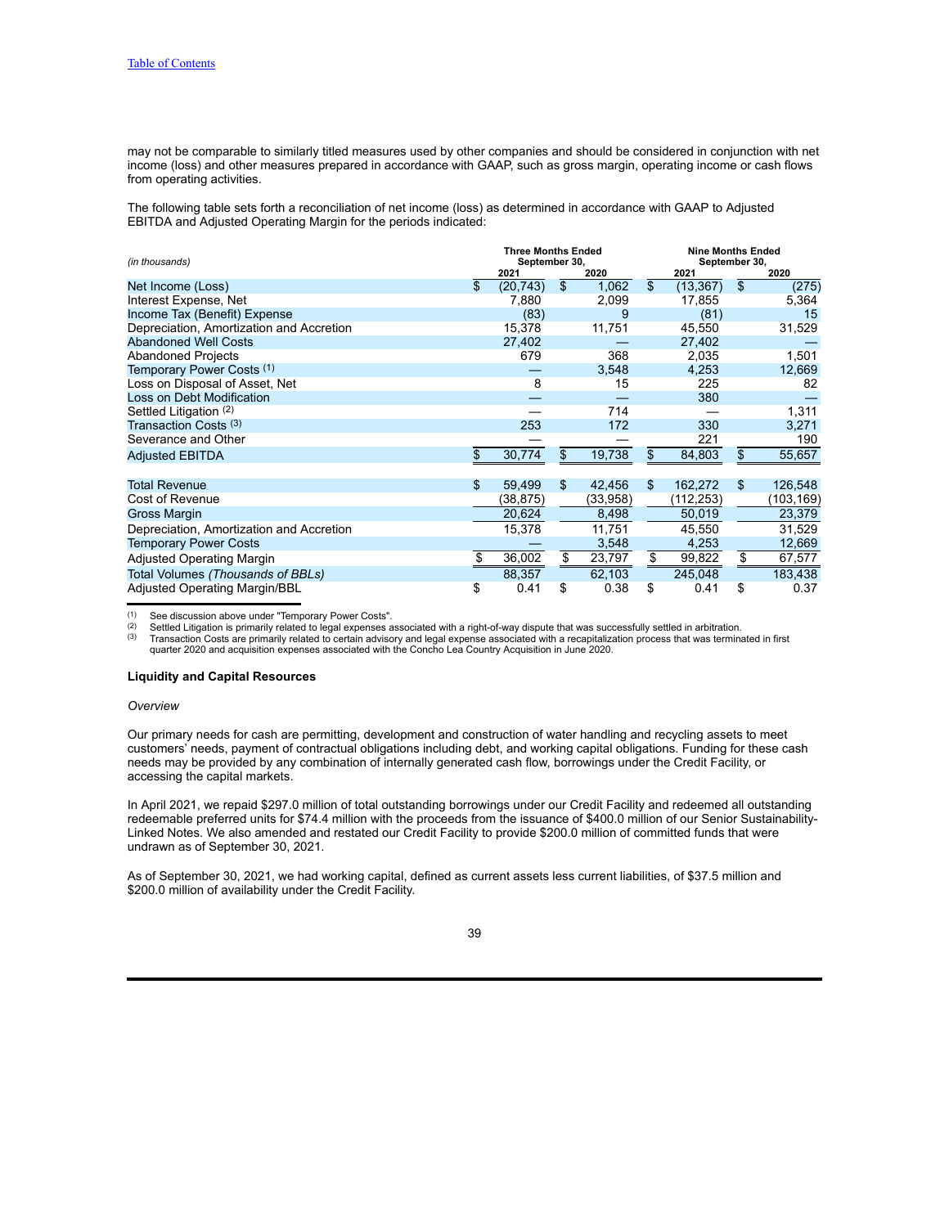may not be comparable to similarly titled measures used by other companies and should be considered in conjunction with net income (loss) and other measures prepared in accordance with GAAP, such as gross margin, operating income or cash flows from operating activities.

The following table sets forth a reconciliation of net income (loss) as determined in accordance with GAAP to Adjusted EBITDA and Adjusted Operating Margin for the periods indicated:

| (in thousands)                           | <b>Three Months Ended</b><br>September 30, |           |                |          |    | <b>Nine Months Ended</b><br>September 30, |                |            |
|------------------------------------------|--------------------------------------------|-----------|----------------|----------|----|-------------------------------------------|----------------|------------|
|                                          |                                            | 2021      | 2020           |          |    | 2021                                      |                | 2020       |
| Net Income (Loss)                        | \$                                         | (20, 743) | $\mathfrak{S}$ | 1,062    | \$ | (13, 367)                                 | $\mathfrak{L}$ | (275)      |
| Interest Expense, Net                    |                                            | 7,880     |                | 2,099    |    | 17,855                                    |                | 5,364      |
| Income Tax (Benefit) Expense             |                                            | (83)      |                | 9        |    | (81)                                      |                | 15         |
| Depreciation, Amortization and Accretion |                                            | 15,378    |                | 11,751   |    | 45,550                                    |                | 31,529     |
| <b>Abandoned Well Costs</b>              |                                            | 27,402    |                |          |    | 27,402                                    |                |            |
| <b>Abandoned Projects</b>                |                                            | 679       |                | 368      |    | 2.035                                     |                | 1,501      |
| Temporary Power Costs (1)                |                                            |           |                | 3,548    |    | 4,253                                     |                | 12,669     |
| Loss on Disposal of Asset, Net           |                                            | 8         |                | 15       |    | 225                                       |                | 82         |
| Loss on Debt Modification                |                                            |           |                |          |    | 380                                       |                |            |
| Settled Litigation (2)                   |                                            |           |                | 714      |    |                                           |                | 1,311      |
| Transaction Costs <sup>(3)</sup>         |                                            | 253       |                | 172      |    | 330                                       |                | 3,271      |
| Severance and Other                      |                                            |           |                |          |    | 221                                       |                | 190        |
| <b>Adjusted EBITDA</b>                   | \$                                         | 30,774    | \$             | 19,738   | \$ | 84,803                                    | \$             | 55,657     |
|                                          |                                            |           |                |          |    |                                           |                |            |
| <b>Total Revenue</b>                     | \$                                         | 59,499    | \$             | 42.456   | \$ | 162,272                                   | \$             | 126,548    |
| Cost of Revenue                          |                                            | (38, 875) |                | (33,958) |    | (112, 253)                                |                | (103, 169) |
| <b>Gross Margin</b>                      |                                            | 20,624    |                | 8,498    |    | 50,019                                    |                | 23,379     |
| Depreciation, Amortization and Accretion |                                            | 15,378    |                | 11,751   |    | 45,550                                    |                | 31,529     |
| <b>Temporary Power Costs</b>             |                                            |           |                | 3,548    |    | 4,253                                     |                | 12,669     |
| <b>Adjusted Operating Margin</b>         | \$                                         | 36,002    | \$             | 23,797   | \$ | 99,822                                    | \$             | 67,577     |
| Total Volumes (Thousands of BBLs)        |                                            | 88,357    |                | 62,103   |    | 245,048                                   |                | 183,438    |
| Adjusted Operating Margin/BBL            | \$                                         | 0.41      | \$             | 0.38     | \$ | 0.41                                      | \$             | 0.37       |

<sup>(1)</sup> See discussion above under "Temporary Power Costs".<br><sup>(2)</sup> Settled Litigation is primarily related to legal expenses associated with a right-of-way dispute that was successfully settled in arbitration.

<sup>(3)</sup> Transaction Costs are primarily related to certain advisory and legal expense associated with a recapitalization process that was terminated in first quarter 2020 and acquisition expenses associated with the Concho L

### **Liquidity and Capital Resources**

#### *Overview*

Our primary needs for cash are permitting, development and construction of water handling and recycling assets to meet customers' needs, payment of contractual obligations including debt, and working capital obligations. Funding for these cash needs may be provided by any combination of internally generated cash flow, borrowings under the Credit Facility, or accessing the capital markets.

In April 2021, we repaid \$297.0 million of total outstanding borrowings under our Credit Facility and redeemed all outstanding redeemable preferred units for \$74.4 million with the proceeds from the issuance of \$400.0 million of our Senior Sustainability-Linked Notes. We also amended and restated our Credit Facility to provide \$200.0 million of committed funds that were undrawn as of September 30, 2021.

As of September 30, 2021, we had working capital, defined as current assets less current liabilities, of \$37.5 million and \$200.0 million of availability under the Credit Facility.

<sup>39</sup>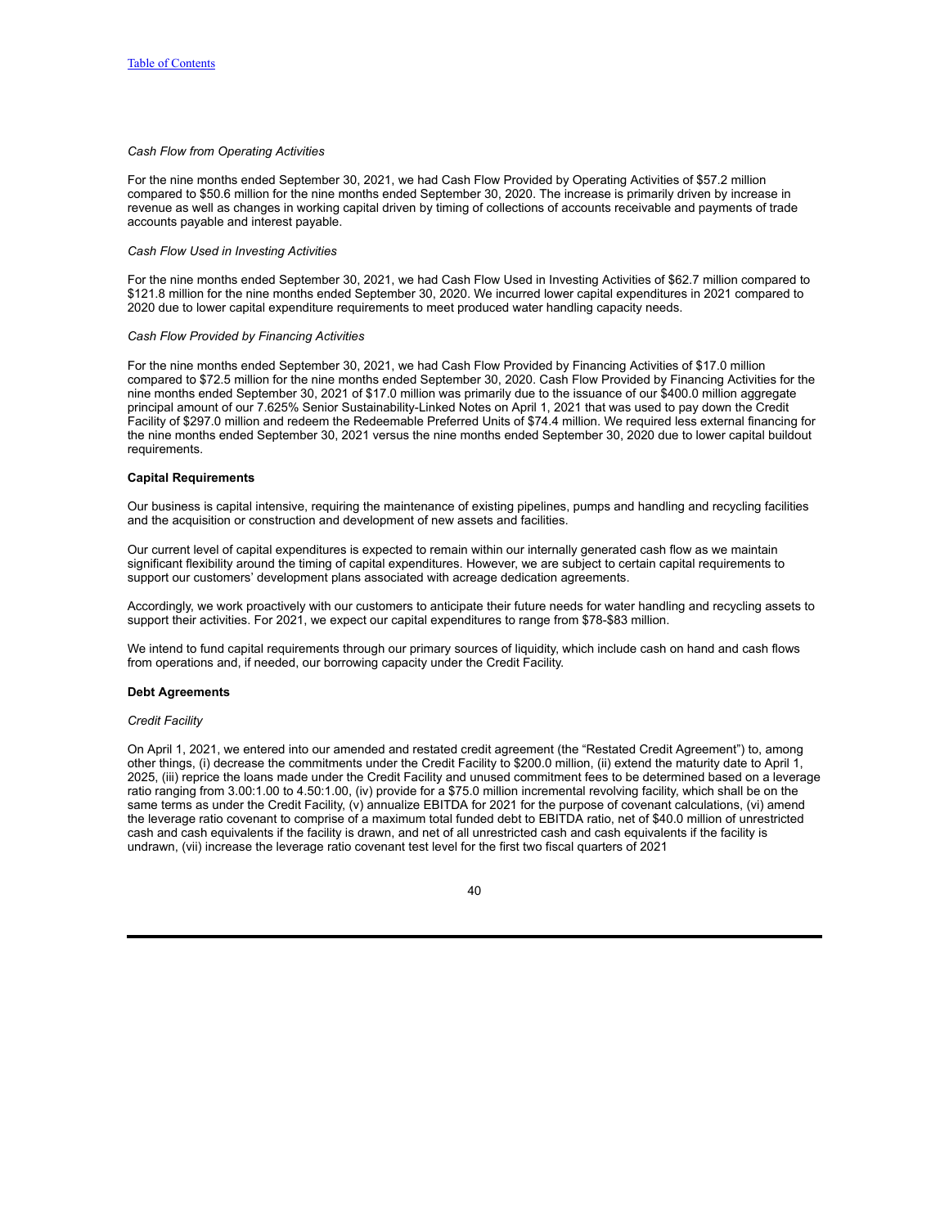### *Cash Flow from Operating Activities*

For the nine months ended September 30, 2021, we had Cash Flow Provided by Operating Activities of \$57.2 million compared to \$50.6 million for the nine months ended September 30, 2020. The increase is primarily driven by increase in revenue as well as changes in working capital driven by timing of collections of accounts receivable and payments of trade accounts payable and interest payable.

### *Cash Flow Used in Investing Activities*

For the nine months ended September 30, 2021, we had Cash Flow Used in Investing Activities of \$62.7 million compared to \$121.8 million for the nine months ended September 30, 2020. We incurred lower capital expenditures in 2021 compared to 2020 due to lower capital expenditure requirements to meet produced water handling capacity needs.

### *Cash Flow Provided by Financing Activities*

For the nine months ended September 30, 2021, we had Cash Flow Provided by Financing Activities of \$17.0 million compared to \$72.5 million for the nine months ended September 30, 2020. Cash Flow Provided by Financing Activities for the nine months ended September 30, 2021 of \$17.0 million was primarily due to the issuance of our \$400.0 million aggregate principal amount of our 7.625% Senior Sustainability-Linked Notes on April 1, 2021 that was used to pay down the Credit Facility of \$297.0 million and redeem the Redeemable Preferred Units of \$74.4 million. We required less external financing for the nine months ended September 30, 2021 versus the nine months ended September 30, 2020 due to lower capital buildout requirements.

### **Capital Requirements**

Our business is capital intensive, requiring the maintenance of existing pipelines, pumps and handling and recycling facilities and the acquisition or construction and development of new assets and facilities.

Our current level of capital expenditures is expected to remain within our internally generated cash flow as we maintain significant flexibility around the timing of capital expenditures. However, we are subject to certain capital requirements to support our customers' development plans associated with acreage dedication agreements.

Accordingly, we work proactively with our customers to anticipate their future needs for water handling and recycling assets to support their activities. For 2021, we expect our capital expenditures to range from \$78-\$83 million.

We intend to fund capital requirements through our primary sources of liquidity, which include cash on hand and cash flows from operations and, if needed, our borrowing capacity under the Credit Facility.

#### **Debt Agreements**

### *Credit Facility*

On April 1, 2021, we entered into our amended and restated credit agreement (the "Restated Credit Agreement") to, among other things, (i) decrease the commitments under the Credit Facility to \$200.0 million, (ii) extend the maturity date to April 1, 2025, (iii) reprice the loans made under the Credit Facility and unused commitment fees to be determined based on a leverage ratio ranging from 3.00:1.00 to 4.50:1.00, (iv) provide for a \$75.0 million incremental revolving facility, which shall be on the same terms as under the Credit Facility, (v) annualize EBITDA for 2021 for the purpose of covenant calculations, (vi) amend the leverage ratio covenant to comprise of a maximum total funded debt to EBITDA ratio, net of \$40.0 million of unrestricted cash and cash equivalents if the facility is drawn, and net of all unrestricted cash and cash equivalents if the facility is undrawn, (vii) increase the leverage ratio covenant test level for the first two fiscal quarters of 2021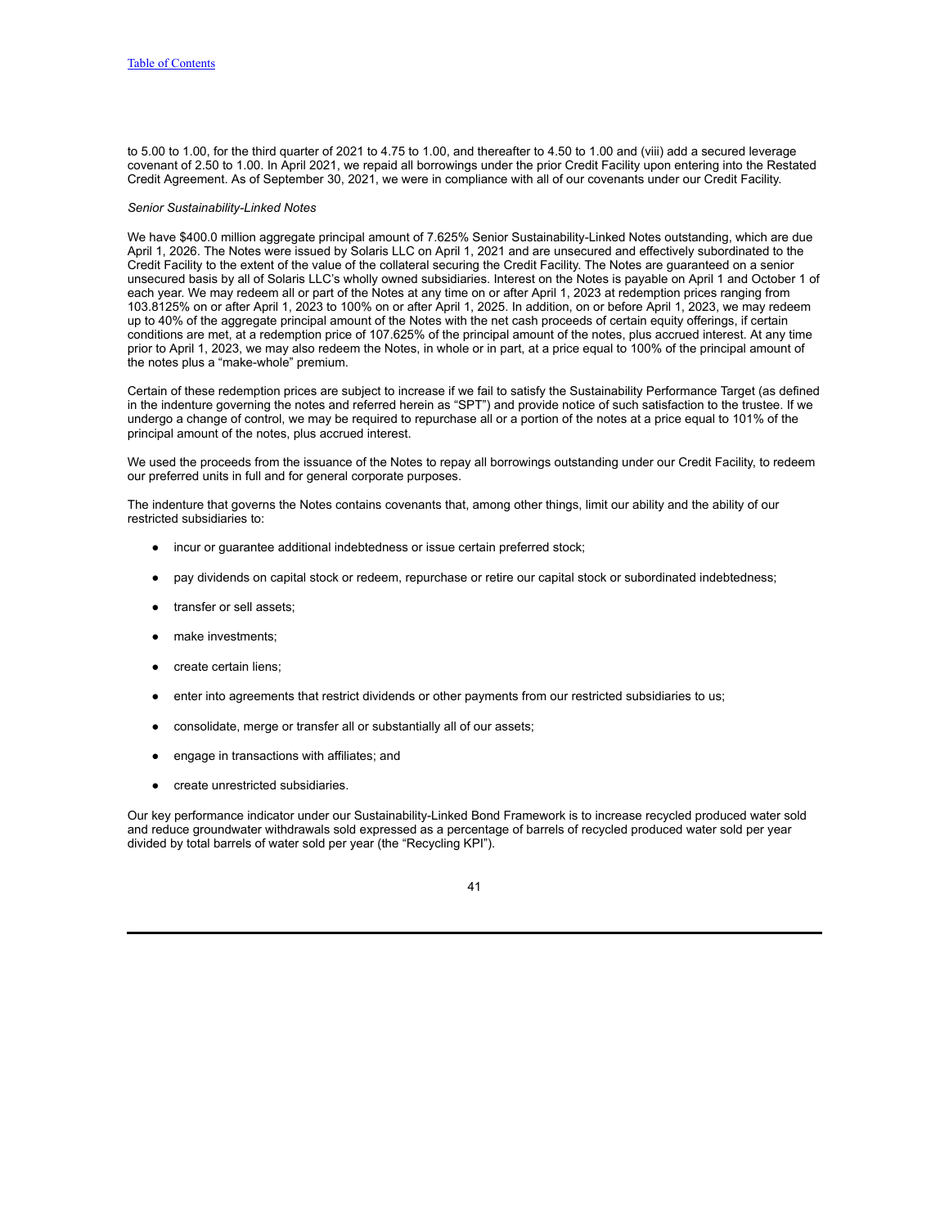to 5.00 to 1.00, for the third quarter of 2021 to 4.75 to 1.00, and thereafter to 4.50 to 1.00 and (viii) add a secured leverage covenant of 2.50 to 1.00. In April 2021, we repaid all borrowings under the prior Credit Facility upon entering into the Restated Credit Agreement. As of September 30, 2021, we were in compliance with all of our covenants under our Credit Facility.

### *Senior Sustainability-Linked Notes*

We have \$400.0 million aggregate principal amount of 7.625% Senior Sustainability-Linked Notes outstanding, which are due April 1, 2026. The Notes were issued by Solaris LLC on April 1, 2021 and are unsecured and effectively subordinated to the Credit Facility to the extent of the value of the collateral securing the Credit Facility. The Notes are guaranteed on a senior unsecured basis by all of Solaris LLC's wholly owned subsidiaries. Interest on the Notes is payable on April 1 and October 1 of each year. We may redeem all or part of the Notes at any time on or after April 1, 2023 at redemption prices ranging from 103.8125% on or after April 1, 2023 to 100% on or after April 1, 2025. In addition, on or before April 1, 2023, we may redeem up to 40% of the aggregate principal amount of the Notes with the net cash proceeds of certain equity offerings, if certain conditions are met, at a redemption price of 107.625% of the principal amount of the notes, plus accrued interest. At any time prior to April 1, 2023, we may also redeem the Notes, in whole or in part, at a price equal to 100% of the principal amount of the notes plus a "make-whole" premium.

Certain of these redemption prices are subject to increase if we fail to satisfy the Sustainability Performance Target (as defined in the indenture governing the notes and referred herein as "SPT") and provide notice of such satisfaction to the trustee. If we undergo a change of control, we may be required to repurchase all or a portion of the notes at a price equal to 101% of the principal amount of the notes, plus accrued interest.

We used the proceeds from the issuance of the Notes to repay all borrowings outstanding under our Credit Facility, to redeem our preferred units in full and for general corporate purposes.

The indenture that governs the Notes contains covenants that, among other things, limit our ability and the ability of our restricted subsidiaries to:

- incur or guarantee additional indebtedness or issue certain preferred stock;
- pay dividends on capital stock or redeem, repurchase or retire our capital stock or subordinated indebtedness;
- transfer or sell assets;
- make investments;
- create certain liens;
- enter into agreements that restrict dividends or other payments from our restricted subsidiaries to us;
- consolidate, merge or transfer all or substantially all of our assets;
- engage in transactions with affiliates; and
- create unrestricted subsidiaries.

Our key performance indicator under our Sustainability-Linked Bond Framework is to increase recycled produced water sold and reduce groundwater withdrawals sold expressed as a percentage of barrels of recycled produced water sold per year divided by total barrels of water sold per year (the "Recycling KPI").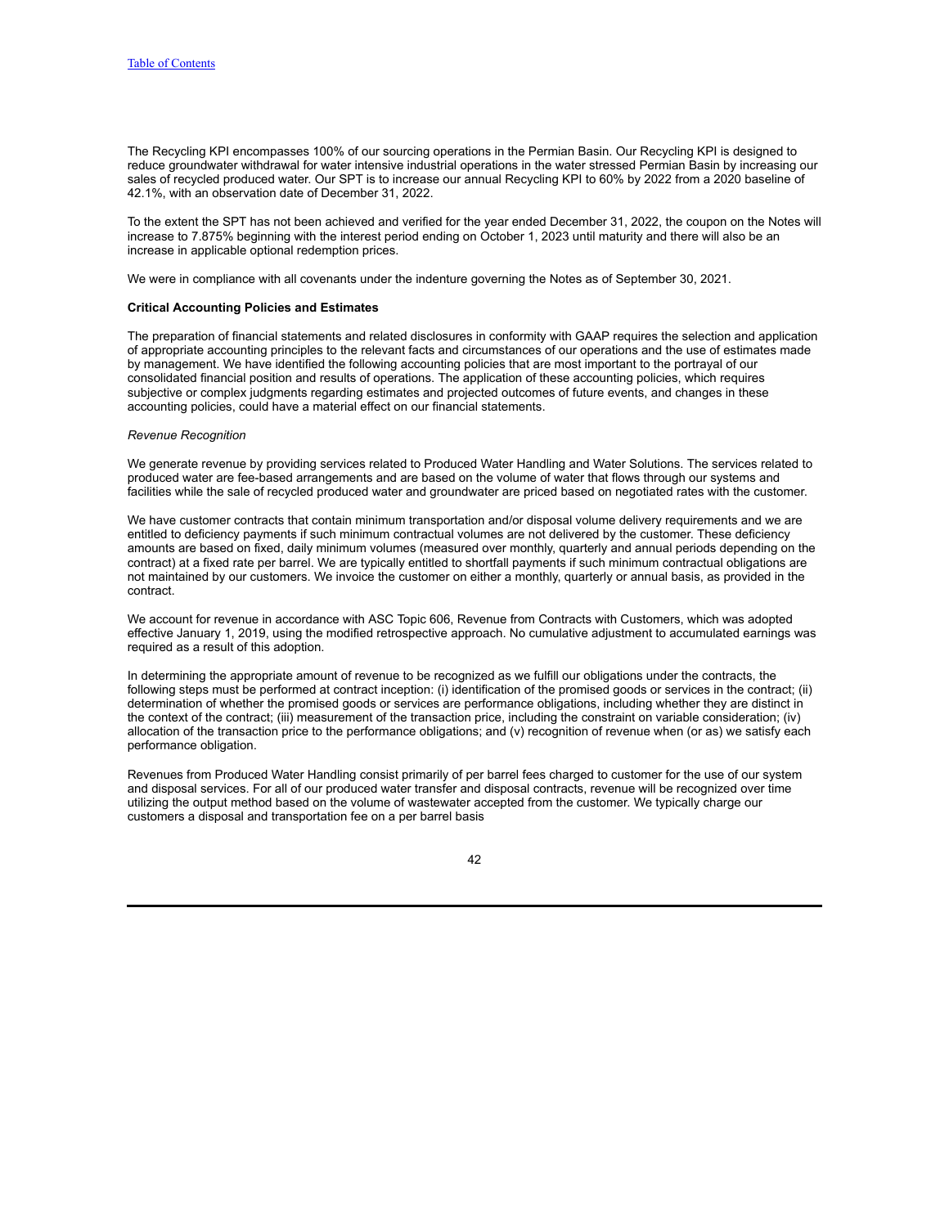The Recycling KPI encompasses 100% of our sourcing operations in the Permian Basin. Our Recycling KPI is designed to reduce groundwater withdrawal for water intensive industrial operations in the water stressed Permian Basin by increasing our sales of recycled produced water. Our SPT is to increase our annual Recycling KPI to 60% by 2022 from a 2020 baseline of 42.1%, with an observation date of December 31, 2022.

To the extent the SPT has not been achieved and verified for the year ended December 31, 2022, the coupon on the Notes will increase to 7.875% beginning with the interest period ending on October 1, 2023 until maturity and there will also be an increase in applicable optional redemption prices.

We were in compliance with all covenants under the indenture governing the Notes as of September 30, 2021.

# **Critical Accounting Policies and Estimates**

The preparation of financial statements and related disclosures in conformity with GAAP requires the selection and application of appropriate accounting principles to the relevant facts and circumstances of our operations and the use of estimates made by management. We have identified the following accounting policies that are most important to the portrayal of our consolidated financial position and results of operations. The application of these accounting policies, which requires subjective or complex judgments regarding estimates and projected outcomes of future events, and changes in these accounting policies, could have a material effect on our financial statements.

### *Revenue Recognition*

We generate revenue by providing services related to Produced Water Handling and Water Solutions. The services related to produced water are fee-based arrangements and are based on the volume of water that flows through our systems and facilities while the sale of recycled produced water and groundwater are priced based on negotiated rates with the customer.

We have customer contracts that contain minimum transportation and/or disposal volume delivery requirements and we are entitled to deficiency payments if such minimum contractual volumes are not delivered by the customer. These deficiency amounts are based on fixed, daily minimum volumes (measured over monthly, quarterly and annual periods depending on the contract) at a fixed rate per barrel. We are typically entitled to shortfall payments if such minimum contractual obligations are not maintained by our customers. We invoice the customer on either a monthly, quarterly or annual basis, as provided in the contract.

We account for revenue in accordance with ASC Topic 606, Revenue from Contracts with Customers, which was adopted effective January 1, 2019, using the modified retrospective approach. No cumulative adjustment to accumulated earnings was required as a result of this adoption.

In determining the appropriate amount of revenue to be recognized as we fulfill our obligations under the contracts, the following steps must be performed at contract inception: (i) identification of the promised goods or services in the contract; (ii) determination of whether the promised goods or services are performance obligations, including whether they are distinct in the context of the contract; (iii) measurement of the transaction price, including the constraint on variable consideration; (iv) allocation of the transaction price to the performance obligations; and (v) recognition of revenue when (or as) we satisfy each performance obligation.

Revenues from Produced Water Handling consist primarily of per barrel fees charged to customer for the use of our system and disposal services. For all of our produced water transfer and disposal contracts, revenue will be recognized over time utilizing the output method based on the volume of wastewater accepted from the customer. We typically charge our customers a disposal and transportation fee on a per barrel basis

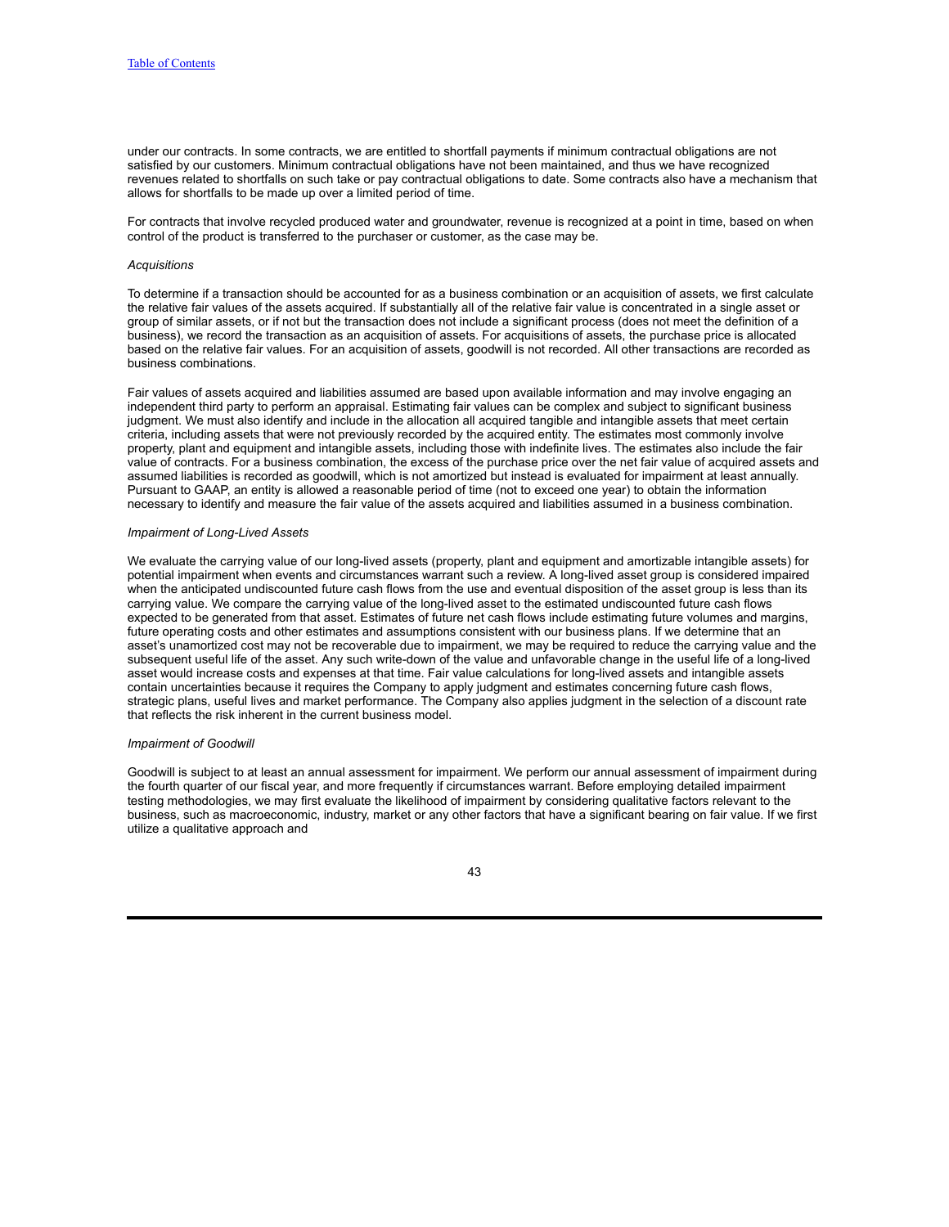under our contracts. In some contracts, we are entitled to shortfall payments if minimum contractual obligations are not satisfied by our customers. Minimum contractual obligations have not been maintained, and thus we have recognized revenues related to shortfalls on such take or pay contractual obligations to date. Some contracts also have a mechanism that allows for shortfalls to be made up over a limited period of time.

For contracts that involve recycled produced water and groundwater, revenue is recognized at a point in time, based on when control of the product is transferred to the purchaser or customer, as the case may be.

#### *Acquisitions*

To determine if a transaction should be accounted for as a business combination or an acquisition of assets, we first calculate the relative fair values of the assets acquired. If substantially all of the relative fair value is concentrated in a single asset or group of similar assets, or if not but the transaction does not include a significant process (does not meet the definition of a business), we record the transaction as an acquisition of assets. For acquisitions of assets, the purchase price is allocated based on the relative fair values. For an acquisition of assets, goodwill is not recorded. All other transactions are recorded as business combinations.

Fair values of assets acquired and liabilities assumed are based upon available information and may involve engaging an independent third party to perform an appraisal. Estimating fair values can be complex and subject to significant business judgment. We must also identify and include in the allocation all acquired tangible and intangible assets that meet certain criteria, including assets that were not previously recorded by the acquired entity. The estimates most commonly involve property, plant and equipment and intangible assets, including those with indefinite lives. The estimates also include the fair value of contracts. For a business combination, the excess of the purchase price over the net fair value of acquired assets and assumed liabilities is recorded as goodwill, which is not amortized but instead is evaluated for impairment at least annually. Pursuant to GAAP, an entity is allowed a reasonable period of time (not to exceed one year) to obtain the information necessary to identify and measure the fair value of the assets acquired and liabilities assumed in a business combination.

#### *Impairment of Long-Lived Assets*

We evaluate the carrying value of our long-lived assets (property, plant and equipment and amortizable intangible assets) for potential impairment when events and circumstances warrant such a review. A long-lived asset group is considered impaired when the anticipated undiscounted future cash flows from the use and eventual disposition of the asset group is less than its carrying value. We compare the carrying value of the long-lived asset to the estimated undiscounted future cash flows expected to be generated from that asset. Estimates of future net cash flows include estimating future volumes and margins, future operating costs and other estimates and assumptions consistent with our business plans. If we determine that an asset's unamortized cost may not be recoverable due to impairment, we may be required to reduce the carrying value and the subsequent useful life of the asset. Any such write-down of the value and unfavorable change in the useful life of a long-lived asset would increase costs and expenses at that time. Fair value calculations for long-lived assets and intangible assets contain uncertainties because it requires the Company to apply judgment and estimates concerning future cash flows, strategic plans, useful lives and market performance. The Company also applies judgment in the selection of a discount rate that reflects the risk inherent in the current business model.

#### *Impairment of Goodwill*

Goodwill is subject to at least an annual assessment for impairment. We perform our annual assessment of impairment during the fourth quarter of our fiscal year, and more frequently if circumstances warrant. Before employing detailed impairment testing methodologies, we may first evaluate the likelihood of impairment by considering qualitative factors relevant to the business, such as macroeconomic, industry, market or any other factors that have a significant bearing on fair value. If we first utilize a qualitative approach and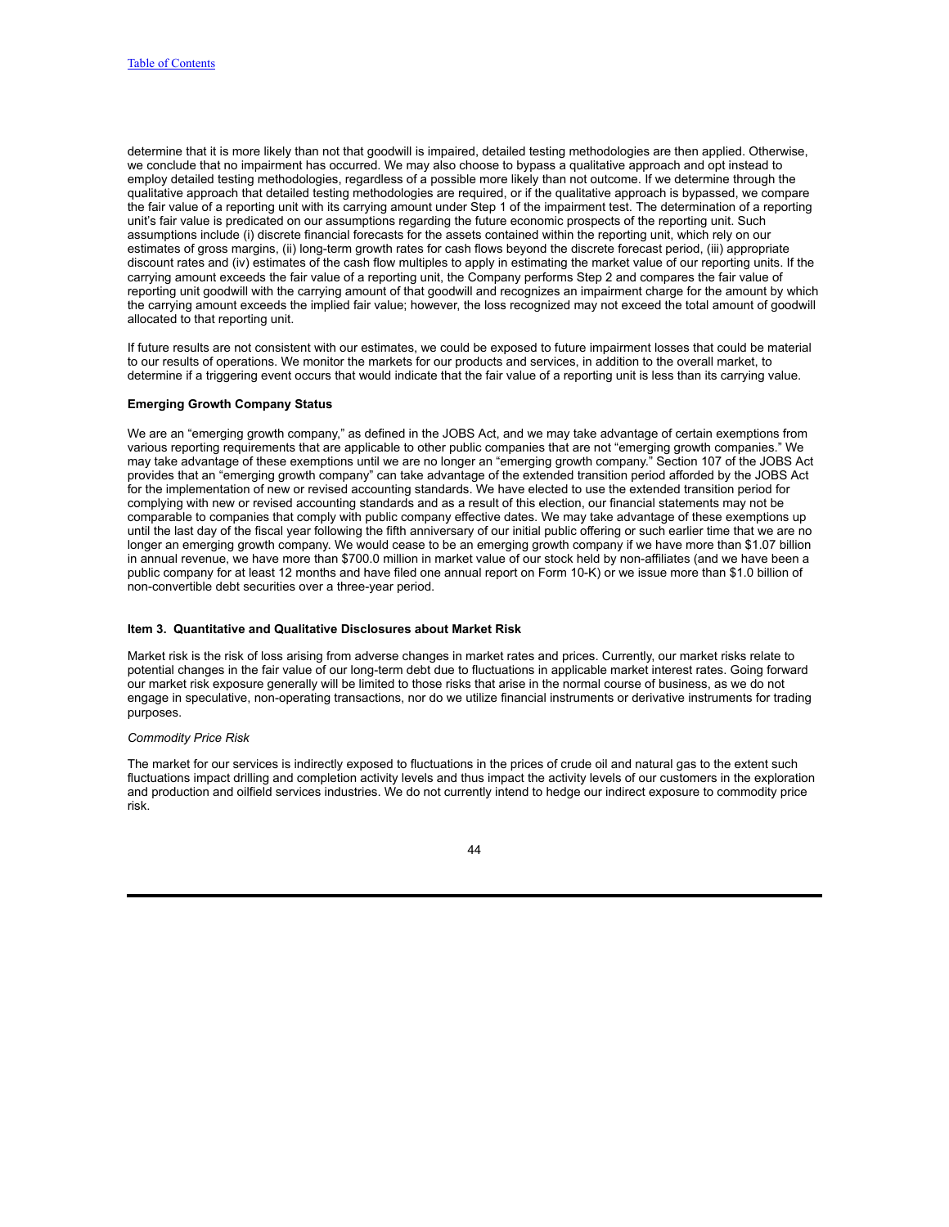determine that it is more likely than not that goodwill is impaired, detailed testing methodologies are then applied. Otherwise, we conclude that no impairment has occurred. We may also choose to bypass a qualitative approach and opt instead to employ detailed testing methodologies, regardless of a possible more likely than not outcome. If we determine through the qualitative approach that detailed testing methodologies are required, or if the qualitative approach is bypassed, we compare the fair value of a reporting unit with its carrying amount under Step 1 of the impairment test. The determination of a reporting unit's fair value is predicated on our assumptions regarding the future economic prospects of the reporting unit. Such assumptions include (i) discrete financial forecasts for the assets contained within the reporting unit, which rely on our estimates of gross margins, (ii) long-term growth rates for cash flows beyond the discrete forecast period, (iii) appropriate discount rates and (iv) estimates of the cash flow multiples to apply in estimating the market value of our reporting units. If the carrying amount exceeds the fair value of a reporting unit, the Company performs Step 2 and compares the fair value of reporting unit goodwill with the carrying amount of that goodwill and recognizes an impairment charge for the amount by which the carrying amount exceeds the implied fair value; however, the loss recognized may not exceed the total amount of goodwill allocated to that reporting unit.

If future results are not consistent with our estimates, we could be exposed to future impairment losses that could be material to our results of operations. We monitor the markets for our products and services, in addition to the overall market, to determine if a triggering event occurs that would indicate that the fair value of a reporting unit is less than its carrying value.

### **Emerging Growth Company Status**

We are an "emerging growth company," as defined in the JOBS Act, and we may take advantage of certain exemptions from various reporting requirements that are applicable to other public companies that are not "emerging growth companies." We may take advantage of these exemptions until we are no longer an "emerging growth company." Section 107 of the JOBS Act provides that an "emerging growth company" can take advantage of the extended transition period afforded by the JOBS Act for the implementation of new or revised accounting standards. We have elected to use the extended transition period for complying with new or revised accounting standards and as a result of this election, our financial statements may not be comparable to companies that comply with public company effective dates. We may take advantage of these exemptions up until the last day of the fiscal year following the fifth anniversary of our initial public offering or such earlier time that we are no longer an emerging growth company. We would cease to be an emerging growth company if we have more than \$1.07 billion in annual revenue, we have more than \$700.0 million in market value of our stock held by non-affiliates (and we have been a public company for at least 12 months and have filed one annual report on Form 10-K) or we issue more than \$1.0 billion of non-convertible debt securities over a three-year period.

### <span id="page-43-0"></span>**Item 3. Quantitative and Qualitative Disclosures about Market Risk**

Market risk is the risk of loss arising from adverse changes in market rates and prices. Currently, our market risks relate to potential changes in the fair value of our long-term debt due to fluctuations in applicable market interest rates. Going forward our market risk exposure generally will be limited to those risks that arise in the normal course of business, as we do not engage in speculative, non-operating transactions, nor do we utilize financial instruments or derivative instruments for trading purposes.

### *Commodity Price Risk*

The market for our services is indirectly exposed to fluctuations in the prices of crude oil and natural gas to the extent such fluctuations impact drilling and completion activity levels and thus impact the activity levels of our customers in the exploration and production and oilfield services industries. We do not currently intend to hedge our indirect exposure to commodity price risk.

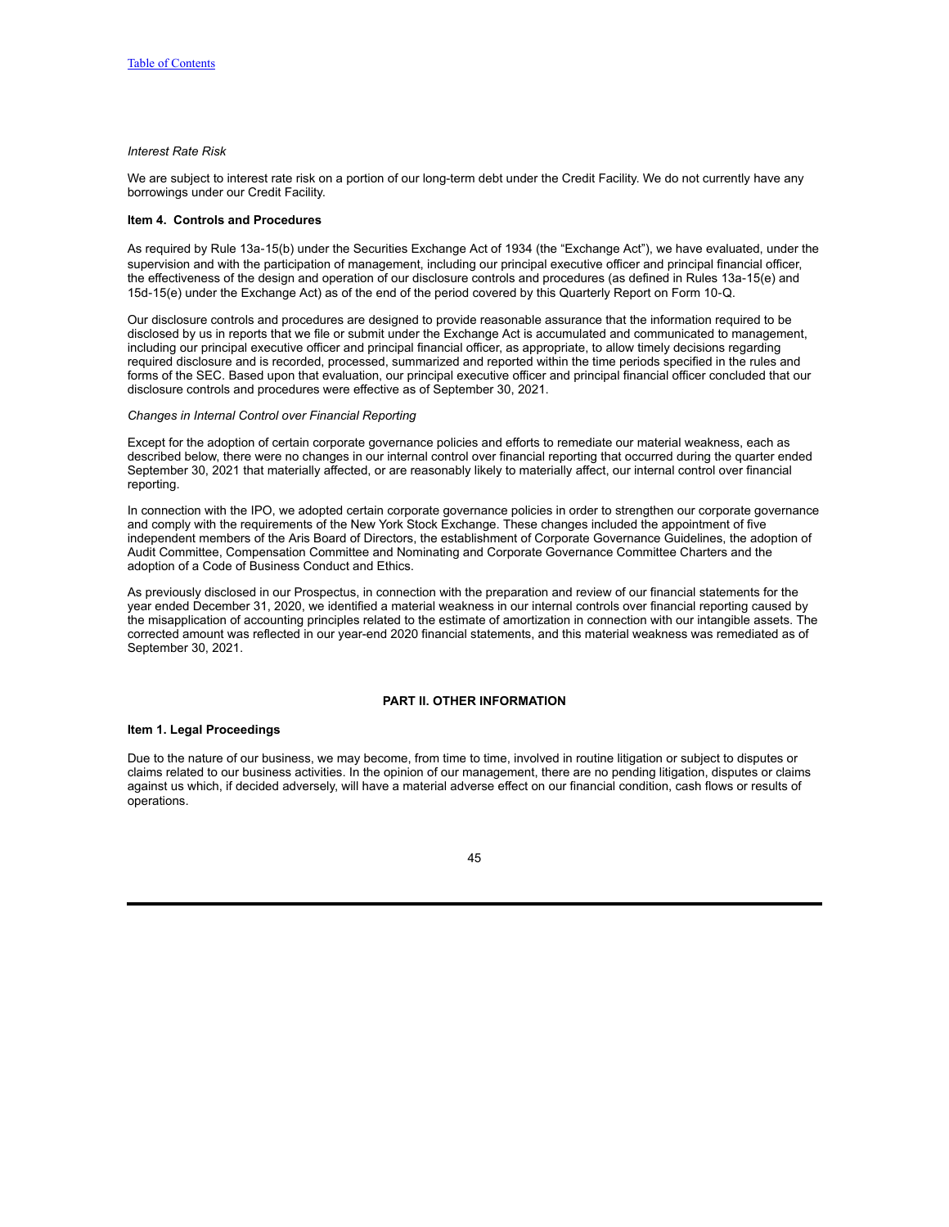## *Interest Rate Risk*

We are subject to interest rate risk on a portion of our long-term debt under the Credit Facility. We do not currently have any borrowings under our Credit Facility.

### <span id="page-44-0"></span>**Item 4. Controls and Procedures**

As required by Rule 13a-15(b) under the Securities Exchange Act of 1934 (the "Exchange Act"), we have evaluated, under the supervision and with the participation of management, including our principal executive officer and principal financial officer, the effectiveness of the design and operation of our disclosure controls and procedures (as defined in Rules 13a-15(e) and 15d‑15(e) under the Exchange Act) as of the end of the period covered by this Quarterly Report on Form 10‑Q.

Our disclosure controls and procedures are designed to provide reasonable assurance that the information required to be disclosed by us in reports that we file or submit under the Exchange Act is accumulated and communicated to management, including our principal executive officer and principal financial officer, as appropriate, to allow timely decisions regarding required disclosure and is recorded, processed, summarized and reported within the time periods specified in the rules and forms of the SEC. Based upon that evaluation, our principal executive officer and principal financial officer concluded that our disclosure controls and procedures were effective as of September 30, 2021.

### *Changes in Internal Control over Financial Reporting*

Except for the adoption of certain corporate governance policies and efforts to remediate our material weakness, each as described below, there were no changes in our internal control over financial reporting that occurred during the quarter ended September 30, 2021 that materially affected, or are reasonably likely to materially affect, our internal control over financial reporting.

In connection with the IPO, we adopted certain corporate governance policies in order to strengthen our corporate governance and comply with the requirements of the New York Stock Exchange. These changes included the appointment of five independent members of the Aris Board of Directors, the establishment of Corporate Governance Guidelines, the adoption of Audit Committee, Compensation Committee and Nominating and Corporate Governance Committee Charters and the adoption of a Code of Business Conduct and Ethics.

As previously disclosed in our Prospectus, in connection with the preparation and review of our financial statements for the year ended December 31, 2020, we identified a material weakness in our internal controls over financial reporting caused by the misapplication of accounting principles related to the estimate of amortization in connection with our intangible assets. The corrected amount was reflected in our year-end 2020 financial statements, and this material weakness was remediated as of September 30, 2021.

## **PART II. OTHER INFORMATION**

### <span id="page-44-2"></span><span id="page-44-1"></span>**Item 1. Legal Proceedings**

Due to the nature of our business, we may become, from time to time, involved in routine litigation or subject to disputes or claims related to our business activities. In the opinion of our management, there are no pending litigation, disputes or claims against us which, if decided adversely, will have a material adverse effect on our financial condition, cash flows or results of operations.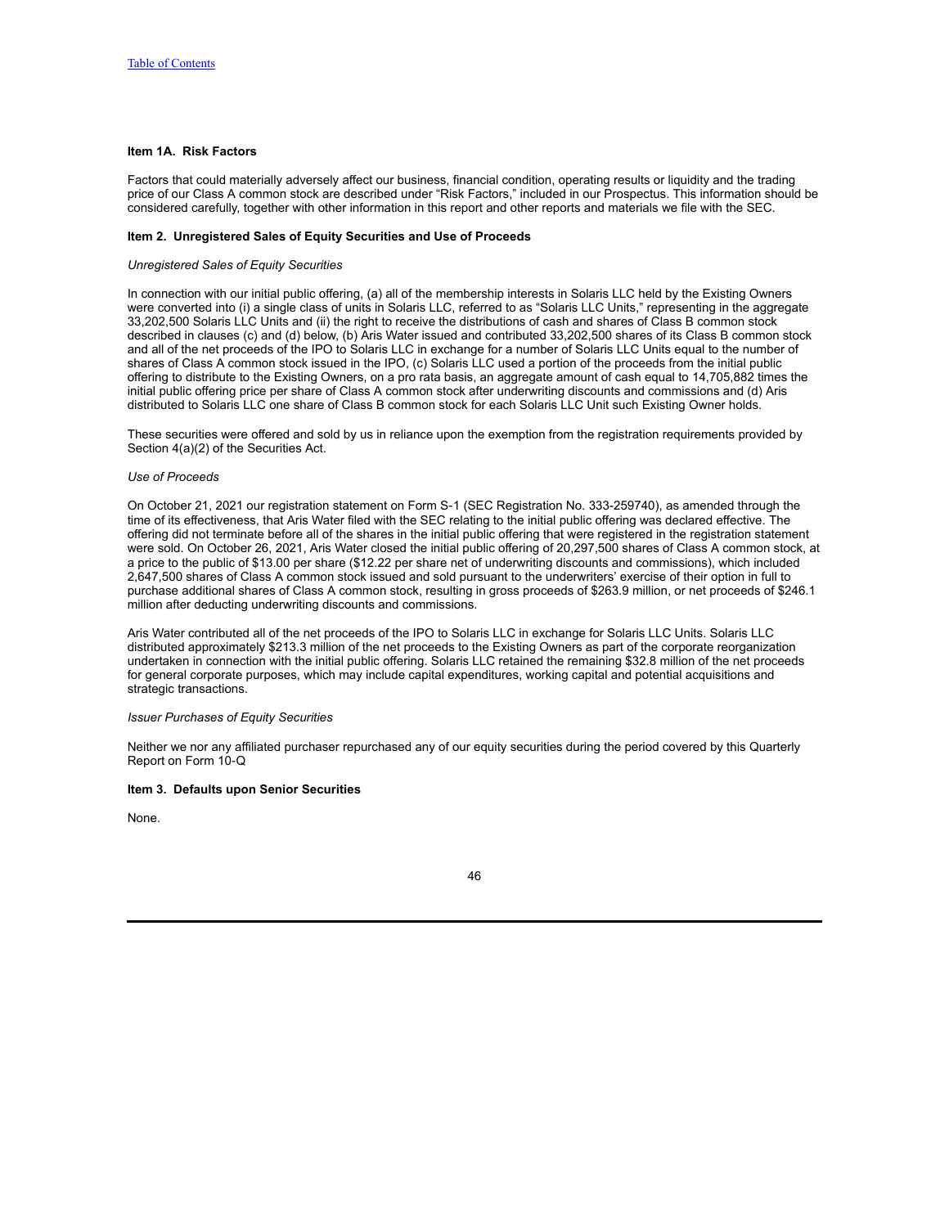## <span id="page-45-0"></span>**Item 1A. Risk Factors**

Factors that could materially adversely affect our business, financial condition, operating results or liquidity and the trading price of our Class A common stock are described under "Risk Factors," included in our Prospectus. This information should be considered carefully, together with other information in this report and other reports and materials we file with the SEC.

### <span id="page-45-1"></span>**Item 2. Unregistered Sales of Equity Securities and Use of Proceeds**

### *Unregistered Sales of Equity Securities*

In connection with our initial public offering, (a) all of the membership interests in Solaris LLC held by the Existing Owners were converted into (i) a single class of units in Solaris LLC, referred to as "Solaris LLC Units," representing in the aggregate 33,202,500 Solaris LLC Units and (ii) the right to receive the distributions of cash and shares of Class B common stock described in clauses (c) and (d) below, (b) Aris Water issued and contributed 33,202,500 shares of its Class B common stock and all of the net proceeds of the IPO to Solaris LLC in exchange for a number of Solaris LLC Units equal to the number of shares of Class A common stock issued in the IPO, (c) Solaris LLC used a portion of the proceeds from the initial public offering to distribute to the Existing Owners, on a pro rata basis, an aggregate amount of cash equal to 14,705,882 times the initial public offering price per share of Class A common stock after underwriting discounts and commissions and (d) Aris distributed to Solaris LLC one share of Class B common stock for each Solaris LLC Unit such Existing Owner holds.

These securities were offered and sold by us in reliance upon the exemption from the registration requirements provided by Section 4(a)(2) of the Securities Act.

### *Use of Proceeds*

On October 21, 2021 our registration statement on Form S-1 (SEC Registration No. 333-259740), as amended through the time of its effectiveness, that Aris Water filed with the SEC relating to the initial public offering was declared effective. The offering did not terminate before all of the shares in the initial public offering that were registered in the registration statement were sold. On October 26, 2021, Aris Water closed the initial public offering of 20,297,500 shares of Class A common stock, at a price to the public of \$13.00 per share (\$12.22 per share net of underwriting discounts and commissions), which included 2,647,500 shares of Class A common stock issued and sold pursuant to the underwriters' exercise of their option in full to purchase additional shares of Class A common stock, resulting in gross proceeds of \$263.9 million, or net proceeds of \$246.1 million after deducting underwriting discounts and commissions.

Aris Water contributed all of the net proceeds of the IPO to Solaris LLC in exchange for Solaris LLC Units. Solaris LLC distributed approximately \$213.3 million of the net proceeds to the Existing Owners as part of the corporate reorganization undertaken in connection with the initial public offering. Solaris LLC retained the remaining \$32.8 million of the net proceeds for general corporate purposes, which may include capital expenditures, working capital and potential acquisitions and strategic transactions.

#### *Issuer Purchases of Equity Securities*

Neither we nor any affiliated purchaser repurchased any of our equity securities during the period covered by this Quarterly Report on Form 10‑Q

### <span id="page-45-2"></span>**Item 3. Defaults upon Senior Securities**

None.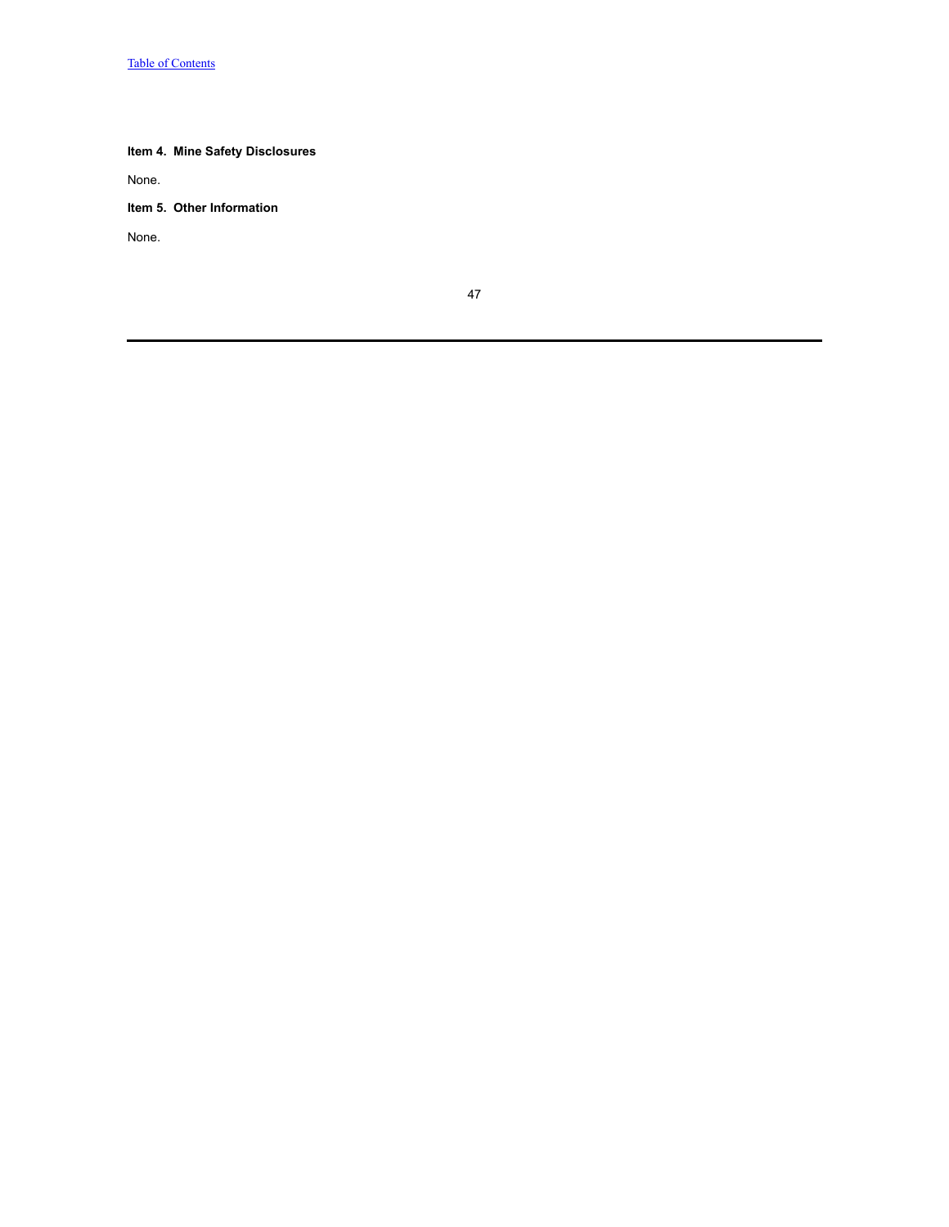# <span id="page-46-0"></span>**Item 4. Mine Safety Disclosures**

None.

<span id="page-46-1"></span>**Item 5. Other Information**

None.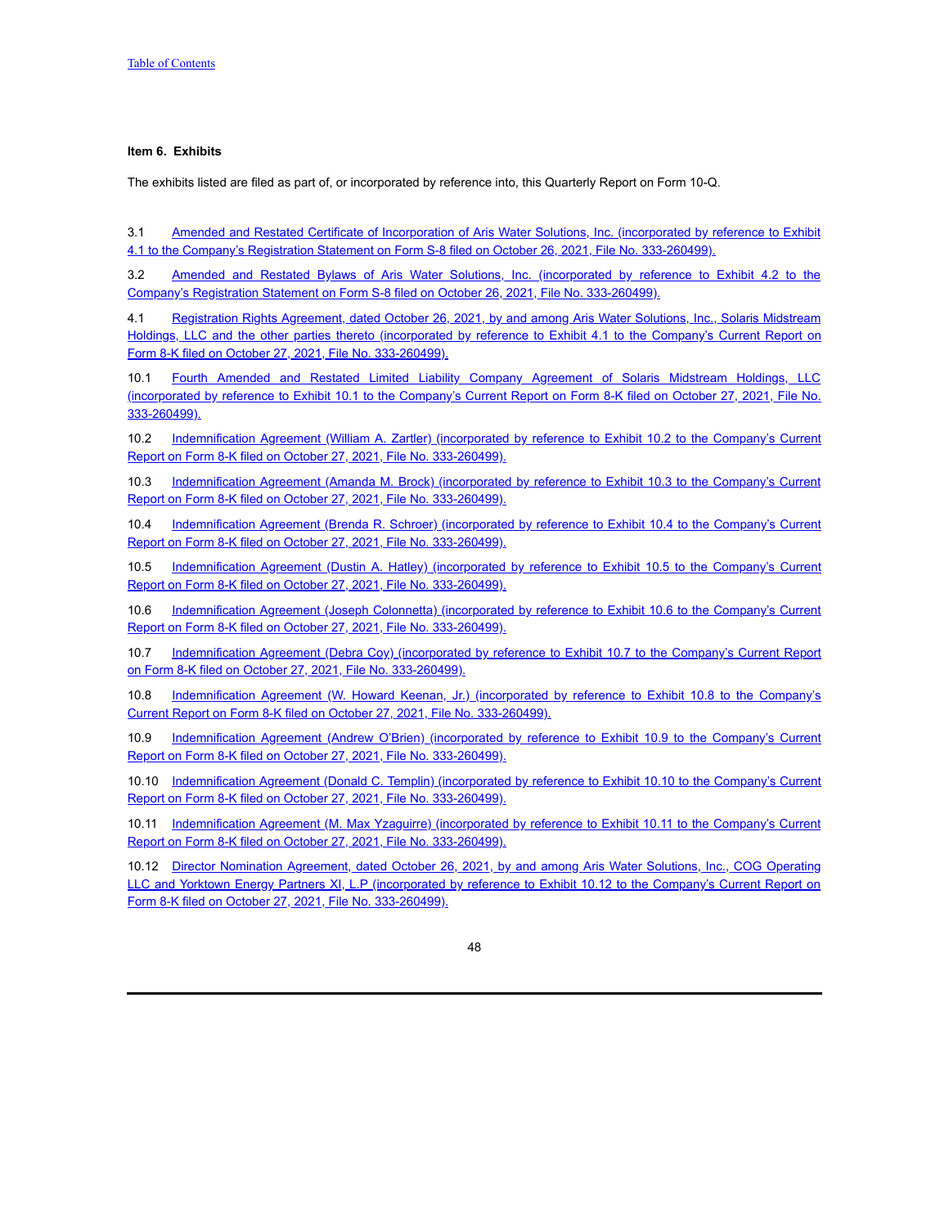## <span id="page-47-0"></span>**Item 6. Exhibits**

The exhibits listed are filed as part of, or incorporated by reference into, this Quarterly Report on Form 10-Q.

3.1 Amended and Restated Certificate of Incorporation of Aris Water Solutions, Inc. (incorporated by reference to Exhibit 4.1 to the Company's Registration Statement on Form S-8 filed on October 26, 2021, File No. [333-260499\).](https://www.sec.gov/Archives/edgar/data/0001865187/000114036121035451/nt10025419x23_ex4-1.htm)

3.2 Amended and Restated Bylaws of Aris Water Solutions, Inc. (incorporated by reference to Exhibit 4.2 to the Company's Registration Statement on Form S-8 filed on October 26, 2021, File No. [333-260499\).](https://www.sec.gov/Archives/edgar/data/1865187/000114036121035451/nt10025419x23_ex4-2.htm)

4.1 Registration Rights Agreement, dated October 26, 2021, by and among Aris Water Solutions, Inc., Solaris Midstream Holdings, LLC and the other parties thereto (incorporated by reference to Exhibit 4.1 to the Company's Current Report on Form 8-K filed on October 27, 2021, File No. [333-260499\).](https://www.sec.gov/Archives/edgar/data/1865187/000114036121035664/nt10025419x24_ex4-1.htm)

10.1 Fourth Amended and Restated Limited Liability Company Agreement of Solaris Midstream Holdings, LLC (incorporated by reference to Exhibit 10.1 to the Company's Current Report on Form 8-K filed on October 27, 2021, File No. [333-260499\).](https://www.sec.gov/Archives/edgar/data/1865187/000114036121035664/nt10025419x24_ex10-1.htm)

10.2 [Indemnification](https://www.sec.gov/Archives/edgar/data/1865187/000114036121035664/nt10025419x24_ex10-2.htm) Agreement (William A. Zartler) (incorporated by reference to Exhibit 10.2 to the Company's Current Report on Form 8-K filed on October 27, 2021, File No. 333-260499).

10.3 [Indemnification](https://www.sec.gov/Archives/edgar/data/1865187/000114036121035664/nt10025419x24_ex10-3.htm) Agreement (Amanda M. Brock) (incorporated by reference to Exhibit 10.3 to the Company's Current Report on Form 8-K filed on October 27, 2021, File No. 333-260499).

10.4 [Indemnification](https://www.sec.gov/Archives/edgar/data/1865187/000114036121035664/nt10025419x24_ex10-4.htm) Agreement (Brenda R. Schroer) (incorporated by reference to Exhibit 10.4 to the Company's Current Report on Form 8-K filed on October 27, 2021, File No. 333-260499).

10.5 [Indemnification](https://www.sec.gov/Archives/edgar/data/0001865187/000114036121035664/nt10025419x24_ex10-5.htm) Agreement (Dustin A. Hatley) (incorporated by reference to Exhibit 10.5 to the Company's Current Report on Form 8-K filed on October 27, 2021, File No. 333-260499).

10.6 [Indemnification](https://www.sec.gov/Archives/edgar/data/1865187/000114036121035664/nt10025419x24_ex10-6.htm) Agreement (Joseph Colonnetta) (incorporated by reference to Exhibit 10.6 to the Company's Current Report on Form 8-K filed on October 27, 2021, File No. 333-260499).

10.7 [Indemnification](https://www.sec.gov/Archives/edgar/data/1865187/000114036121035664/nt10025419x24_ex10-7.htm) Agreement (Debra Coy) (incorporated by reference to Exhibit 10.7 to the Company's Current Report on Form 8-K filed on October 27, 2021, File No. 333-260499).

10.8 [Indemnification](https://www.sec.gov/Archives/edgar/data/1865187/000114036121035664/nt10025419x24_ex10-8.htm) Agreement (W. Howard Keenan, Jr.) (incorporated by reference to Exhibit 10.8 to the Company's Current Report on Form 8-K filed on October 27, 2021, File No. 333-260499).

10.9 [Indemnification](https://www.sec.gov/Archives/edgar/data/1865187/000114036121035664/nt10025419x24_ex10-9.htm) Agreement (Andrew O'Brien) (incorporated by reference to Exhibit 10.9 to the Company's Current Report on Form 8-K filed on October 27, 2021, File No. 333-260499).

10.10 [Indemnification](https://www.sec.gov/Archives/edgar/data/1865187/000114036121035664/nt10025419x24_ex10-10.htm) Agreement (Donald C. Templin) (incorporated by reference to Exhibit 10.10 to the Company's Current Report on Form 8-K filed on October 27, 2021, File No. 333-260499).

10.11 [Indemnification](https://www.sec.gov/Archives/edgar/data/1865187/000114036121035664/nt10025419x24_ex10-11.htm) Agreement (M. Max Yzaguirre) (incorporated by reference to Exhibit 10.11 to the Company's Current Report on Form 8-K filed on October 27, 2021, File No. 333-260499).

10.12 Director Nomination Agreement, dated October 26, 2021, by and among Aris Water Solutions, Inc., COG Operating LLC and Yorktown Energy Partners XI, L.P (incorporated by reference to Exhibit 10.12 to the Company's Current Report on Form 8-K filed on October 27, 2021, File No. [333-260499\).](https://www.sec.gov/Archives/edgar/data/1865187/000114036121035664/nt10025419x24_ex10-12.htm)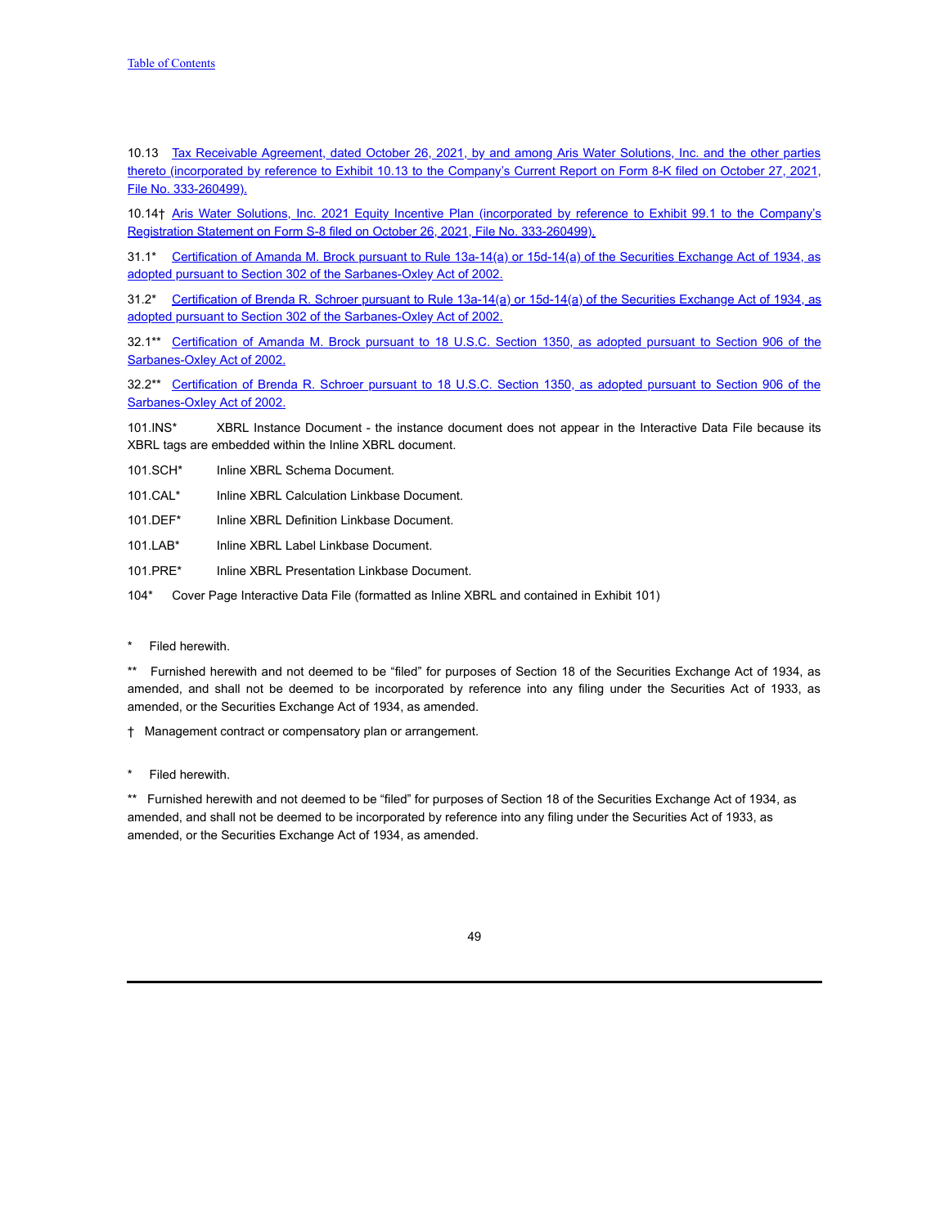10.13 Tax Receivable Agreement, dated October 26, 2021, by and among Aris Water Solutions, Inc. and the other parties thereto [\(incorporated](https://www.sec.gov/Archives/edgar/data/1865187/000114036121035664/nt10025419x24_ex10-13.htm) by reference to Exhibit 10.13 to the Company's Current Report on Form 8-K filed on October 27, 2021, File No. 333-260499).

10.14† Aris Water Solutions, Inc. 2021 Equity Incentive Plan (incorporated by reference to Exhibit 99.1 to the Company's Registration Statement on Form S-8 filed on October 26, 2021, File No. [333-260499\).](https://www.sec.gov/Archives/edgar/data/1865187/000114036121035451/nt10025419x23_ex99-1.htm)

31.1\* Certification of Amanda M. Brock pursuant to Rule 13a-14(a) or 15d-14(a) of the Securities Exchange Act of 1934, as adopted pursuant to Section 302 of the [Sarbanes-Oxley](https://s3.amazonaws.com/content.stockpr.com/sec/0001558370-21-015501/aris-20210930xex31d1.htm) Act of 2002.

31.2\* Certification of Brenda R. Schroer pursuant to Rule 13a-14(a) or 15d-14(a) of the Securities Exchange Act of 1934, as adopted pursuant to Section 302 of the [Sarbanes-Oxley](https://s3.amazonaws.com/content.stockpr.com/sec/0001558370-21-015501/aris-20210930xex31d2.htm) Act of 2002.

32.1\*\* Certification of Amanda M. Brock pursuant to 18 U.S.C. Section 1350, as adopted pursuant to Section 906 of the [Sarbanes-Oxley](https://s3.amazonaws.com/content.stockpr.com/sec/0001558370-21-015501/aris-20210930xex32d1.htm) Act of 2002.

32.2\*\* Certification of Brenda R. Schroer pursuant to 18 U.S.C. Section 1350, as adopted pursuant to Section 906 of the [Sarbanes-Oxley](https://s3.amazonaws.com/content.stockpr.com/sec/0001558370-21-015501/aris-20210930xex32d2.htm) Act of 2002.

101.INS\* XBRL Instance Document - the instance document does not appear in the Interactive Data File because its XBRL tags are embedded within the Inline XBRL document.

101.SCH\* Inline XBRL Schema Document.

101.CAL\* Inline XBRL Calculation Linkbase Document.

101.DEF\* Inline XBRL Definition Linkbase Document.

101.LAB\* Inline XBRL Label Linkbase Document.

101.PRE\* Inline XBRL Presentation Linkbase Document.

104\* Cover Page Interactive Data File (formatted as Inline XBRL and contained in Exhibit 101)

Filed herewith.

\*\* Furnished herewith and not deemed to be "filed" for purposes of Section 18 of the Securities Exchange Act of 1934, as amended, and shall not be deemed to be incorporated by reference into any filing under the Securities Act of 1933, as amended, or the Securities Exchange Act of 1934, as amended.

† Management contract or compensatory plan or arrangement.

Filed herewith.

\*\* Furnished herewith and not deemed to be "filed" for purposes of Section 18 of the Securities Exchange Act of 1934, as amended, and shall not be deemed to be incorporated by reference into any filing under the Securities Act of 1933, as amended, or the Securities Exchange Act of 1934, as amended.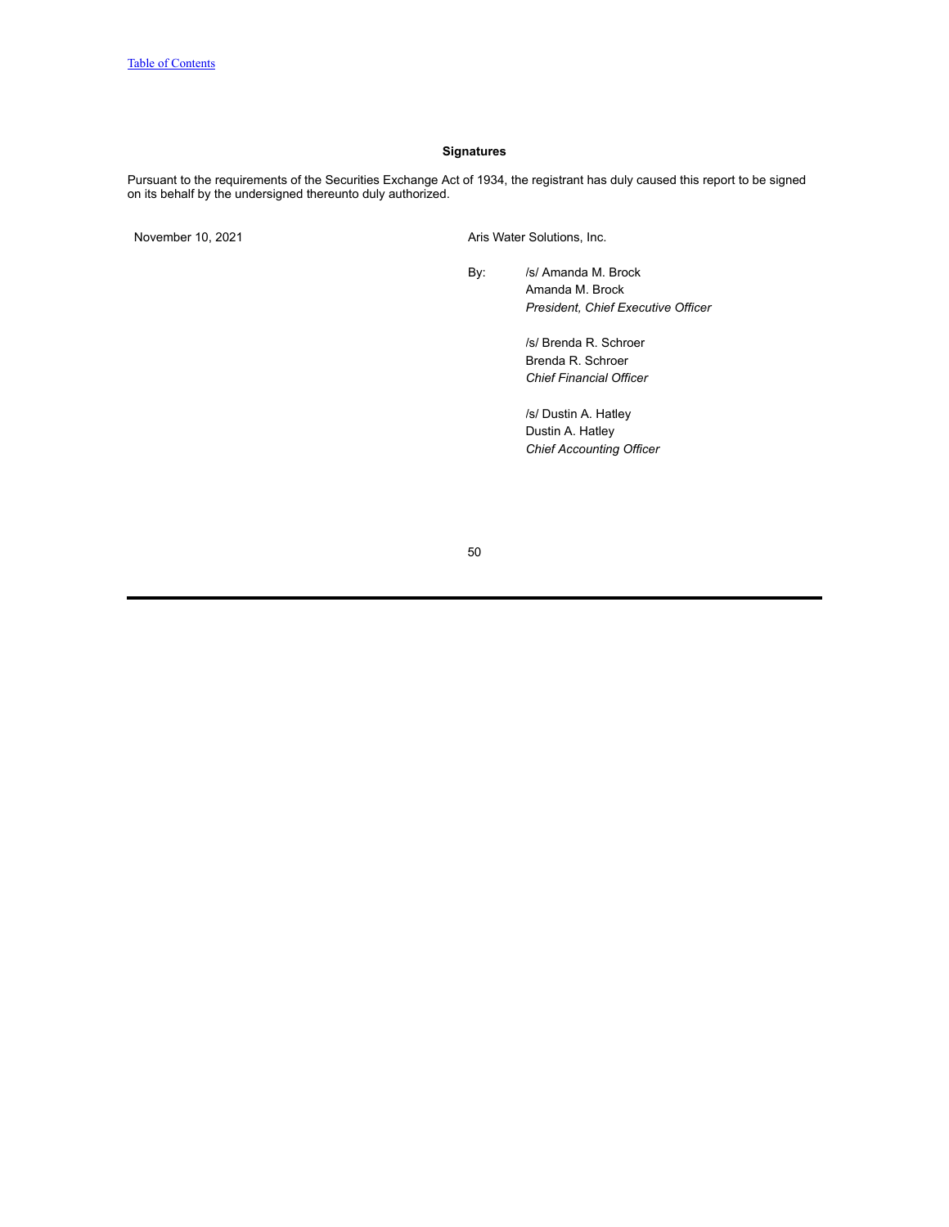## **Signatures**

<span id="page-49-0"></span>Pursuant to the requirements of the Securities Exchange Act of 1934, the registrant has duly caused this report to be signed on its behalf by the undersigned thereunto duly authorized.

November 10, 2021 Aris Water Solutions, Inc.

By: /s/ Amanda M. Brock Amanda M. Brock *President, Chief Executive Officer*

> /s/ Brenda R. Schroer Brenda R. Schroer *Chief Financial Officer*

/s/ Dustin A. Hatley Dustin A. Hatley *Chief Accounting Officer*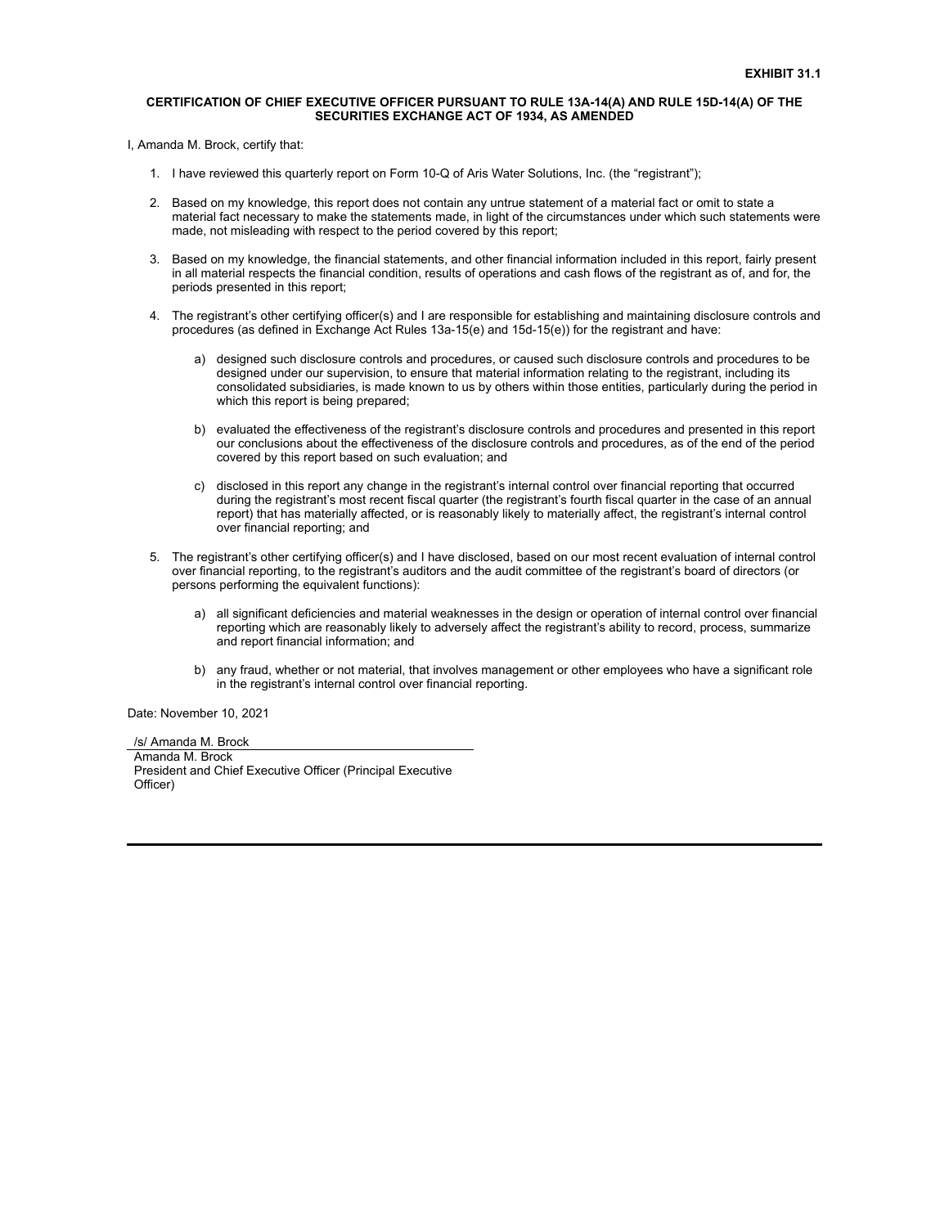### **CERTIFICATION OF CHIEF EXECUTIVE OFFICER PURSUANT TO RULE 13A-14(A) AND RULE 15D-14(A) OF THE SECURITIES EXCHANGE ACT OF 1934, AS AMENDED**

I, Amanda M. Brock, certify that:

- 1. I have reviewed this quarterly report on Form 10-Q of Aris Water Solutions, Inc. (the "registrant");
- 2. Based on my knowledge, this report does not contain any untrue statement of a material fact or omit to state a material fact necessary to make the statements made, in light of the circumstances under which such statements were made, not misleading with respect to the period covered by this report;
- 3. Based on my knowledge, the financial statements, and other financial information included in this report, fairly present in all material respects the financial condition, results of operations and cash flows of the registrant as of, and for, the periods presented in this report;
- 4. The registrant's other certifying officer(s) and I are responsible for establishing and maintaining disclosure controls and procedures (as defined in Exchange Act Rules 13a-15(e) and 15d-15(e)) for the registrant and have:
	- a) designed such disclosure controls and procedures, or caused such disclosure controls and procedures to be designed under our supervision, to ensure that material information relating to the registrant, including its consolidated subsidiaries, is made known to us by others within those entities, particularly during the period in which this report is being prepared;
	- b) evaluated the effectiveness of the registrant's disclosure controls and procedures and presented in this report our conclusions about the effectiveness of the disclosure controls and procedures, as of the end of the period covered by this report based on such evaluation; and
	- c) disclosed in this report any change in the registrant's internal control over financial reporting that occurred during the registrant's most recent fiscal quarter (the registrant's fourth fiscal quarter in the case of an annual report) that has materially affected, or is reasonably likely to materially affect, the registrant's internal control over financial reporting; and
- 5. The registrant's other certifying officer(s) and I have disclosed, based on our most recent evaluation of internal control over financial reporting, to the registrant's auditors and the audit committee of the registrant's board of directors (or persons performing the equivalent functions):
	- a) all significant deficiencies and material weaknesses in the design or operation of internal control over financial reporting which are reasonably likely to adversely affect the registrant's ability to record, process, summarize and report financial information; and
	- b) any fraud, whether or not material, that involves management or other employees who have a significant role in the registrant's internal control over financial reporting.

Date: November 10, 2021

/s/ Amanda M. Brock Amanda M. Brock President and Chief Executive Officer (Principal Executive Officer)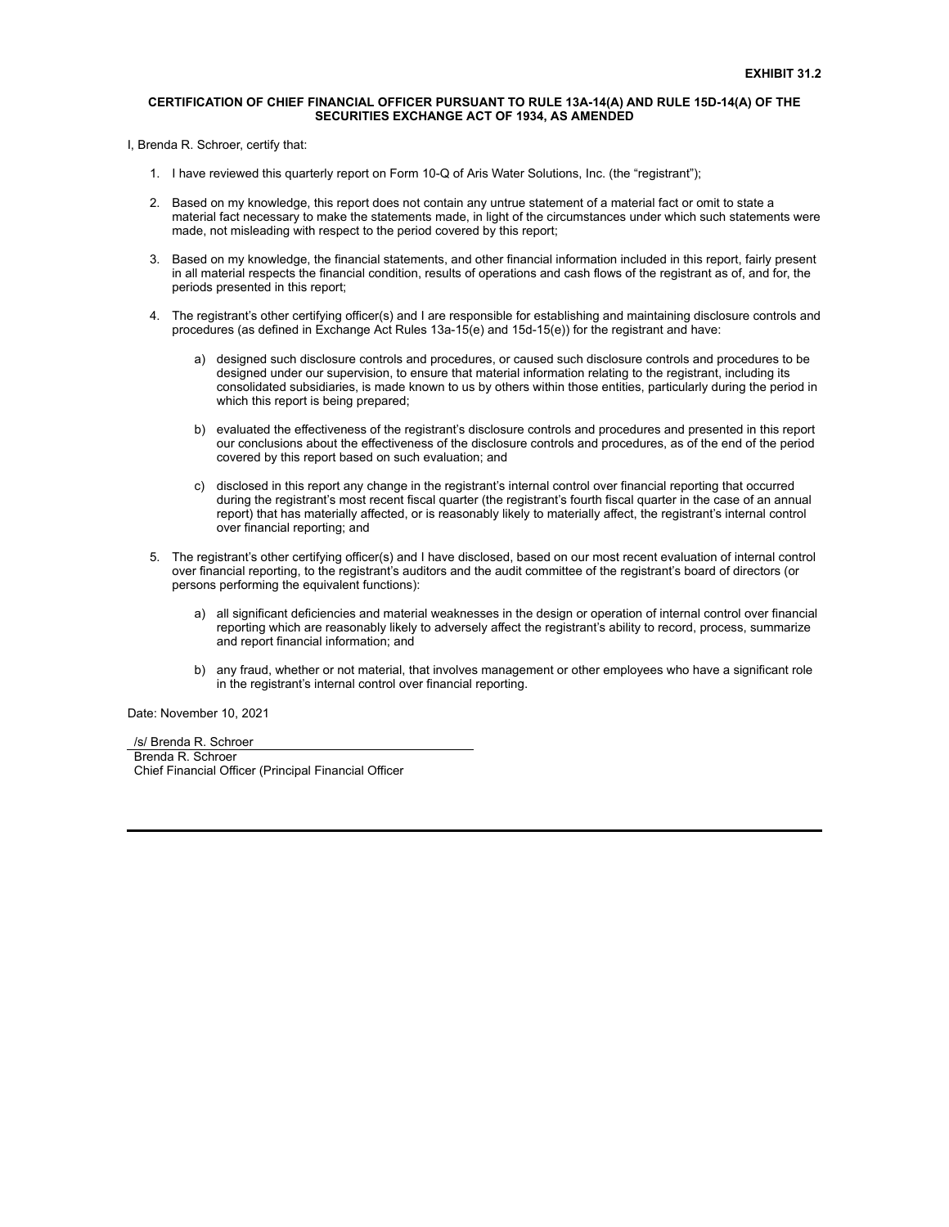### **CERTIFICATION OF CHIEF FINANCIAL OFFICER PURSUANT TO RULE 13A-14(A) AND RULE 15D-14(A) OF THE SECURITIES EXCHANGE ACT OF 1934, AS AMENDED**

I, Brenda R. Schroer, certify that:

- 1. I have reviewed this quarterly report on Form 10-Q of Aris Water Solutions, Inc. (the "registrant");
- 2. Based on my knowledge, this report does not contain any untrue statement of a material fact or omit to state a material fact necessary to make the statements made, in light of the circumstances under which such statements were made, not misleading with respect to the period covered by this report;
- 3. Based on my knowledge, the financial statements, and other financial information included in this report, fairly present in all material respects the financial condition, results of operations and cash flows of the registrant as of, and for, the periods presented in this report;
- 4. The registrant's other certifying officer(s) and I are responsible for establishing and maintaining disclosure controls and procedures (as defined in Exchange Act Rules 13a-15(e) and 15d-15(e)) for the registrant and have:
	- a) designed such disclosure controls and procedures, or caused such disclosure controls and procedures to be designed under our supervision, to ensure that material information relating to the registrant, including its consolidated subsidiaries, is made known to us by others within those entities, particularly during the period in which this report is being prepared;
	- b) evaluated the effectiveness of the registrant's disclosure controls and procedures and presented in this report our conclusions about the effectiveness of the disclosure controls and procedures, as of the end of the period covered by this report based on such evaluation; and
	- c) disclosed in this report any change in the registrant's internal control over financial reporting that occurred during the registrant's most recent fiscal quarter (the registrant's fourth fiscal quarter in the case of an annual report) that has materially affected, or is reasonably likely to materially affect, the registrant's internal control over financial reporting; and
- 5. The registrant's other certifying officer(s) and I have disclosed, based on our most recent evaluation of internal control over financial reporting, to the registrant's auditors and the audit committee of the registrant's board of directors (or persons performing the equivalent functions):
	- a) all significant deficiencies and material weaknesses in the design or operation of internal control over financial reporting which are reasonably likely to adversely affect the registrant's ability to record, process, summarize and report financial information; and
	- b) any fraud, whether or not material, that involves management or other employees who have a significant role in the registrant's internal control over financial reporting.

Date: November 10, 2021

/s/ Brenda R. Schroer Brenda R. Schroer Chief Financial Officer (Principal Financial Officer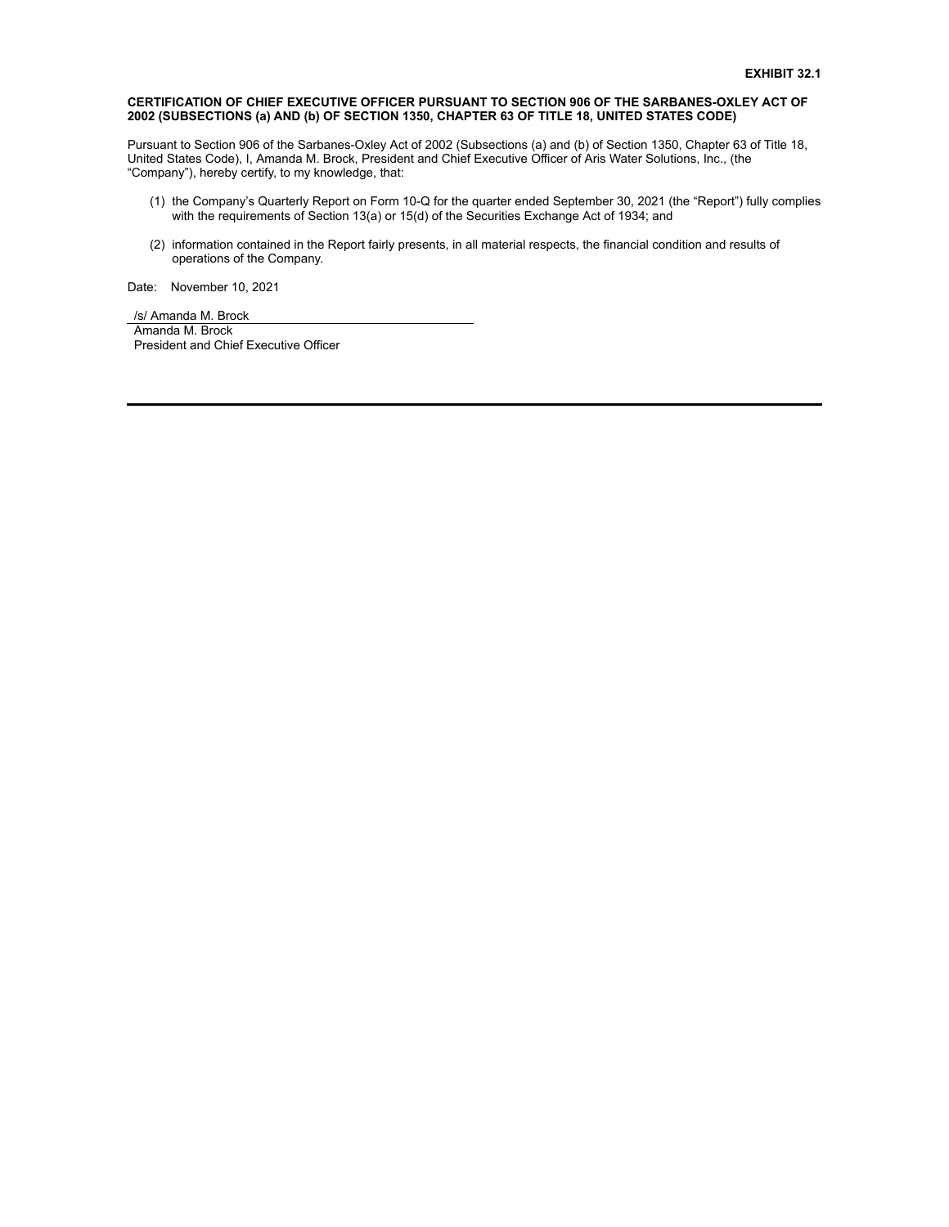## **CERTIFICATION OF CHIEF EXECUTIVE OFFICER PURSUANT TO SECTION 906 OF THE SARBANES-OXLEY ACT OF 2002 (SUBSECTIONS (a) AND (b) OF SECTION 1350, CHAPTER 63 OF TITLE 18, UNITED STATES CODE)**

Pursuant to Section 906 of the Sarbanes-Oxley Act of 2002 (Subsections (a) and (b) of Section 1350, Chapter 63 of Title 18, United States Code), I, Amanda M. Brock, President and Chief Executive Officer of Aris Water Solutions, Inc., (the "Company"), hereby certify, to my knowledge, that:

- (1) the Company's Quarterly Report on Form 10-Q for the quarter ended September 30, 2021 (the "Report") fully complies with the requirements of Section 13(a) or 15(d) of the Securities Exchange Act of 1934; and
- (2) information contained in the Report fairly presents, in all material respects, the financial condition and results of operations of the Company.

Date: November 10, 2021

/s/ Amanda M. Brock Amanda M. Brock President and Chief Executive Officer